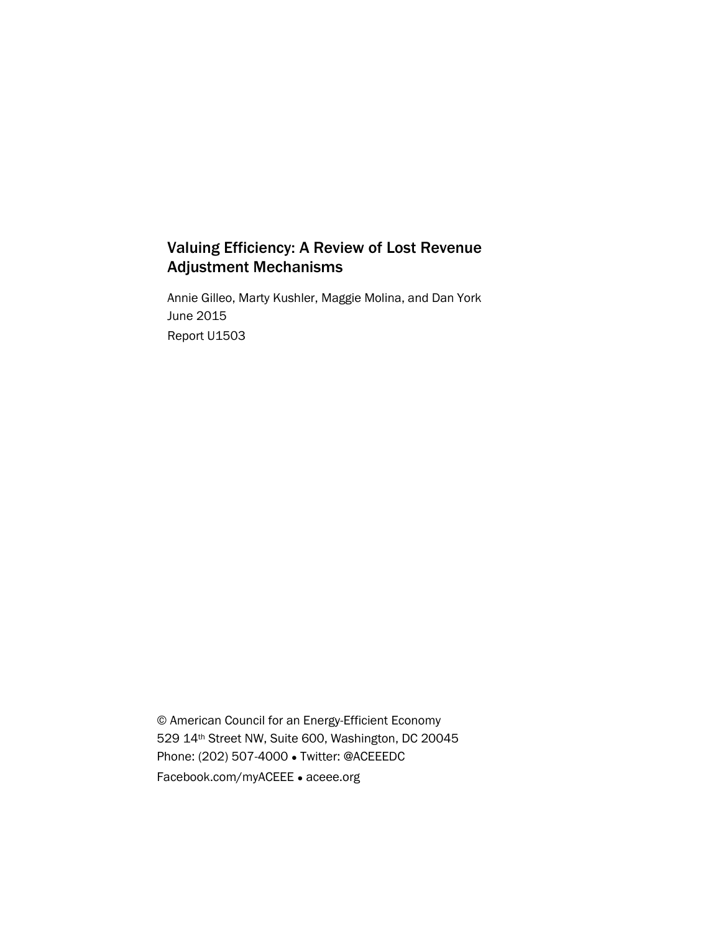# Valuing Efficiency: A Review of Lost Revenue Adjustment Mechanisms

Annie Gilleo, Marty Kushler, Maggie Molina, and Dan York June 2015 Report U1503

© American Council for an Energy-Efficient Economy 529 14th Street NW, Suite 600, Washington, DC 20045 Phone: (202) 507-4000 ● Twitter: @ACEEEDC Facebook.com/myACEEE ● aceee.org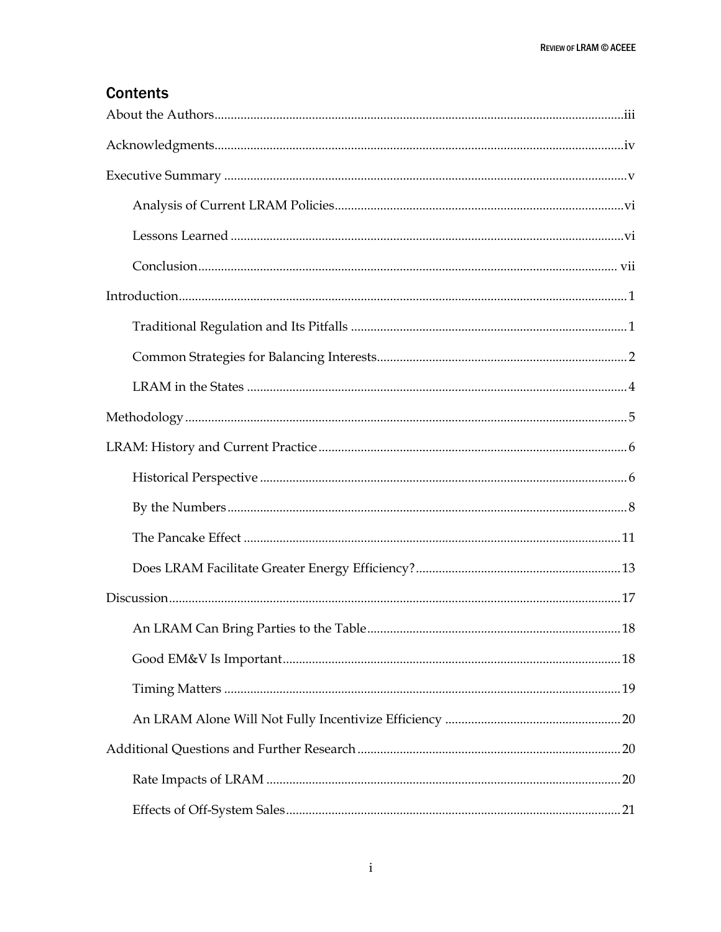# **Contents**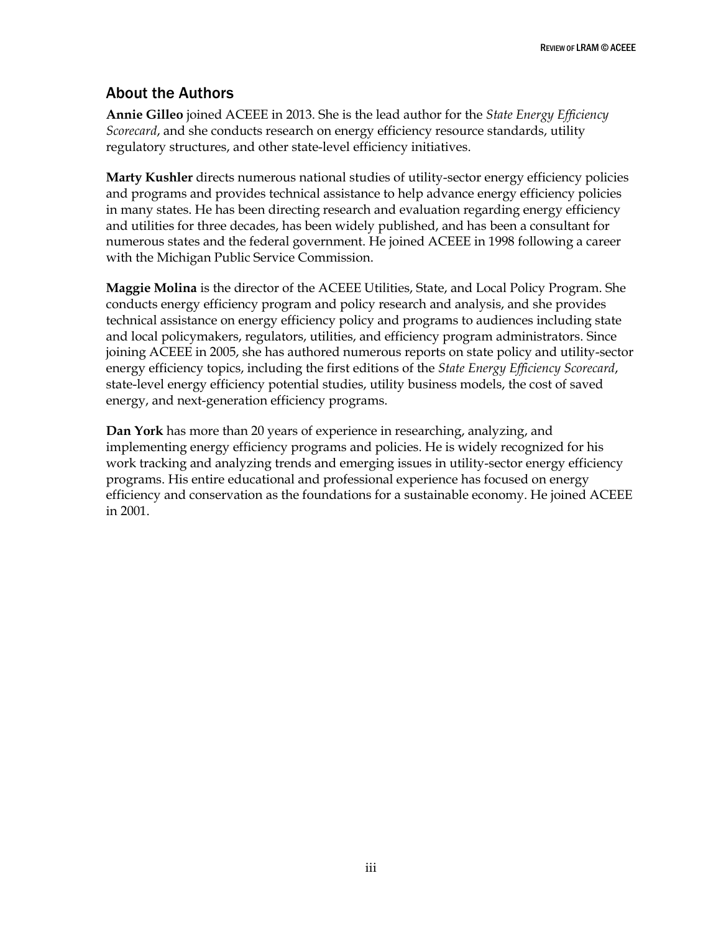# <span id="page-3-0"></span>About the Authors

**Annie Gilleo** joined ACEEE in 2013. She is the lead author for the *State Energy Efficiency Scorecard*, and she conducts research on energy efficiency resource standards, utility regulatory structures, and other state-level efficiency initiatives.

**Marty Kushler** directs numerous national studies of utility-sector energy efficiency policies and programs and provides technical assistance to help advance energy efficiency policies in many states. He has been directing research and evaluation regarding energy efficiency and utilities for three decades, has been widely published, and has been a consultant for numerous states and the federal government. He joined ACEEE in 1998 following a career with the Michigan Public Service Commission.

**Maggie Molina** is the director of the ACEEE Utilities, State, and Local Policy Program. She conducts energy efficiency program and policy research and analysis, and she provides technical assistance on energy efficiency policy and programs to audiences including state and local policymakers, regulators, utilities, and efficiency program administrators. Since joining ACEEE in 2005, she has authored numerous reports on state policy and utility-sector energy efficiency topics, including the first editions of the *State Energy Efficiency Scorecard*, state-level energy efficiency potential studies, utility business models, the cost of saved energy, and next-generation efficiency programs.

**Dan York** has more than 20 years of experience in researching, analyzing, and implementing energy efficiency programs and policies. He is widely recognized for his work tracking and analyzing trends and emerging issues in utility-sector energy efficiency programs. His entire educational and professional experience has focused on energy efficiency and conservation as the foundations for a sustainable economy. He joined ACEEE in 2001.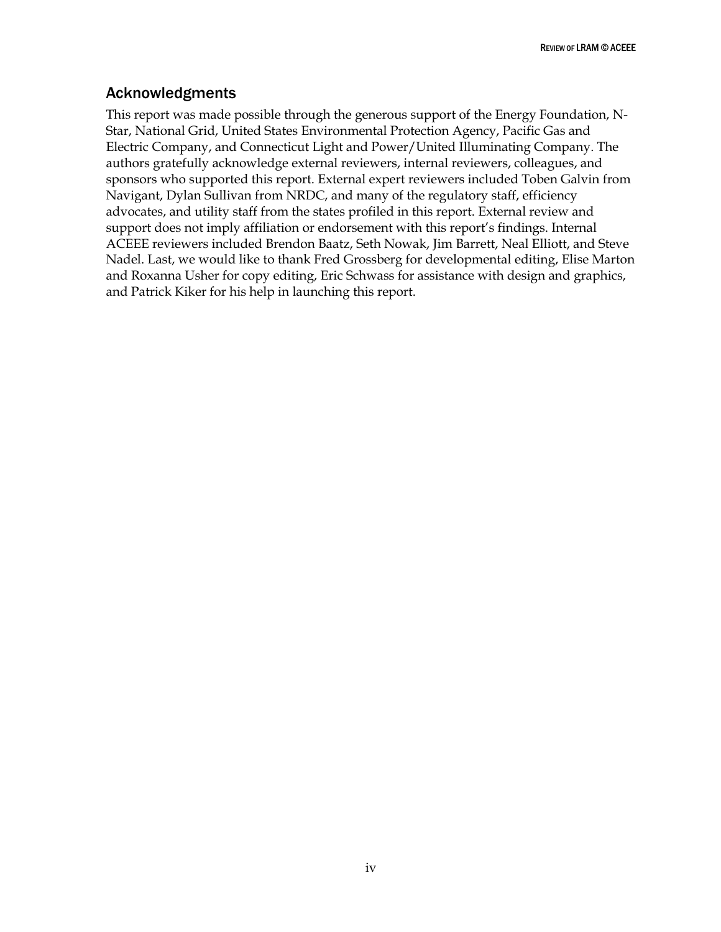# <span id="page-4-0"></span>Acknowledgments

This report was made possible through the generous support of the Energy Foundation, N-Star, National Grid, United States Environmental Protection Agency, Pacific Gas and Electric Company, and Connecticut Light and Power/United Illuminating Company. The authors gratefully acknowledge external reviewers, internal reviewers, colleagues, and sponsors who supported this report. External expert reviewers included Toben Galvin from Navigant, Dylan Sullivan from NRDC, and many of the regulatory staff, efficiency advocates, and utility staff from the states profiled in this report. External review and support does not imply affiliation or endorsement with this report's findings. Internal ACEEE reviewers included Brendon Baatz, Seth Nowak, Jim Barrett, Neal Elliott, and Steve Nadel. Last, we would like to thank Fred Grossberg for developmental editing, Elise Marton and Roxanna Usher for copy editing, Eric Schwass for assistance with design and graphics, and Patrick Kiker for his help in launching this report.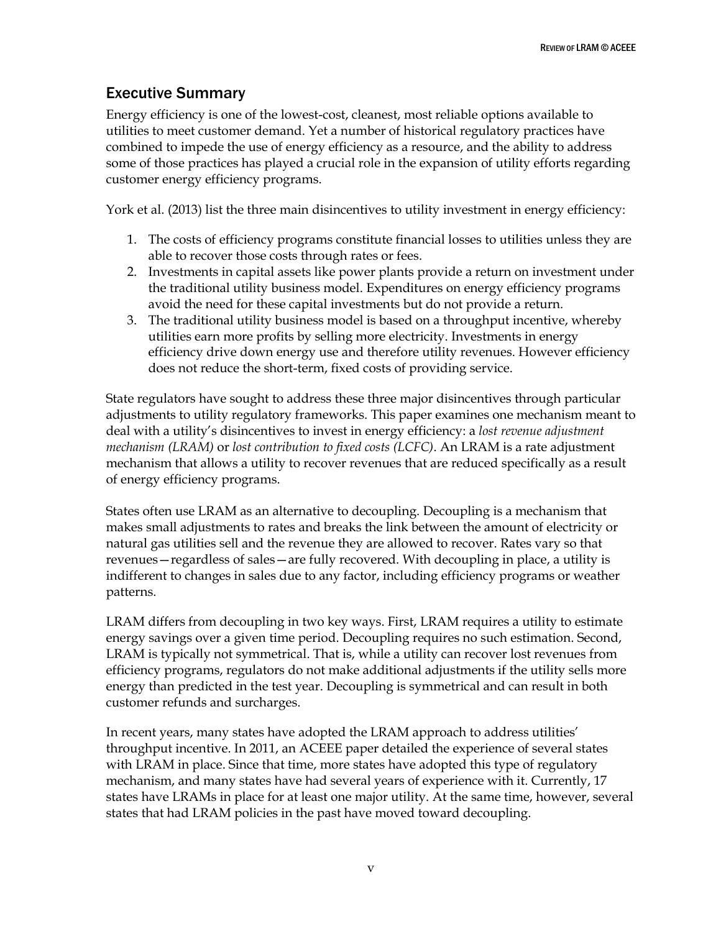# <span id="page-5-0"></span>Executive Summary

Energy efficiency is one of the lowest-cost, cleanest, most reliable options available to utilities to meet customer demand. Yet a number of historical regulatory practices have combined to impede the use of energy efficiency as a resource, and the ability to address some of those practices has played a crucial role in the expansion of utility efforts regarding customer energy efficiency programs.

York et al. (2013) list the three main disincentives to utility investment in energy efficiency:

- 1. The costs of efficiency programs constitute financial losses to utilities unless they are able to recover those costs through rates or fees.
- 2. Investments in capital assets like power plants provide a return on investment under the traditional utility business model. Expenditures on energy efficiency programs avoid the need for these capital investments but do not provide a return.
- 3. The traditional utility business model is based on a throughput incentive, whereby utilities earn more profits by selling more electricity. Investments in energy efficiency drive down energy use and therefore utility revenues. However efficiency does not reduce the short-term, fixed costs of providing service.

State regulators have sought to address these three major disincentives through particular adjustments to utility regulatory frameworks. This paper examines one mechanism meant to deal with a utility's disincentives to invest in energy efficiency: a *lost revenue adjustment mechanism (LRAM)* or *lost contribution to fixed costs (LCFC)*. An LRAM is a rate adjustment mechanism that allows a utility to recover revenues that are reduced specifically as a result of energy efficiency programs.

States often use LRAM as an alternative to decoupling. Decoupling is a mechanism that makes small adjustments to rates and breaks the link between the amount of electricity or natural gas utilities sell and the revenue they are allowed to recover. Rates vary so that revenues—regardless of sales—are fully recovered. With decoupling in place, a utility is indifferent to changes in sales due to any factor, including efficiency programs or weather patterns.

LRAM differs from decoupling in two key ways. First, LRAM requires a utility to estimate energy savings over a given time period. Decoupling requires no such estimation. Second, LRAM is typically not symmetrical. That is, while a utility can recover lost revenues from efficiency programs, regulators do not make additional adjustments if the utility sells more energy than predicted in the test year. Decoupling is symmetrical and can result in both customer refunds and surcharges.

In recent years, many states have adopted the LRAM approach to address utilities' throughput incentive. In 2011, an ACEEE paper detailed the experience of several states with LRAM in place. Since that time, more states have adopted this type of regulatory mechanism, and many states have had several years of experience with it. Currently, 17 states have LRAMs in place for at least one major utility. At the same time, however, several states that had LRAM policies in the past have moved toward decoupling.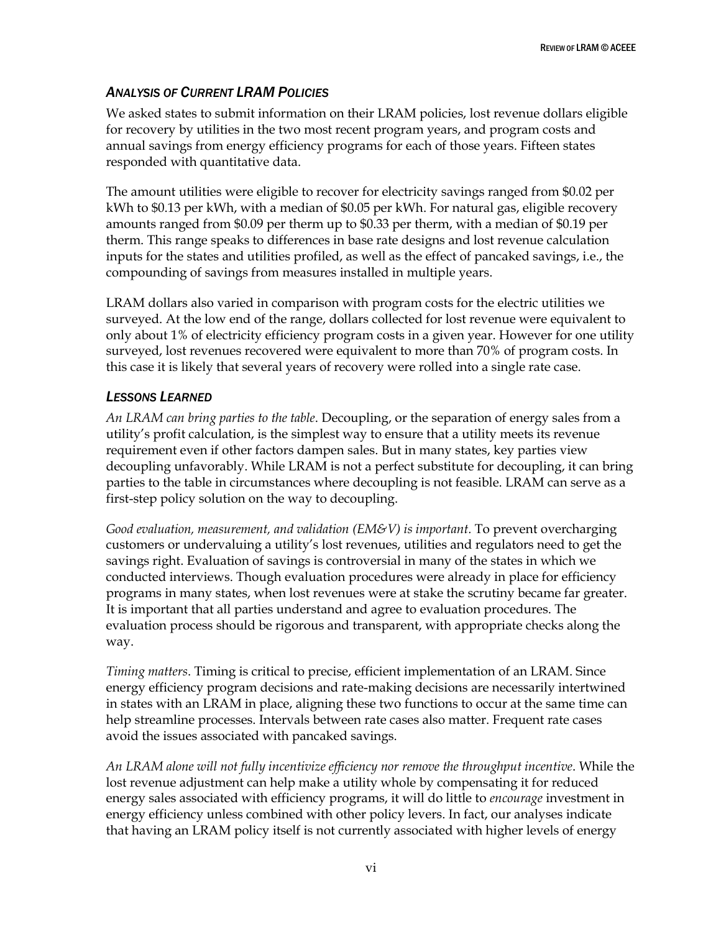# <span id="page-6-0"></span>*ANALYSIS OF CURRENT LRAM POLICIES*

We asked states to submit information on their LRAM policies, lost revenue dollars eligible for recovery by utilities in the two most recent program years, and program costs and annual savings from energy efficiency programs for each of those years. Fifteen states responded with quantitative data.

The amount utilities were eligible to recover for electricity savings ranged from \$0.02 per kWh to \$0.13 per kWh, with a median of \$0.05 per kWh. For natural gas, eligible recovery amounts ranged from \$0.09 per therm up to \$0.33 per therm, with a median of \$0.19 per therm. This range speaks to differences in base rate designs and lost revenue calculation inputs for the states and utilities profiled, as well as the effect of pancaked savings, i.e., the compounding of savings from measures installed in multiple years.

LRAM dollars also varied in comparison with program costs for the electric utilities we surveyed. At the low end of the range, dollars collected for lost revenue were equivalent to only about 1% of electricity efficiency program costs in a given year. However for one utility surveyed, lost revenues recovered were equivalent to more than 70% of program costs. In this case it is likely that several years of recovery were rolled into a single rate case.

# <span id="page-6-1"></span>*LESSONS LEARNED*

*An LRAM can bring parties to the table*. Decoupling, or the separation of energy sales from a utility's profit calculation, is the simplest way to ensure that a utility meets its revenue requirement even if other factors dampen sales. But in many states, key parties view decoupling unfavorably. While LRAM is not a perfect substitute for decoupling, it can bring parties to the table in circumstances where decoupling is not feasible. LRAM can serve as a first-step policy solution on the way to decoupling.

*Good evaluation, measurement, and validation (EM&V) is important.* To prevent overcharging customers or undervaluing a utility's lost revenues, utilities and regulators need to get the savings right. Evaluation of savings is controversial in many of the states in which we conducted interviews. Though evaluation procedures were already in place for efficiency programs in many states, when lost revenues were at stake the scrutiny became far greater. It is important that all parties understand and agree to evaluation procedures. The evaluation process should be rigorous and transparent, with appropriate checks along the way.

*Timing matters*. Timing is critical to precise, efficient implementation of an LRAM. Since energy efficiency program decisions and rate-making decisions are necessarily intertwined in states with an LRAM in place, aligning these two functions to occur at the same time can help streamline processes. Intervals between rate cases also matter. Frequent rate cases avoid the issues associated with pancaked savings.

*An LRAM alone will not fully incentivize efficiency nor remove the throughput incentive*. While the lost revenue adjustment can help make a utility whole by compensating it for reduced energy sales associated with efficiency programs, it will do little to *encourage* investment in energy efficiency unless combined with other policy levers. In fact, our analyses indicate that having an LRAM policy itself is not currently associated with higher levels of energy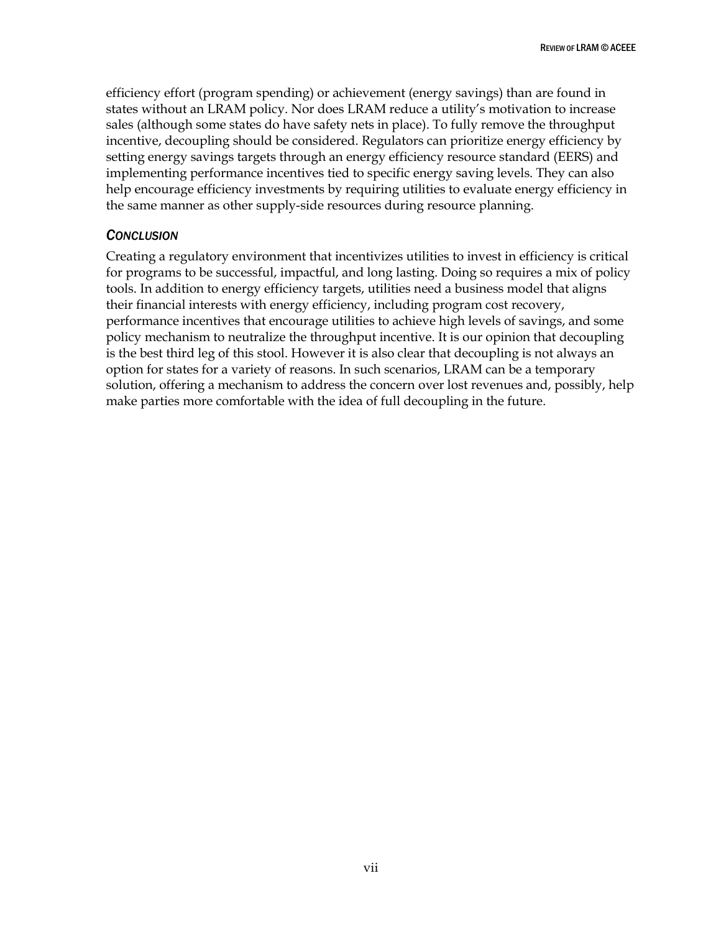efficiency effort (program spending) or achievement (energy savings) than are found in states without an LRAM policy. Nor does LRAM reduce a utility's motivation to increase sales (although some states do have safety nets in place). To fully remove the throughput incentive, decoupling should be considered. Regulators can prioritize energy efficiency by setting energy savings targets through an energy efficiency resource standard (EERS) and implementing performance incentives tied to specific energy saving levels. They can also help encourage efficiency investments by requiring utilities to evaluate energy efficiency in the same manner as other supply-side resources during resource planning.

## <span id="page-7-0"></span>*CONCLUSION*

Creating a regulatory environment that incentivizes utilities to invest in efficiency is critical for programs to be successful, impactful, and long lasting. Doing so requires a mix of policy tools. In addition to energy efficiency targets, utilities need a business model that aligns their financial interests with energy efficiency, including program cost recovery, performance incentives that encourage utilities to achieve high levels of savings, and some policy mechanism to neutralize the throughput incentive. It is our opinion that decoupling is the best third leg of this stool. However it is also clear that decoupling is not always an option for states for a variety of reasons. In such scenarios, LRAM can be a temporary solution, offering a mechanism to address the concern over lost revenues and, possibly, help make parties more comfortable with the idea of full decoupling in the future.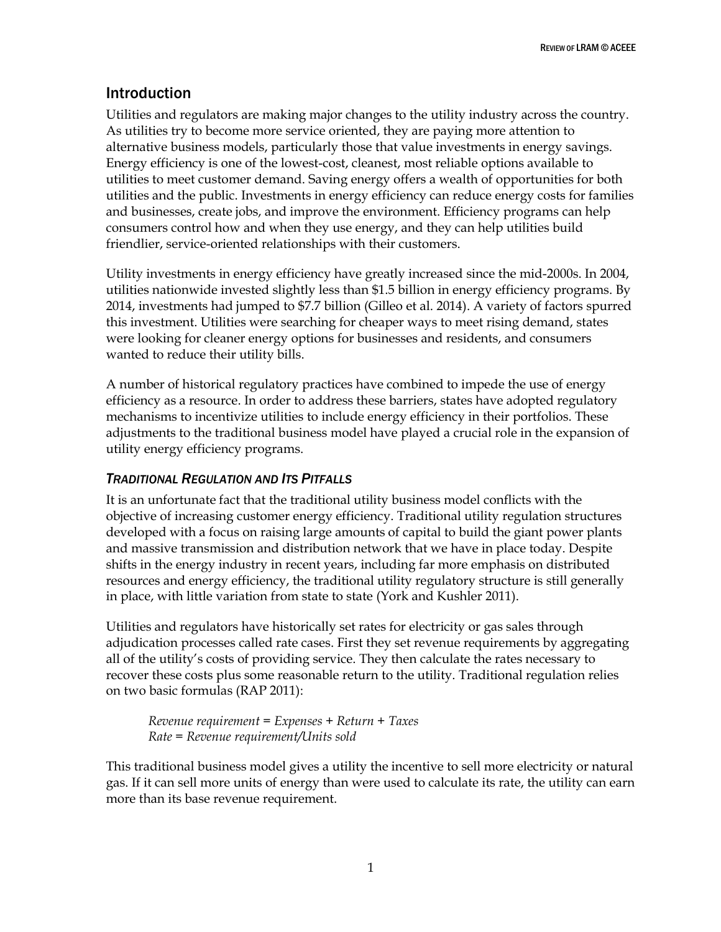# <span id="page-8-0"></span>Introduction

Utilities and regulators are making major changes to the utility industry across the country. As utilities try to become more service oriented, they are paying more attention to alternative business models, particularly those that value investments in energy savings. Energy efficiency is one of the lowest-cost, cleanest, most reliable options available to utilities to meet customer demand. Saving energy offers a wealth of opportunities for both utilities and the public. Investments in energy efficiency can reduce energy costs for families and businesses, create jobs, and improve the environment. Efficiency programs can help consumers control how and when they use energy, and they can help utilities build friendlier, service-oriented relationships with their customers.

Utility investments in energy efficiency have greatly increased since the mid-2000s. In 2004, utilities nationwide invested slightly less than \$1.5 billion in energy efficiency programs. By 2014, investments had jumped to \$7.7 billion (Gilleo et al. 2014). A variety of factors spurred this investment. Utilities were searching for cheaper ways to meet rising demand, states were looking for cleaner energy options for businesses and residents, and consumers wanted to reduce their utility bills.

A number of historical regulatory practices have combined to impede the use of energy efficiency as a resource. In order to address these barriers, states have adopted regulatory mechanisms to incentivize utilities to include energy efficiency in their portfolios. These adjustments to the traditional business model have played a crucial role in the expansion of utility energy efficiency programs.

## <span id="page-8-1"></span>*TRADITIONAL REGULATION AND ITS PITFALLS*

It is an unfortunate fact that the traditional utility business model conflicts with the objective of increasing customer energy efficiency. Traditional utility regulation structures developed with a focus on raising large amounts of capital to build the giant power plants and massive transmission and distribution network that we have in place today. Despite shifts in the energy industry in recent years, including far more emphasis on distributed resources and energy efficiency, the traditional utility regulatory structure is still generally in place, with little variation from state to state (York and Kushler 2011).

Utilities and regulators have historically set rates for electricity or gas sales through adjudication processes called rate cases. First they set revenue requirements by aggregating all of the utility's costs of providing service. They then calculate the rates necessary to recover these costs plus some reasonable return to the utility. Traditional regulation relies on two basic formulas (RAP 2011):

*Revenue requirement = Expenses + Return + Taxes Rate = Revenue requirement/Units sold*

This traditional business model gives a utility the incentive to sell more electricity or natural gas. If it can sell more units of energy than were used to calculate its rate, the utility can earn more than its base revenue requirement.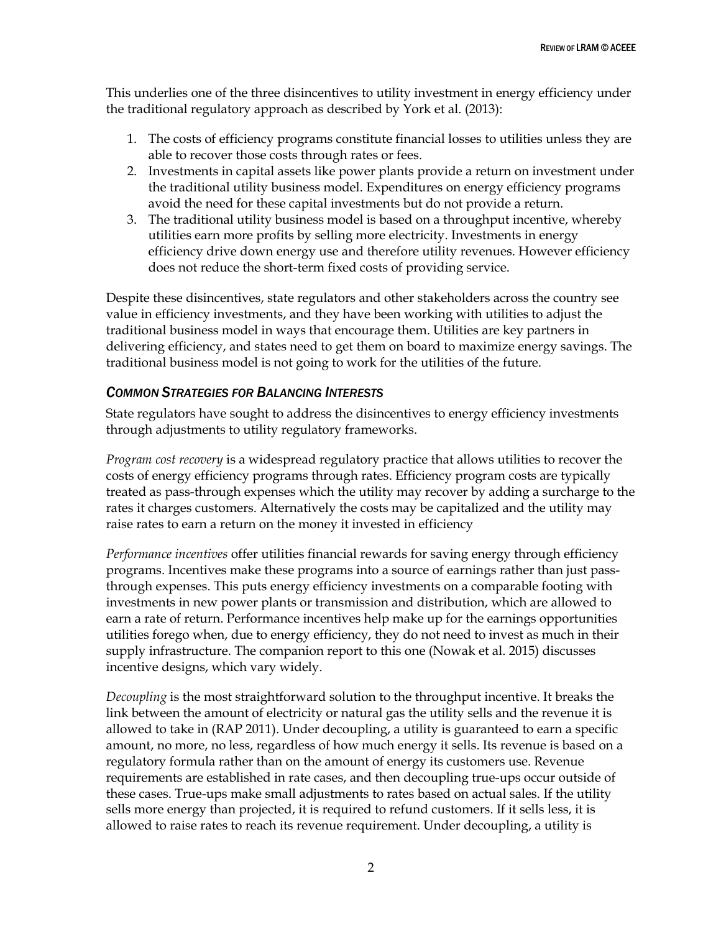This underlies one of the three disincentives to utility investment in energy efficiency under the traditional regulatory approach as described by York et al. (2013):

- 1. The costs of efficiency programs constitute financial losses to utilities unless they are able to recover those costs through rates or fees.
- 2. Investments in capital assets like power plants provide a return on investment under the traditional utility business model. Expenditures on energy efficiency programs avoid the need for these capital investments but do not provide a return.
- 3. The traditional utility business model is based on a throughput incentive, whereby utilities earn more profits by selling more electricity. Investments in energy efficiency drive down energy use and therefore utility revenues. However efficiency does not reduce the short-term fixed costs of providing service.

Despite these disincentives, state regulators and other stakeholders across the country see value in efficiency investments, and they have been working with utilities to adjust the traditional business model in ways that encourage them. Utilities are key partners in delivering efficiency, and states need to get them on board to maximize energy savings. The traditional business model is not going to work for the utilities of the future.

## <span id="page-9-0"></span>*COMMON STRATEGIES FOR BALANCING INTERESTS*

State regulators have sought to address the disincentives to energy efficiency investments through adjustments to utility regulatory frameworks.

*Program cost recovery* is a widespread regulatory practice that allows utilities to recover the costs of energy efficiency programs through rates. Efficiency program costs are typically treated as pass-through expenses which the utility may recover by adding a surcharge to the rates it charges customers. Alternatively the costs may be capitalized and the utility may raise rates to earn a return on the money it invested in efficiency

*Performance incentives* offer utilities financial rewards for saving energy through efficiency programs. Incentives make these programs into a source of earnings rather than just passthrough expenses. This puts energy efficiency investments on a comparable footing with investments in new power plants or transmission and distribution, which are allowed to earn a rate of return. Performance incentives help make up for the earnings opportunities utilities forego when, due to energy efficiency, they do not need to invest as much in their supply infrastructure. The companion report to this one (Nowak et al. 2015) discusses incentive designs, which vary widely.

*Decoupling* is the most straightforward solution to the throughput incentive. It breaks the link between the amount of electricity or natural gas the utility sells and the revenue it is allowed to take in (RAP 2011). Under decoupling, a utility is guaranteed to earn a specific amount, no more, no less, regardless of how much energy it sells. Its revenue is based on a regulatory formula rather than on the amount of energy its customers use. Revenue requirements are established in rate cases, and then decoupling true-ups occur outside of these cases. True-ups make small adjustments to rates based on actual sales. If the utility sells more energy than projected, it is required to refund customers. If it sells less, it is allowed to raise rates to reach its revenue requirement. Under decoupling, a utility is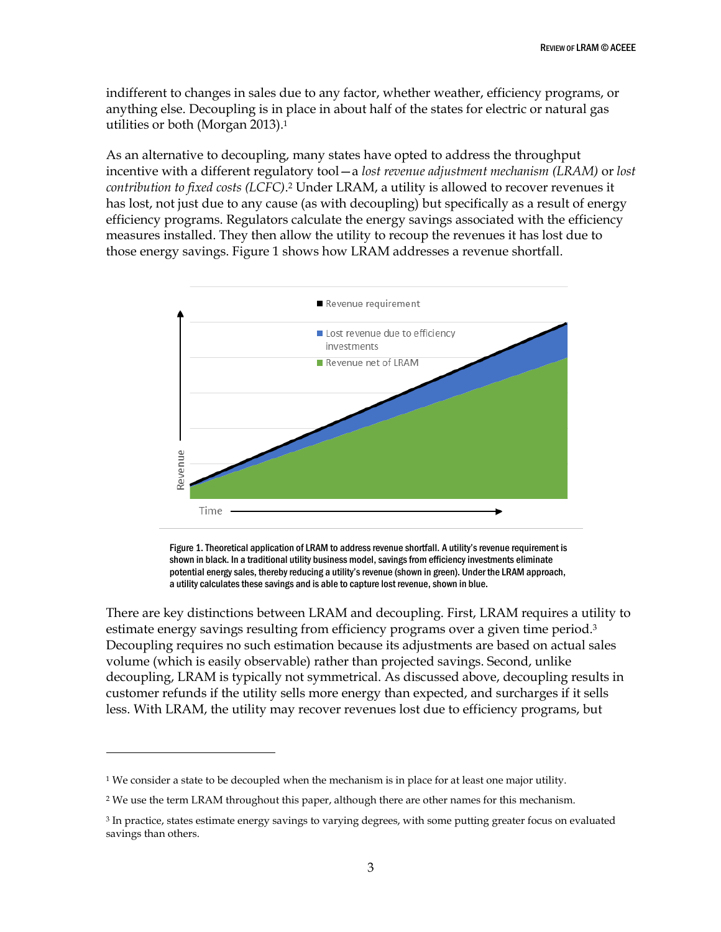indifferent to changes in sales due to any factor, whether weather, efficiency programs, or anything else. Decoupling is in place in about half of the states for electric or natural gas utilities or both (Morgan 2013).<sup>1</sup>

As an alternative to decoupling, many states have opted to address the throughput incentive with a different regulatory tool—a *lost revenue adjustment mechanism (LRAM)* or *lost contribution to fixed costs (LCFC)*. <sup>2</sup> Under LRAM, a utility is allowed to recover revenues it has lost, not just due to any cause (as with decoupling) but specifically as a result of energy efficiency programs. Regulators calculate the energy savings associated with the efficiency measures installed. They then allow the utility to recoup the revenues it has lost due to those energy savings. Figure 1 shows how LRAM addresses a revenue shortfall.



Figure 1. Theoretical application of LRAM to address revenue shortfall. A utility's revenue requirement is shown in black. In a traditional utility business model, savings from efficiency investments eliminate potential energy sales, thereby reducing a utility's revenue (shown in green). Under the LRAM approach, a utility calculates these savings and is able to capture lost revenue, shown in blue.

There are key distinctions between LRAM and decoupling. First, LRAM requires a utility to estimate energy savings resulting from efficiency programs over a given time period. 3 Decoupling requires no such estimation because its adjustments are based on actual sales volume (which is easily observable) rather than projected savings. Second, unlike decoupling, LRAM is typically not symmetrical. As discussed above, decoupling results in customer refunds if the utility sells more energy than expected, and surcharges if it sells less. With LRAM, the utility may recover revenues lost due to efficiency programs, but

 $\ddot{\phantom{a}}$ 

 $1$  We consider a state to be decoupled when the mechanism is in place for at least one major utility.

<sup>&</sup>lt;sup>2</sup> We use the term LRAM throughout this paper, although there are other names for this mechanism.

<sup>&</sup>lt;sup>3</sup> In practice, states estimate energy savings to varying degrees, with some putting greater focus on evaluated savings than others.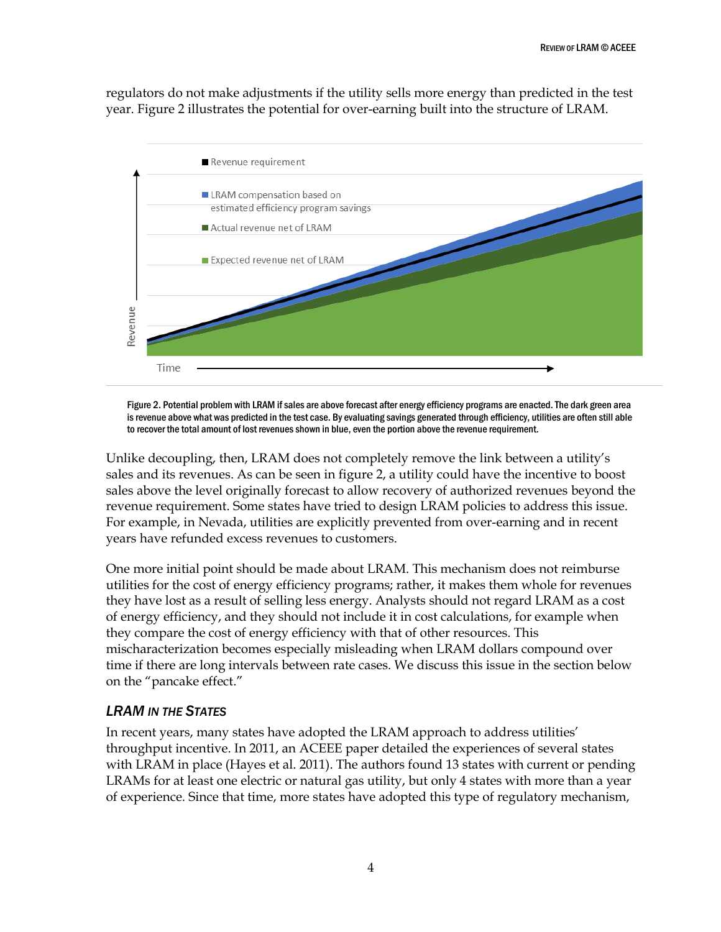regulators do not make adjustments if the utility sells more energy than predicted in the test year. Figure 2 illustrates the potential for over-earning built into the structure of LRAM.



Figure 2. Potential problem with LRAM if sales are above forecast after energy efficiency programs are enacted. The dark green area is revenue above what was predicted in the test case. By evaluating savings generated through efficiency, utilities are often still able to recover the total amount of lost revenues shown in blue, even the portion above the revenue requirement.

Unlike decoupling, then, LRAM does not completely remove the link between a utility's sales and its revenues. As can be seen in figure 2, a utility could have the incentive to boost sales above the level originally forecast to allow recovery of authorized revenues beyond the revenue requirement. Some states have tried to design LRAM policies to address this issue. For example, in Nevada, utilities are explicitly prevented from over-earning and in recent years have refunded excess revenues to customers.

One more initial point should be made about LRAM. This mechanism does not reimburse utilities for the cost of energy efficiency programs; rather, it makes them whole for revenues they have lost as a result of selling less energy. Analysts should not regard LRAM as a cost of energy efficiency, and they should not include it in cost calculations, for example when they compare the cost of energy efficiency with that of other resources. This mischaracterization becomes especially misleading when LRAM dollars compound over time if there are long intervals between rate cases. We discuss this issue in the section below on the "pancake effect."

## <span id="page-11-0"></span>*LRAM IN THE STATES*

In recent years, many states have adopted the LRAM approach to address utilities' throughput incentive. In 2011, an ACEEE paper detailed the experiences of several states with LRAM in place (Hayes et al. 2011). The authors found 13 states with current or pending LRAMs for at least one electric or natural gas utility, but only 4 states with more than a year of experience. Since that time, more states have adopted this type of regulatory mechanism,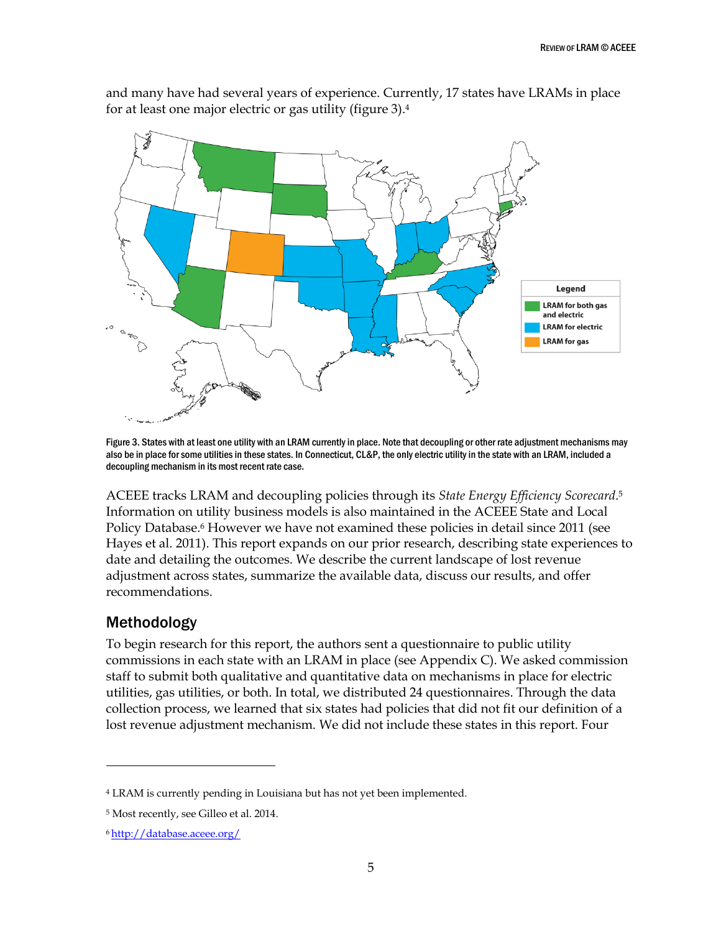

and many have had several years of experience. Currently, 17 states have LRAMs in place for at least one major electric or gas utility (figure 3). 4

Figure 3. States with at least one utility with an LRAM currently in place. Note that decoupling or other rate adjustment mechanisms may also be in place for some utilities in these states. In Connecticut, CL&P, the only electric utility in the state with an LRAM, included a decoupling mechanism in its most recent rate case.

ACEEE tracks LRAM and decoupling policies through its *State Energy Efficiency Scorecard*. 5 Information on utility business models is also maintained in the ACEEE State and Local Policy Database.<sup>6</sup> However we have not examined these policies in detail since 2011 (see Hayes et al. 2011). This report expands on our prior research, describing state experiences to date and detailing the outcomes. We describe the current landscape of lost revenue adjustment across states, summarize the available data, discuss our results, and offer recommendations.

# <span id="page-12-0"></span>Methodology

 $\overline{a}$ 

To begin research for this report, the authors sent a questionnaire to public utility commissions in each state with an LRAM in place (see Appendix C). We asked commission staff to submit both qualitative and quantitative data on mechanisms in place for electric utilities, gas utilities, or both. In total, we distributed 24 questionnaires. Through the data collection process, we learned that six states had policies that did not fit our definition of a lost revenue adjustment mechanism. We did not include these states in this report. Four

<sup>4</sup> LRAM is currently pending in Louisiana but has not yet been implemented.

<sup>5</sup> Most recently, see Gilleo et al. 2014.

<sup>6</sup> <http://database.aceee.org/>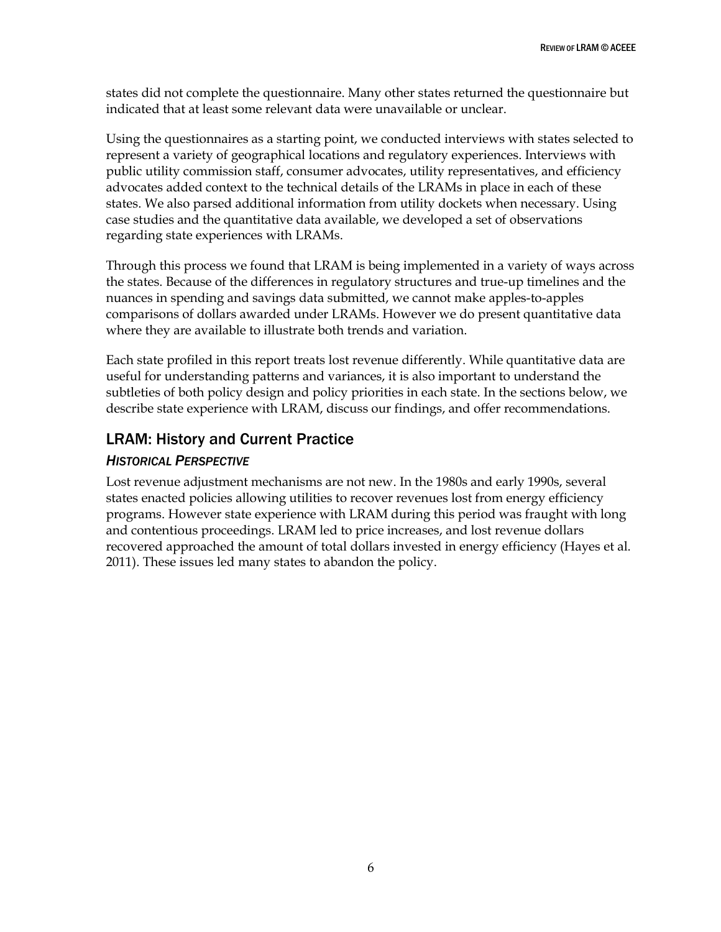states did not complete the questionnaire. Many other states returned the questionnaire but indicated that at least some relevant data were unavailable or unclear.

Using the questionnaires as a starting point, we conducted interviews with states selected to represent a variety of geographical locations and regulatory experiences. Interviews with public utility commission staff, consumer advocates, utility representatives, and efficiency advocates added context to the technical details of the LRAMs in place in each of these states. We also parsed additional information from utility dockets when necessary. Using case studies and the quantitative data available, we developed a set of observations regarding state experiences with LRAMs.

Through this process we found that LRAM is being implemented in a variety of ways across the states. Because of the differences in regulatory structures and true-up timelines and the nuances in spending and savings data submitted, we cannot make apples-to-apples comparisons of dollars awarded under LRAMs. However we do present quantitative data where they are available to illustrate both trends and variation.

Each state profiled in this report treats lost revenue differently. While quantitative data are useful for understanding patterns and variances, it is also important to understand the subtleties of both policy design and policy priorities in each state. In the sections below, we describe state experience with LRAM, discuss our findings, and offer recommendations.

# <span id="page-13-0"></span>LRAM: History and Current Practice

# <span id="page-13-1"></span>*HISTORICAL PERSPECTIVE*

Lost revenue adjustment mechanisms are not new. In the 1980s and early 1990s, several states enacted policies allowing utilities to recover revenues lost from energy efficiency programs. However state experience with LRAM during this period was fraught with long and contentious proceedings. LRAM led to price increases, and lost revenue dollars recovered approached the amount of total dollars invested in energy efficiency (Hayes et al. 2011). These issues led many states to abandon the policy.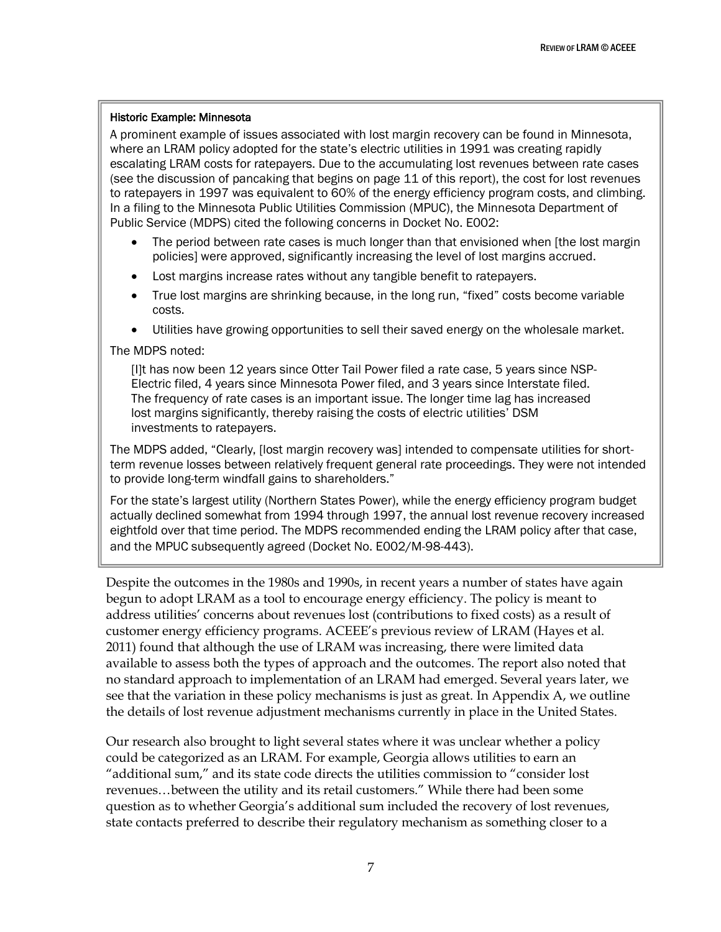#### Historic Example: Minnesota

A prominent example of issues associated with lost margin recovery can be found in Minnesota, where an LRAM policy adopted for the state's electric utilities in 1991 was creating rapidly escalating LRAM costs for ratepayers. Due to the accumulating lost revenues between rate cases (see the discussion of pancaking that begins on page 11 of this report), the cost for lost revenues to ratepayers in 1997 was equivalent to 60% of the energy efficiency program costs, and climbing. In a filing to the Minnesota Public Utilities Commission (MPUC), the Minnesota Department of Public Service (MDPS) cited the following concerns in Docket No. E002:

- The period between rate cases is much longer than that envisioned when [the lost margin policies] were approved, significantly increasing the level of lost margins accrued.
- Lost margins increase rates without any tangible benefit to ratepayers.
- True lost margins are shrinking because, in the long run, "fixed" costs become variable costs.
- Utilities have growing opportunities to sell their saved energy on the wholesale market.

## The MDPS noted:

[I]t has now been 12 years since Otter Tail Power filed a rate case, 5 years since NSP-Electric filed, 4 years since Minnesota Power filed, and 3 years since Interstate filed. The frequency of rate cases is an important issue. The longer time lag has increased lost margins significantly, thereby raising the costs of electric utilities' DSM investments to ratepayers.

The MDPS added, "Clearly, [lost margin recovery was] intended to compensate utilities for shortterm revenue losses between relatively frequent general rate proceedings. They were not intended to provide long-term windfall gains to shareholders."

For the state's largest utility (Northern States Power), while the energy efficiency program budget actually declined somewhat from 1994 through 1997, the annual lost revenue recovery increased eightfold over that time period. The MDPS recommended ending the LRAM policy after that case, and the MPUC subsequently agreed (Docket No. E002/M-98-443).

Despite the outcomes in the 1980s and 1990s, in recent years a number of states have again begun to adopt LRAM as a tool to encourage energy efficiency. The policy is meant to address utilities' concerns about revenues lost (contributions to fixed costs) as a result of customer energy efficiency programs. ACEEE's previous review of LRAM (Hayes et al. 2011) found that although the use of LRAM was increasing, there were limited data available to assess both the types of approach and the outcomes. The report also noted that no standard approach to implementation of an LRAM had emerged. Several years later, we see that the variation in these policy mechanisms is just as great. In Appendix A, we outline the details of lost revenue adjustment mechanisms currently in place in the United States.

Our research also brought to light several states where it was unclear whether a policy could be categorized as an LRAM. For example, Georgia allows utilities to earn an "additional sum," and its state code directs the utilities commission to "consider lost revenues…between the utility and its retail customers." While there had been some question as to whether Georgia's additional sum included the recovery of lost revenues, state contacts preferred to describe their regulatory mechanism as something closer to a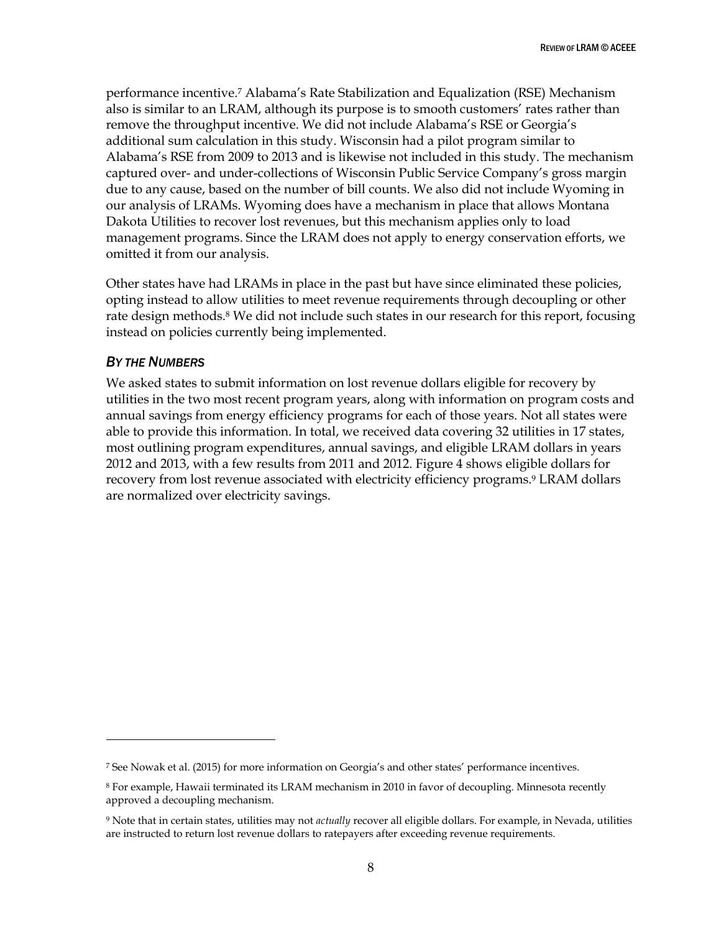performance incentive.<sup>7</sup> Alabama's Rate Stabilization and Equalization (RSE) Mechanism also is similar to an LRAM, although its purpose is to smooth customers' rates rather than remove the throughput incentive. We did not include Alabama's RSE or Georgia's additional sum calculation in this study. Wisconsin had a pilot program similar to Alabama's RSE from 2009 to 2013 and is likewise not included in this study. The mechanism captured over- and under-collections of Wisconsin Public Service Company's gross margin due to any cause, based on the number of bill counts. We also did not include Wyoming in our analysis of LRAMs. Wyoming does have a mechanism in place that allows Montana Dakota Utilities to recover lost revenues, but this mechanism applies only to load management programs. Since the LRAM does not apply to energy conservation efforts, we omitted it from our analysis.

Other states have had LRAMs in place in the past but have since eliminated these policies, opting instead to allow utilities to meet revenue requirements through decoupling or other rate design methods.<sup>8</sup> We did not include such states in our research for this report, focusing instead on policies currently being implemented.

## <span id="page-15-0"></span>*BY THE NUMBERS*

 $\overline{a}$ 

We asked states to submit information on lost revenue dollars eligible for recovery by utilities in the two most recent program years, along with information on program costs and annual savings from energy efficiency programs for each of those years. Not all states were able to provide this information. In total, we received data covering 32 utilities in 17 states, most outlining program expenditures, annual savings, and eligible LRAM dollars in years 2012 and 2013, with a few results from 2011 and 2012. Figure 4 shows eligible dollars for recovery from lost revenue associated with electricity efficiency programs. <sup>9</sup> LRAM dollars are normalized over electricity savings.

<sup>7</sup> See Nowak et al. (2015) for more information on Georgia's and other states' performance incentives.

<sup>8</sup> For example, Hawaii terminated its LRAM mechanism in 2010 in favor of decoupling. Minnesota recently approved a decoupling mechanism.

<sup>9</sup> Note that in certain states, utilities may not *actually* recover all eligible dollars. For example, in Nevada, utilities are instructed to return lost revenue dollars to ratepayers after exceeding revenue requirements.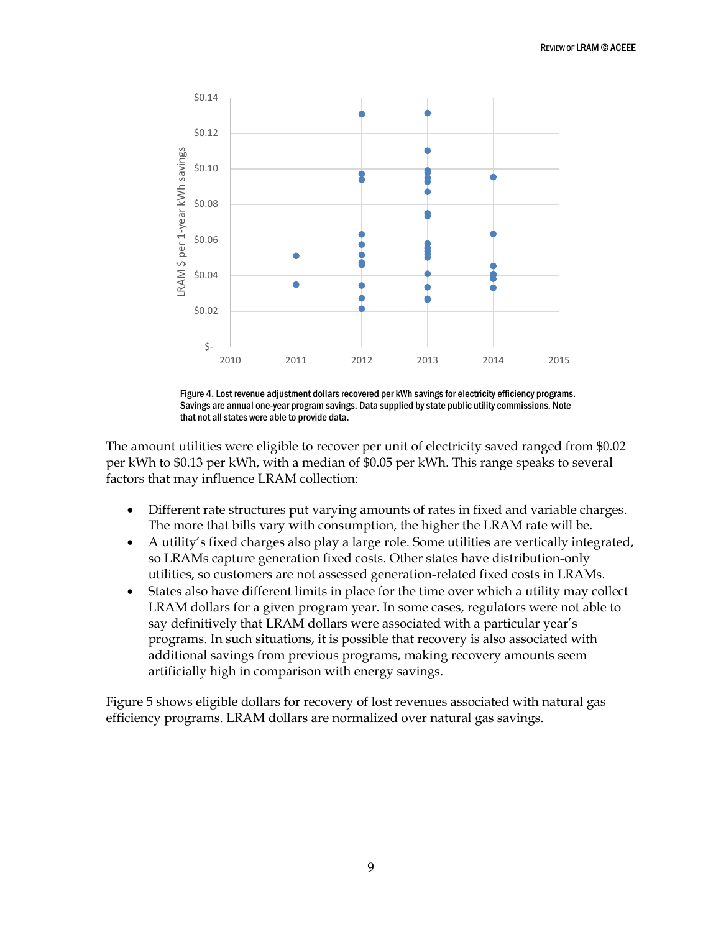



The amount utilities were eligible to recover per unit of electricity saved ranged from \$0.02 per kWh to \$0.13 per kWh, with a median of \$0.05 per kWh. This range speaks to several factors that may influence LRAM collection:

- Different rate structures put varying amounts of rates in fixed and variable charges. The more that bills vary with consumption, the higher the LRAM rate will be.
- A utility's fixed charges also play a large role. Some utilities are vertically integrated, so LRAMs capture generation fixed costs. Other states have distribution-only utilities, so customers are not assessed generation-related fixed costs in LRAMs.
- States also have different limits in place for the time over which a utility may collect LRAM dollars for a given program year. In some cases, regulators were not able to say definitively that LRAM dollars were associated with a particular year's programs. In such situations, it is possible that recovery is also associated with additional savings from previous programs, making recovery amounts seem artificially high in comparison with energy savings.

Figure 5 shows eligible dollars for recovery of lost revenues associated with natural gas efficiency programs. LRAM dollars are normalized over natural gas savings.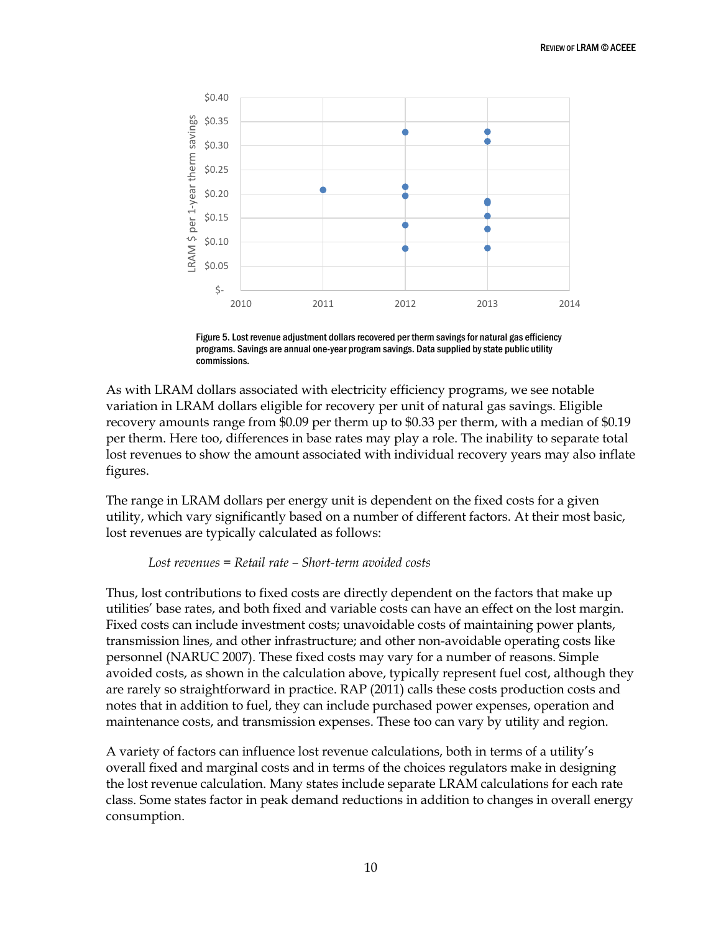

Figure 5. Lost revenue adjustment dollars recovered per therm savings for natural gas efficiency programs. Savings are annual one-year program savings. Data supplied by state public utility commissions.

As with LRAM dollars associated with electricity efficiency programs, we see notable variation in LRAM dollars eligible for recovery per unit of natural gas savings. Eligible recovery amounts range from \$0.09 per therm up to \$0.33 per therm, with a median of \$0.19 per therm. Here too, differences in base rates may play a role. The inability to separate total lost revenues to show the amount associated with individual recovery years may also inflate figures.

The range in LRAM dollars per energy unit is dependent on the fixed costs for a given utility, which vary significantly based on a number of different factors. At their most basic, lost revenues are typically calculated as follows:

#### *Lost revenues = Retail rate – Short-term avoided costs*

Thus, lost contributions to fixed costs are directly dependent on the factors that make up utilities' base rates, and both fixed and variable costs can have an effect on the lost margin. Fixed costs can include investment costs; unavoidable costs of maintaining power plants, transmission lines, and other infrastructure; and other non-avoidable operating costs like personnel (NARUC 2007). These fixed costs may vary for a number of reasons. Simple avoided costs, as shown in the calculation above, typically represent fuel cost, although they are rarely so straightforward in practice. RAP (2011) calls these costs production costs and notes that in addition to fuel, they can include purchased power expenses, operation and maintenance costs, and transmission expenses. These too can vary by utility and region.

A variety of factors can influence lost revenue calculations, both in terms of a utility's overall fixed and marginal costs and in terms of the choices regulators make in designing the lost revenue calculation. Many states include separate LRAM calculations for each rate class. Some states factor in peak demand reductions in addition to changes in overall energy consumption.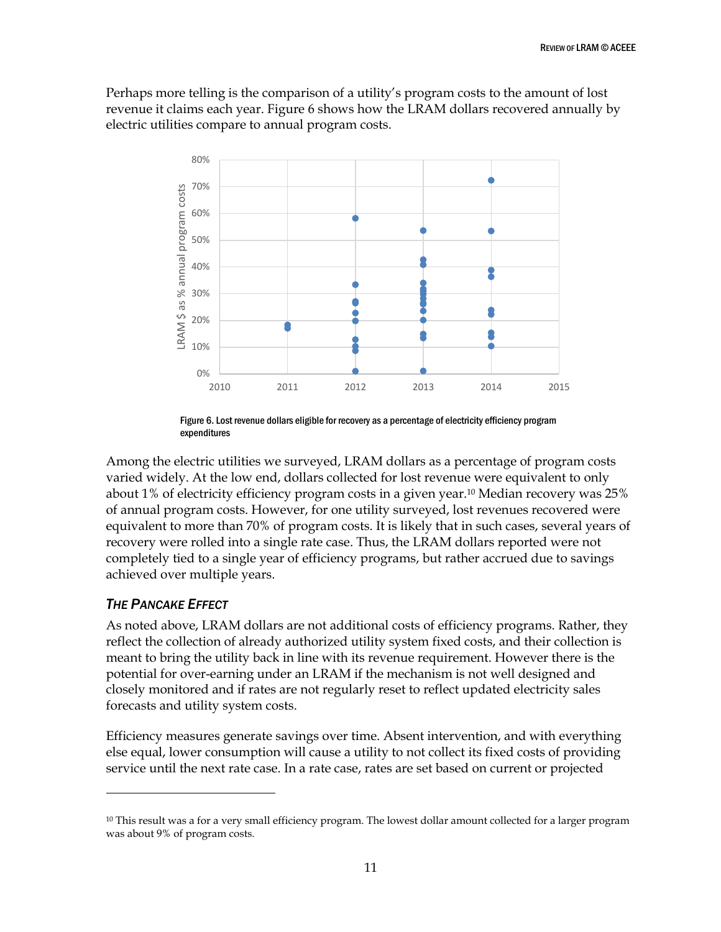Perhaps more telling is the comparison of a utility's program costs to the amount of lost revenue it claims each year. Figure 6 shows how the LRAM dollars recovered annually by electric utilities compare to annual program costs.



Figure 6. Lost revenue dollars eligible for recovery as a percentage of electricity efficiency program expenditures

Among the electric utilities we surveyed, LRAM dollars as a percentage of program costs varied widely. At the low end, dollars collected for lost revenue were equivalent to only about 1% of electricity efficiency program costs in a given year.<sup>10</sup> Median recovery was 25% of annual program costs. However, for one utility surveyed, lost revenues recovered were equivalent to more than 70% of program costs. It is likely that in such cases, several years of recovery were rolled into a single rate case. Thus, the LRAM dollars reported were not completely tied to a single year of efficiency programs, but rather accrued due to savings achieved over multiple years.

## <span id="page-18-0"></span>*THE PANCAKE EFFECT*

 $\overline{a}$ 

As noted above, LRAM dollars are not additional costs of efficiency programs. Rather, they reflect the collection of already authorized utility system fixed costs, and their collection is meant to bring the utility back in line with its revenue requirement. However there is the potential for over-earning under an LRAM if the mechanism is not well designed and closely monitored and if rates are not regularly reset to reflect updated electricity sales forecasts and utility system costs.

Efficiency measures generate savings over time. Absent intervention, and with everything else equal, lower consumption will cause a utility to not collect its fixed costs of providing service until the next rate case. In a rate case, rates are set based on current or projected

 $10$  This result was a for a very small efficiency program. The lowest dollar amount collected for a larger program was about 9% of program costs.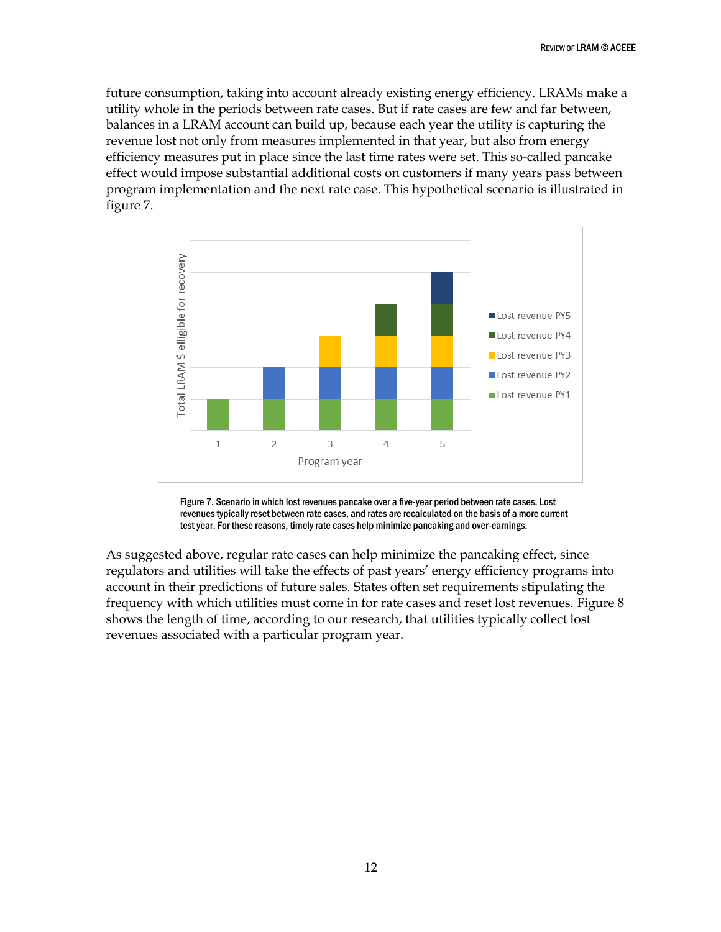future consumption, taking into account already existing energy efficiency. LRAMs make a utility whole in the periods between rate cases. But if rate cases are few and far between, balances in a LRAM account can build up, because each year the utility is capturing the revenue lost not only from measures implemented in that year, but also from energy efficiency measures put in place since the last time rates were set. This so-called pancake effect would impose substantial additional costs on customers if many years pass between program implementation and the next rate case. This hypothetical scenario is illustrated in figure 7.



Figure 7. Scenario in which lost revenues pancake over a five-year period between rate cases. Lost revenues typically reset between rate cases, and rates are recalculated on the basis of a more current test year. For these reasons, timely rate cases help minimize pancaking and over-earnings.

As suggested above, regular rate cases can help minimize the pancaking effect, since regulators and utilities will take the effects of past years' energy efficiency programs into account in their predictions of future sales. States often set requirements stipulating the frequency with which utilities must come in for rate cases and reset lost revenues. Figure 8 shows the length of time, according to our research, that utilities typically collect lost revenues associated with a particular program year.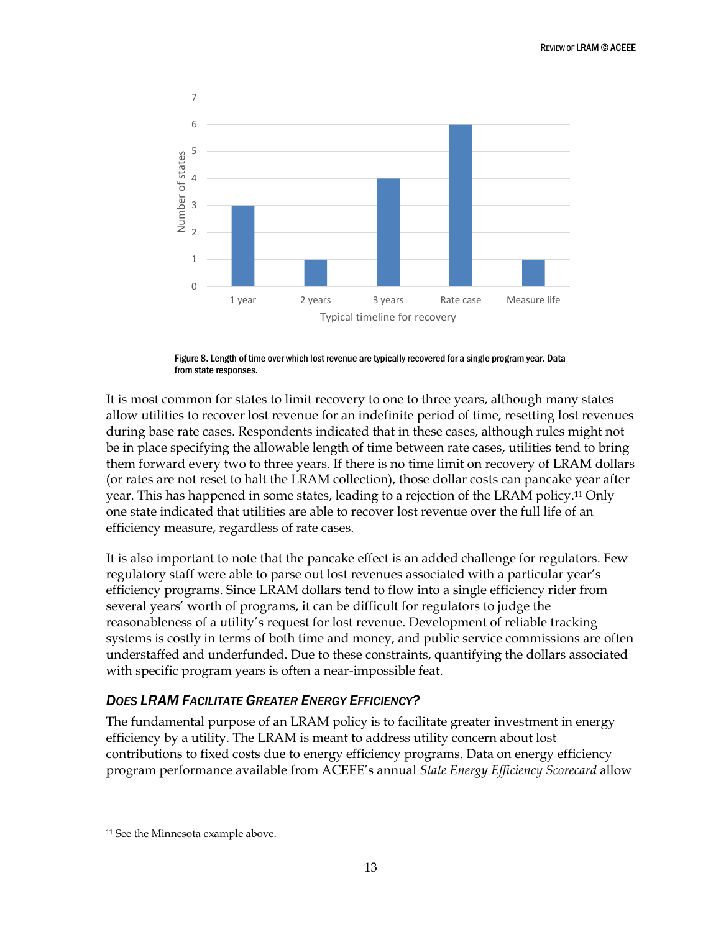

Figure 8. Length of time over which lost revenue are typically recovered for a single program year. Data from state responses.

It is most common for states to limit recovery to one to three years, although many states allow utilities to recover lost revenue for an indefinite period of time, resetting lost revenues during base rate cases. Respondents indicated that in these cases, although rules might not be in place specifying the allowable length of time between rate cases, utilities tend to bring them forward every two to three years. If there is no time limit on recovery of LRAM dollars (or rates are not reset to halt the LRAM collection), those dollar costs can pancake year after year. This has happened in some states, leading to a rejection of the LRAM policy.<sup>11</sup> Only one state indicated that utilities are able to recover lost revenue over the full life of an efficiency measure, regardless of rate cases.

It is also important to note that the pancake effect is an added challenge for regulators. Few regulatory staff were able to parse out lost revenues associated with a particular year's efficiency programs. Since LRAM dollars tend to flow into a single efficiency rider from several years' worth of programs, it can be difficult for regulators to judge the reasonableness of a utility's request for lost revenue. Development of reliable tracking systems is costly in terms of both time and money, and public service commissions are often understaffed and underfunded. Due to these constraints, quantifying the dollars associated with specific program years is often a near-impossible feat.

# <span id="page-20-0"></span>*DOES LRAM FACILITATE GREATER ENERGY EFFICIENCY?*

The fundamental purpose of an LRAM policy is to facilitate greater investment in energy efficiency by a utility. The LRAM is meant to address utility concern about lost contributions to fixed costs due to energy efficiency programs. Data on energy efficiency program performance available from ACEEE's annual *State Energy Efficiency Scorecard* allow

 $\overline{a}$ 

<sup>11</sup> See the Minnesota example above.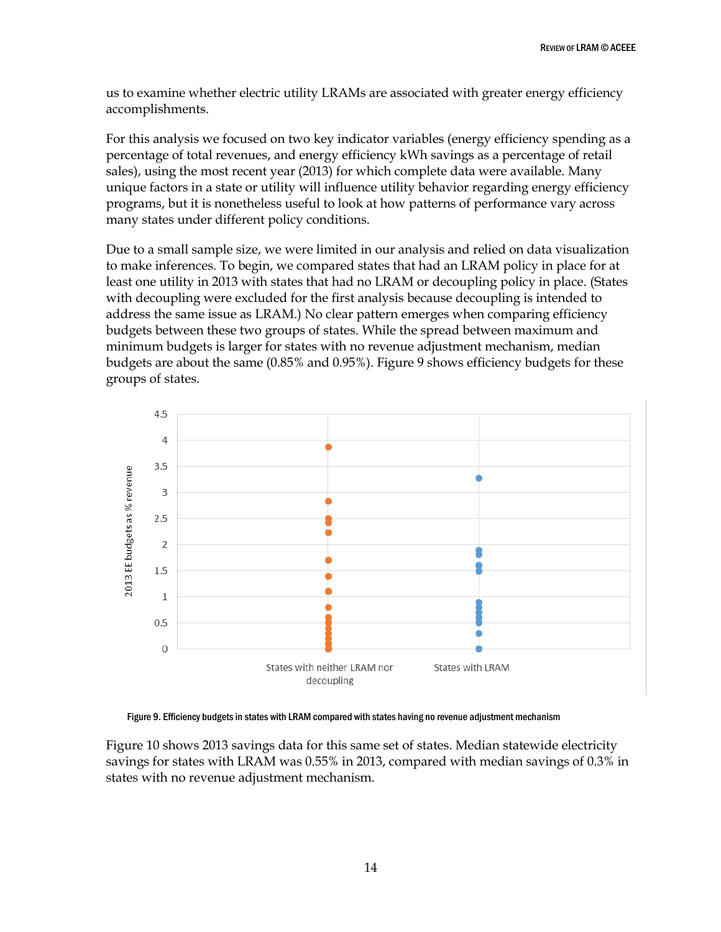us to examine whether electric utility LRAMs are associated with greater energy efficiency accomplishments.

For this analysis we focused on two key indicator variables (energy efficiency spending as a percentage of total revenues, and energy efficiency kWh savings as a percentage of retail sales), using the most recent year (2013) for which complete data were available. Many unique factors in a state or utility will influence utility behavior regarding energy efficiency programs, but it is nonetheless useful to look at how patterns of performance vary across many states under different policy conditions.

Due to a small sample size, we were limited in our analysis and relied on data visualization to make inferences. To begin, we compared states that had an LRAM policy in place for at least one utility in 2013 with states that had no LRAM or decoupling policy in place. (States with decoupling were excluded for the first analysis because decoupling is intended to address the same issue as LRAM.) No clear pattern emerges when comparing efficiency budgets between these two groups of states. While the spread between maximum and minimum budgets is larger for states with no revenue adjustment mechanism, median budgets are about the same (0.85% and 0.95%). Figure 9 shows efficiency budgets for these groups of states.



Figure 9. Efficiency budgets in states with LRAM compared with states having no revenue adjustment mechanism

Figure 10 shows 2013 savings data for this same set of states. Median statewide electricity savings for states with LRAM was 0.55% in 2013, compared with median savings of 0.3% in states with no revenue adjustment mechanism.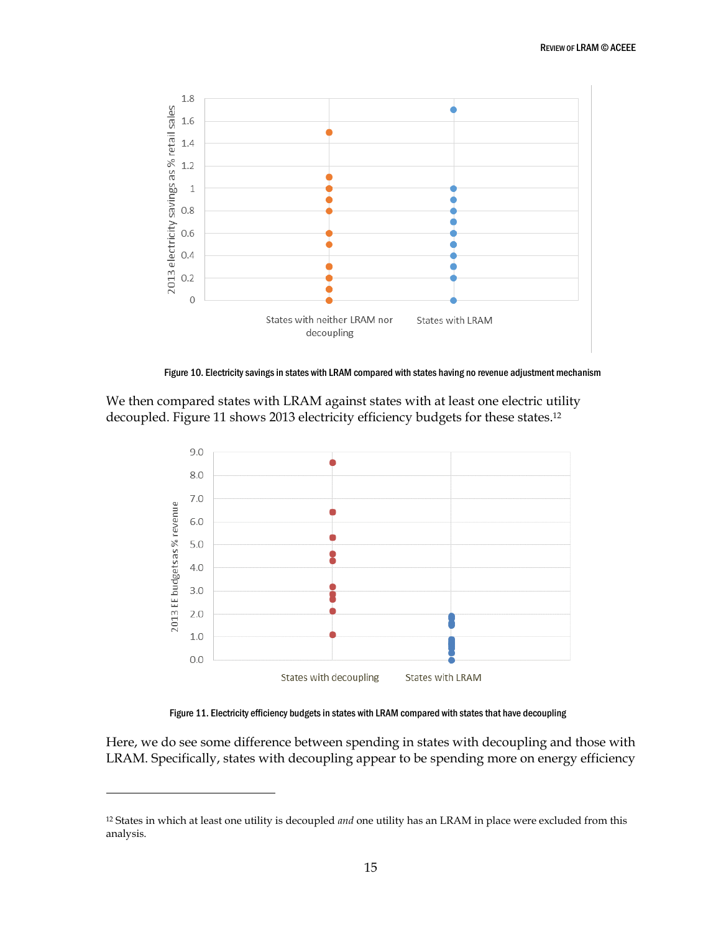

Figure 10. Electricity savings in states with LRAM compared with states having no revenue adjustment mechanism

We then compared states with LRAM against states with at least one electric utility decoupled. Figure 11 shows 2013 electricity efficiency budgets for these states. 12



Figure 11. Electricity efficiency budgets in states with LRAM compared with states that have decoupling

Here, we do see some difference between spending in states with decoupling and those with LRAM. Specifically, states with decoupling appear to be spending more on energy efficiency

 $\overline{a}$ 

<sup>12</sup> States in which at least one utility is decoupled *and* one utility has an LRAM in place were excluded from this analysis.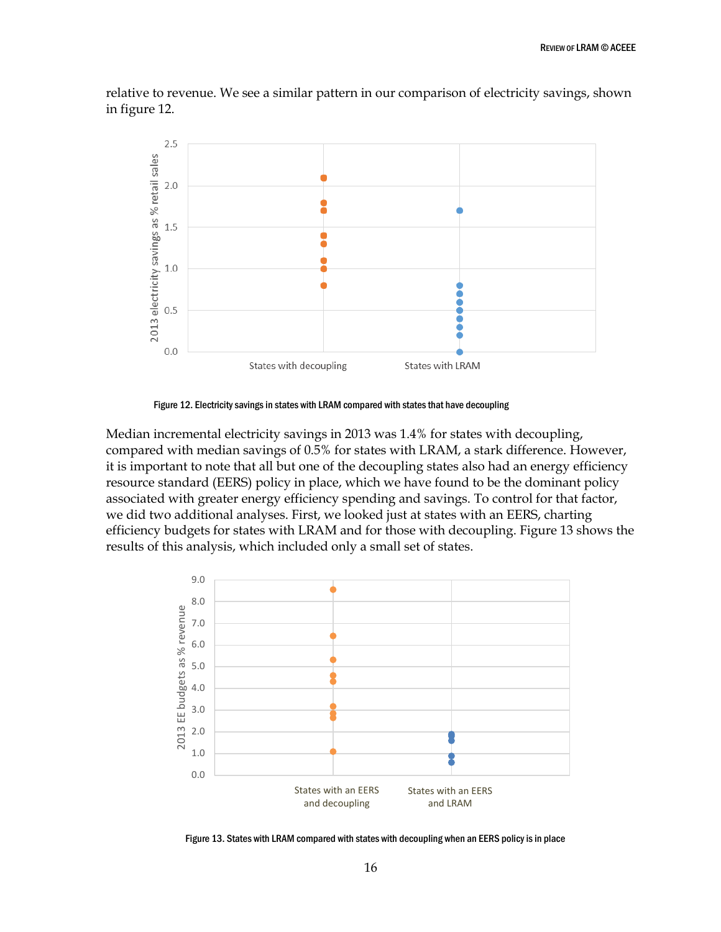relative to revenue. We see a similar pattern in our comparison of electricity savings, shown in figure 12.



Figure 12. Electricity savings in states with LRAM compared with states that have decoupling

Median incremental electricity savings in 2013 was 1.4% for states with decoupling, compared with median savings of 0.5% for states with LRAM, a stark difference. However, it is important to note that all but one of the decoupling states also had an energy efficiency resource standard (EERS) policy in place, which we have found to be the dominant policy associated with greater energy efficiency spending and savings. To control for that factor, we did two additional analyses. First, we looked just at states with an EERS, charting efficiency budgets for states with LRAM and for those with decoupling. Figure 13 shows the results of this analysis, which included only a small set of states.



Figure 13. States with LRAM compared with states with decoupling when an EERS policy is in place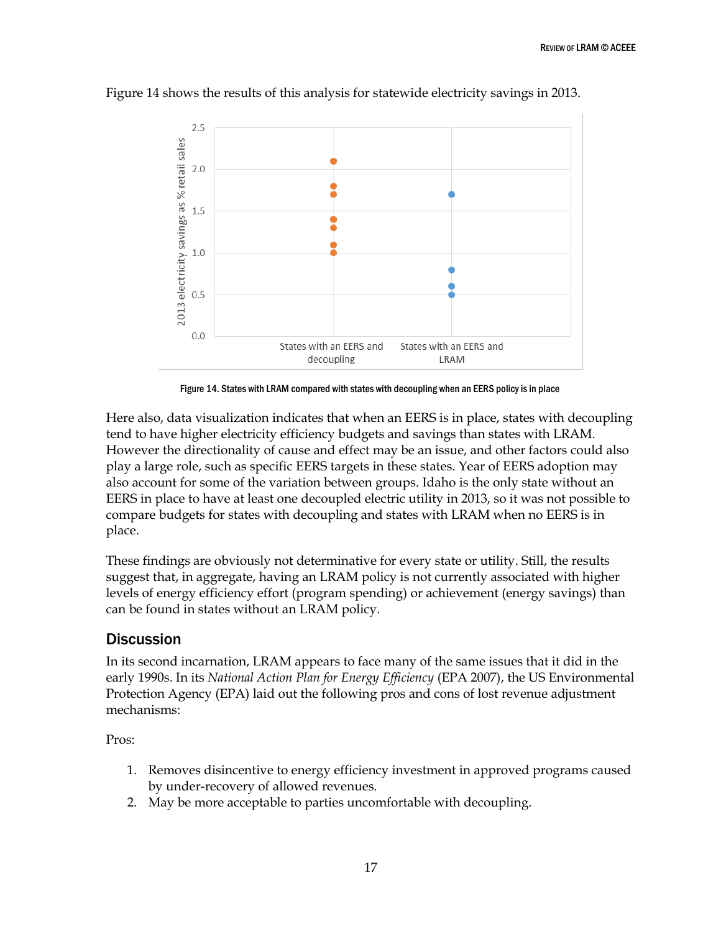

Figure 14 shows the results of this analysis for statewide electricity savings in 2013.

Figure 14. States with LRAM compared with states with decoupling when an EERS policy is in place

Here also, data visualization indicates that when an EERS is in place, states with decoupling tend to have higher electricity efficiency budgets and savings than states with LRAM. However the directionality of cause and effect may be an issue, and other factors could also play a large role, such as specific EERS targets in these states. Year of EERS adoption may also account for some of the variation between groups. Idaho is the only state without an EERS in place to have at least one decoupled electric utility in 2013, so it was not possible to compare budgets for states with decoupling and states with LRAM when no EERS is in place.

These findings are obviously not determinative for every state or utility. Still, the results suggest that, in aggregate, having an LRAM policy is not currently associated with higher levels of energy efficiency effort (program spending) or achievement (energy savings) than can be found in states without an LRAM policy.

## <span id="page-24-0"></span>**Discussion**

In its second incarnation, LRAM appears to face many of the same issues that it did in the early 1990s. In its *National Action Plan for Energy Efficiency* (EPA 2007), the US Environmental Protection Agency (EPA) laid out the following pros and cons of lost revenue adjustment mechanisms:

Pros:

- 1. Removes disincentive to energy efficiency investment in approved programs caused by under-recovery of allowed revenues.
- 2. May be more acceptable to parties uncomfortable with decoupling.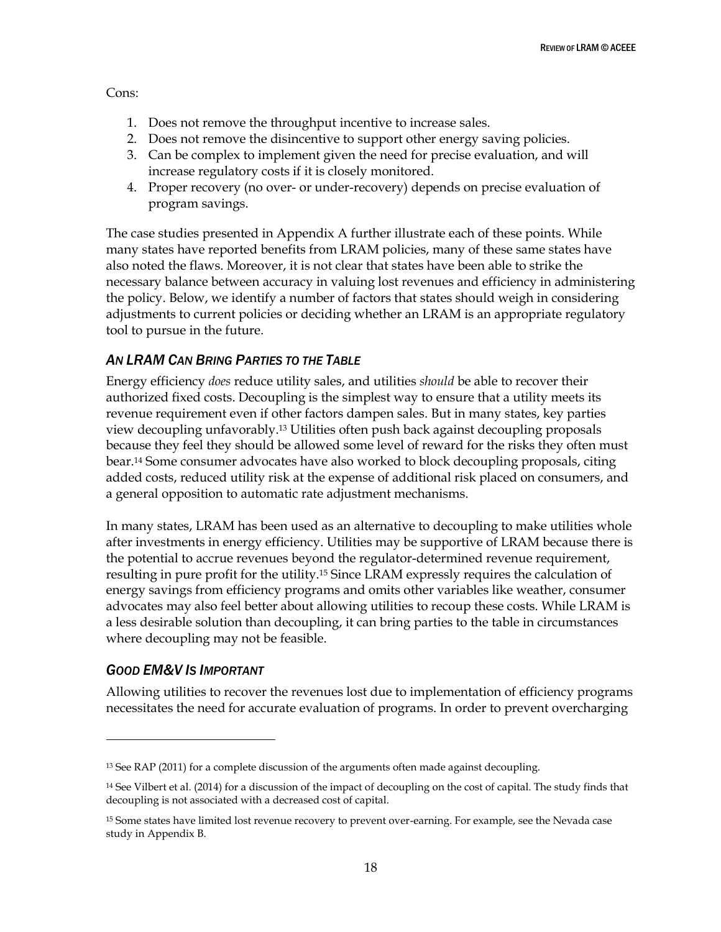Cons:

- 1. Does not remove the throughput incentive to increase sales.
- 2. Does not remove the disincentive to support other energy saving policies.
- 3. Can be complex to implement given the need for precise evaluation, and will increase regulatory costs if it is closely monitored.
- 4. Proper recovery (no over- or under-recovery) depends on precise evaluation of program savings.

The case studies presented in Appendix A further illustrate each of these points. While many states have reported benefits from LRAM policies, many of these same states have also noted the flaws. Moreover, it is not clear that states have been able to strike the necessary balance between accuracy in valuing lost revenues and efficiency in administering the policy. Below, we identify a number of factors that states should weigh in considering adjustments to current policies or deciding whether an LRAM is an appropriate regulatory tool to pursue in the future.

# <span id="page-25-0"></span>*AN LRAM CAN BRING PARTIES TO THE TABLE*

Energy efficiency *does* reduce utility sales, and utilities *should* be able to recover their authorized fixed costs. Decoupling is the simplest way to ensure that a utility meets its revenue requirement even if other factors dampen sales. But in many states, key parties view decoupling unfavorably. <sup>13</sup> Utilities often push back against decoupling proposals because they feel they should be allowed some level of reward for the risks they often must bear.<sup>14</sup> Some consumer advocates have also worked to block decoupling proposals, citing added costs, reduced utility risk at the expense of additional risk placed on consumers, and a general opposition to automatic rate adjustment mechanisms.

In many states, LRAM has been used as an alternative to decoupling to make utilities whole after investments in energy efficiency. Utilities may be supportive of LRAM because there is the potential to accrue revenues beyond the regulator-determined revenue requirement, resulting in pure profit for the utility.<sup>15</sup> Since LRAM expressly requires the calculation of energy savings from efficiency programs and omits other variables like weather, consumer advocates may also feel better about allowing utilities to recoup these costs. While LRAM is a less desirable solution than decoupling, it can bring parties to the table in circumstances where decoupling may not be feasible.

## <span id="page-25-1"></span>*GOOD EM&V IS IMPORTANT*

 $\overline{a}$ 

Allowing utilities to recover the revenues lost due to implementation of efficiency programs necessitates the need for accurate evaluation of programs. In order to prevent overcharging

<sup>13</sup> See RAP (2011) for a complete discussion of the arguments often made against decoupling.

<sup>14</sup> See Vilbert et al. (2014) for a discussion of the impact of decoupling on the cost of capital. The study finds that decoupling is not associated with a decreased cost of capital.

<sup>&</sup>lt;sup>15</sup> Some states have limited lost revenue recovery to prevent over-earning. For example, see the Nevada case study in Appendix B.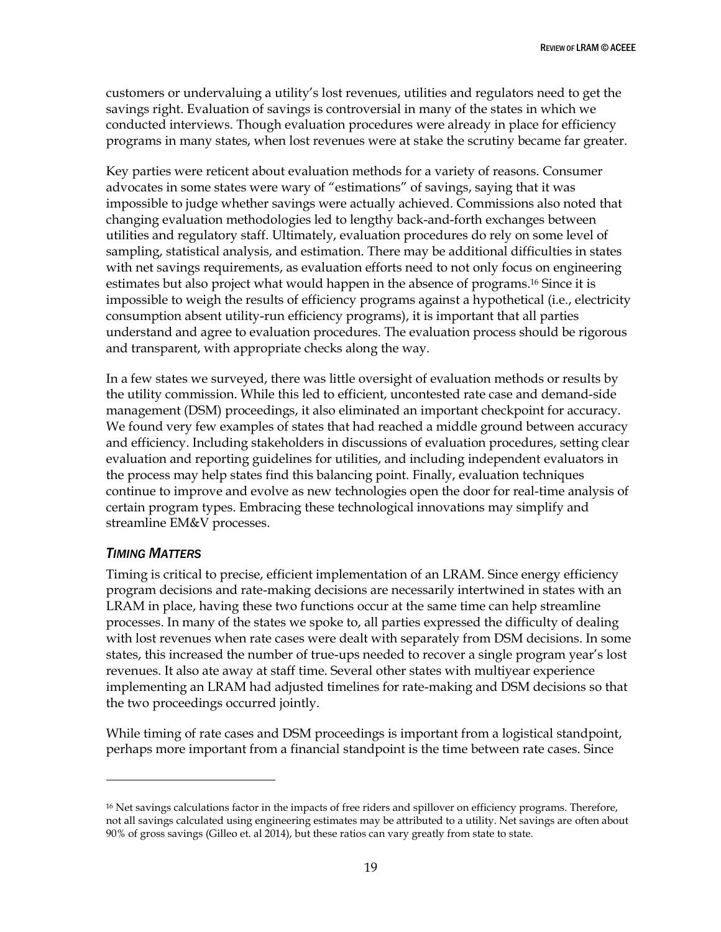customers or undervaluing a utility's lost revenues, utilities and regulators need to get the savings right. Evaluation of savings is controversial in many of the states in which we conducted interviews. Though evaluation procedures were already in place for efficiency programs in many states, when lost revenues were at stake the scrutiny became far greater.

Key parties were reticent about evaluation methods for a variety of reasons. Consumer advocates in some states were wary of "estimations" of savings, saying that it was impossible to judge whether savings were actually achieved. Commissions also noted that changing evaluation methodologies led to lengthy back-and-forth exchanges between utilities and regulatory staff. Ultimately, evaluation procedures do rely on some level of sampling, statistical analysis, and estimation. There may be additional difficulties in states with net savings requirements, as evaluation efforts need to not only focus on engineering estimates but also project what would happen in the absence of programs. <sup>16</sup> Since it is impossible to weigh the results of efficiency programs against a hypothetical (i.e., electricity consumption absent utility-run efficiency programs), it is important that all parties understand and agree to evaluation procedures. The evaluation process should be rigorous and transparent, with appropriate checks along the way.

In a few states we surveyed, there was little oversight of evaluation methods or results by the utility commission. While this led to efficient, uncontested rate case and demand-side management (DSM) proceedings, it also eliminated an important checkpoint for accuracy. We found very few examples of states that had reached a middle ground between accuracy and efficiency. Including stakeholders in discussions of evaluation procedures, setting clear evaluation and reporting guidelines for utilities, and including independent evaluators in the process may help states find this balancing point. Finally, evaluation techniques continue to improve and evolve as new technologies open the door for real-time analysis of certain program types. Embracing these technological innovations may simplify and streamline EM&V processes.

## <span id="page-26-0"></span>*TIMING MATTERS*

 $\overline{a}$ 

Timing is critical to precise, efficient implementation of an LRAM. Since energy efficiency program decisions and rate-making decisions are necessarily intertwined in states with an LRAM in place, having these two functions occur at the same time can help streamline processes. In many of the states we spoke to, all parties expressed the difficulty of dealing with lost revenues when rate cases were dealt with separately from DSM decisions. In some states, this increased the number of true-ups needed to recover a single program year's lost revenues. It also ate away at staff time. Several other states with multiyear experience implementing an LRAM had adjusted timelines for rate-making and DSM decisions so that the two proceedings occurred jointly.

While timing of rate cases and DSM proceedings is important from a logistical standpoint, perhaps more important from a financial standpoint is the time between rate cases. Since

<sup>&</sup>lt;sup>16</sup> Net savings calculations factor in the impacts of free riders and spillover on efficiency programs. Therefore, not all savings calculated using engineering estimates may be attributed to a utility. Net savings are often about 90% of gross savings (Gilleo et. al 2014), but these ratios can vary greatly from state to state.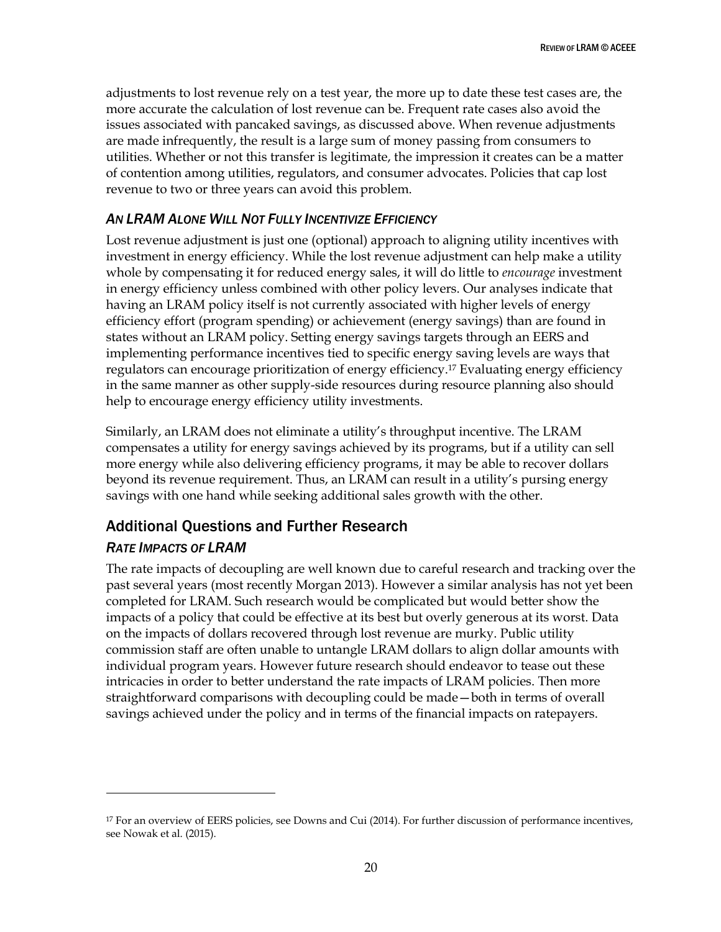adjustments to lost revenue rely on a test year, the more up to date these test cases are, the more accurate the calculation of lost revenue can be. Frequent rate cases also avoid the issues associated with pancaked savings, as discussed above. When revenue adjustments are made infrequently, the result is a large sum of money passing from consumers to utilities. Whether or not this transfer is legitimate, the impression it creates can be a matter of contention among utilities, regulators, and consumer advocates. Policies that cap lost revenue to two or three years can avoid this problem.

# <span id="page-27-0"></span>*AN LRAM ALONE WILL NOT FULLY INCENTIVIZE EFFICIENCY*

Lost revenue adjustment is just one (optional) approach to aligning utility incentives with investment in energy efficiency. While the lost revenue adjustment can help make a utility whole by compensating it for reduced energy sales, it will do little to *encourage* investment in energy efficiency unless combined with other policy levers. Our analyses indicate that having an LRAM policy itself is not currently associated with higher levels of energy efficiency effort (program spending) or achievement (energy savings) than are found in states without an LRAM policy. Setting energy savings targets through an EERS and implementing performance incentives tied to specific energy saving levels are ways that regulators can encourage prioritization of energy efficiency.<sup>17</sup> Evaluating energy efficiency in the same manner as other supply-side resources during resource planning also should help to encourage energy efficiency utility investments.

Similarly, an LRAM does not eliminate a utility's throughput incentive. The LRAM compensates a utility for energy savings achieved by its programs, but if a utility can sell more energy while also delivering efficiency programs, it may be able to recover dollars beyond its revenue requirement. Thus, an LRAM can result in a utility's pursing energy savings with one hand while seeking additional sales growth with the other.

# <span id="page-27-1"></span>Additional Questions and Further Research

# <span id="page-27-2"></span>*RATE IMPACTS OF LRAM*

 $\overline{a}$ 

The rate impacts of decoupling are well known due to careful research and tracking over the past several years (most recently Morgan 2013). However a similar analysis has not yet been completed for LRAM. Such research would be complicated but would better show the impacts of a policy that could be effective at its best but overly generous at its worst. Data on the impacts of dollars recovered through lost revenue are murky. Public utility commission staff are often unable to untangle LRAM dollars to align dollar amounts with individual program years. However future research should endeavor to tease out these intricacies in order to better understand the rate impacts of LRAM policies. Then more straightforward comparisons with decoupling could be made—both in terms of overall savings achieved under the policy and in terms of the financial impacts on ratepayers.

<sup>&</sup>lt;sup>17</sup> For an overview of EERS policies, see Downs and Cui (2014). For further discussion of performance incentives, see Nowak et al. (2015).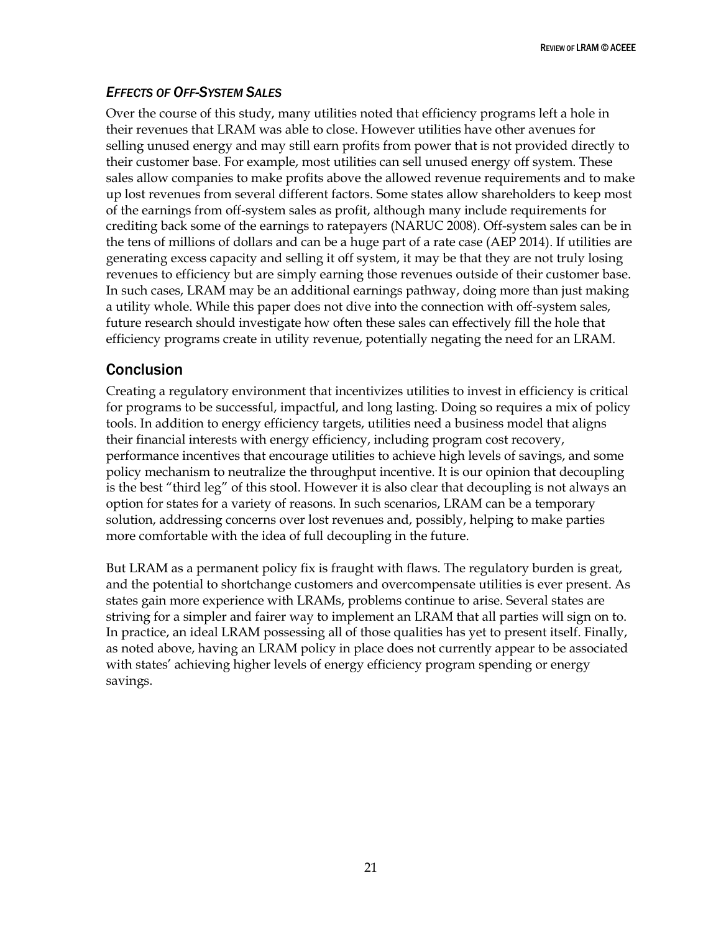REVIEW OF LRAM©ACEEE

# <span id="page-28-0"></span>*EFFECTS OF OFF-SYSTEM SALES*

Over the course of this study, many utilities noted that efficiency programs left a hole in their revenues that LRAM was able to close. However utilities have other avenues for selling unused energy and may still earn profits from power that is not provided directly to their customer base. For example, most utilities can sell unused energy off system. These sales allow companies to make profits above the allowed revenue requirements and to make up lost revenues from several different factors. Some states allow shareholders to keep most of the earnings from off-system sales as profit, although many include requirements for crediting back some of the earnings to ratepayers (NARUC 2008). Off-system sales can be in the tens of millions of dollars and can be a huge part of a rate case (AEP 2014). If utilities are generating excess capacity and selling it off system, it may be that they are not truly losing revenues to efficiency but are simply earning those revenues outside of their customer base. In such cases, LRAM may be an additional earnings pathway, doing more than just making a utility whole. While this paper does not dive into the connection with off-system sales, future research should investigate how often these sales can effectively fill the hole that efficiency programs create in utility revenue, potentially negating the need for an LRAM.

# <span id="page-28-1"></span>Conclusion

Creating a regulatory environment that incentivizes utilities to invest in efficiency is critical for programs to be successful, impactful, and long lasting. Doing so requires a mix of policy tools. In addition to energy efficiency targets, utilities need a business model that aligns their financial interests with energy efficiency, including program cost recovery, performance incentives that encourage utilities to achieve high levels of savings, and some policy mechanism to neutralize the throughput incentive. It is our opinion that decoupling is the best "third leg" of this stool. However it is also clear that decoupling is not always an option for states for a variety of reasons. In such scenarios, LRAM can be a temporary solution, addressing concerns over lost revenues and, possibly, helping to make parties more comfortable with the idea of full decoupling in the future.

But LRAM as a permanent policy fix is fraught with flaws. The regulatory burden is great, and the potential to shortchange customers and overcompensate utilities is ever present. As states gain more experience with LRAMs, problems continue to arise. Several states are striving for a simpler and fairer way to implement an LRAM that all parties will sign on to. In practice, an ideal LRAM possessing all of those qualities has yet to present itself. Finally, as noted above, having an LRAM policy in place does not currently appear to be associated with states' achieving higher levels of energy efficiency program spending or energy savings.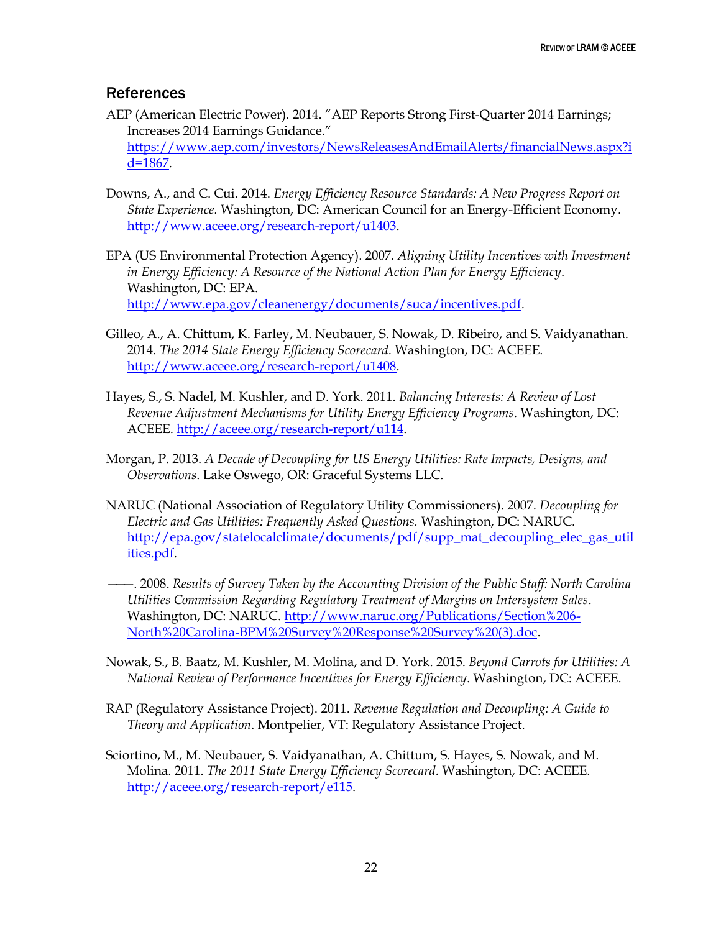# <span id="page-29-0"></span>**References**

AEP (American Electric Power). 2014. "AEP Reports Strong First-Quarter 2014 Earnings; Increases 2014 Earnings Guidance."

[https://www.aep.com/investors/NewsReleasesAndEmailAlerts/financialNews.aspx?i](https://www.aep.com/investors/NewsReleasesAndEmailAlerts/financialNews.aspx?id=1867) [d=1867.](https://www.aep.com/investors/NewsReleasesAndEmailAlerts/financialNews.aspx?id=1867)

- Downs, A., and C. Cui. 2014. *Energy Efficiency Resource Standards: A New Progress Report on State Experience.* Washington, DC: American Council for an Energy-Efficient Economy. [http://www.aceee.org/research-report/u1403.](http://www.aceee.org/research-report/u1403)
- EPA (US Environmental Protection Agency). 2007. *Aligning Utility Incentives with Investment in Energy Efficiency: A Resource of the National Action Plan for Energy Efficiency*. Washington, DC: EPA. [http://www.epa.gov/cleanenergy/documents/suca/incentives.pdf.](http://www.epa.gov/cleanenergy/documents/suca/incentives.pdf)
- Gilleo, A., A. Chittum, K. Farley, M. Neubauer, S. Nowak, D. Ribeiro, and S. Vaidyanathan. 2014. *The 2014 State Energy Efficiency Scorecard*. Washington, DC: ACEEE. [http://www.aceee.org/research-report/u1408.](http://www.aceee.org/research-report/u1408)
- Hayes, S., S. Nadel, M. Kushler, and D. York. 2011. *Balancing Interests: A Review of Lost Revenue Adjustment Mechanisms for Utility Energy Efficiency Programs*. Washington, DC: ACEEE. [http://aceee.org/research-report/u114.](http://aceee.org/research-report/u114)
- Morgan, P. 2013. *A Decade of Decoupling for US Energy Utilities: Rate Impacts, Designs, and Observations*. Lake Oswego, OR: Graceful Systems LLC.
- NARUC (National Association of Regulatory Utility Commissioners). 2007. *Decoupling for Electric and Gas Utilities: Frequently Asked Questions.* Washington, DC: NARUC. [http://epa.gov/statelocalclimate/documents/pdf/supp\\_mat\\_decoupling\\_elec\\_gas\\_util](http://epa.gov/statelocalclimate/documents/pdf/supp_mat_decoupling_elec_gas_utilities.pdf) [ities.pdf.](http://epa.gov/statelocalclimate/documents/pdf/supp_mat_decoupling_elec_gas_utilities.pdf)
- ———. 2008. *Results of Survey Taken by the Accounting Division of the Public Staff: North Carolina Utilities Commission Regarding Regulatory Treatment of Margins on Intersystem Sales*. Washington, DC: NARUC. [http://www.naruc.org/Publications/Section%206-](http://www.naruc.org/Publications/Section%206-North%20Carolina-BPM%20Survey%20Response%20Survey%20(3).doc) [North%20Carolina-BPM%20Survey%20Response%20Survey%20\(3\).doc.](http://www.naruc.org/Publications/Section%206-North%20Carolina-BPM%20Survey%20Response%20Survey%20(3).doc)
- Nowak, S., B. Baatz, M. Kushler, M. Molina, and D. York. 2015. *Beyond Carrots for Utilities: A National Review of Performance Incentives for Energy Efficiency*. Washington, DC: ACEEE.
- RAP (Regulatory Assistance Project). 2011. *Revenue Regulation and Decoupling: A Guide to Theory and Application*. Montpelier, VT: Regulatory Assistance Project.
- Sciortino, M., M. Neubauer, S. Vaidyanathan, A. Chittum, S. Hayes, S. Nowak, and M. Molina. 2011. *The 2011 State Energy Efficiency Scorecard.* Washington, DC: ACEEE. [http://aceee.org/research-report/e115.](http://aceee.org/research-report/e115)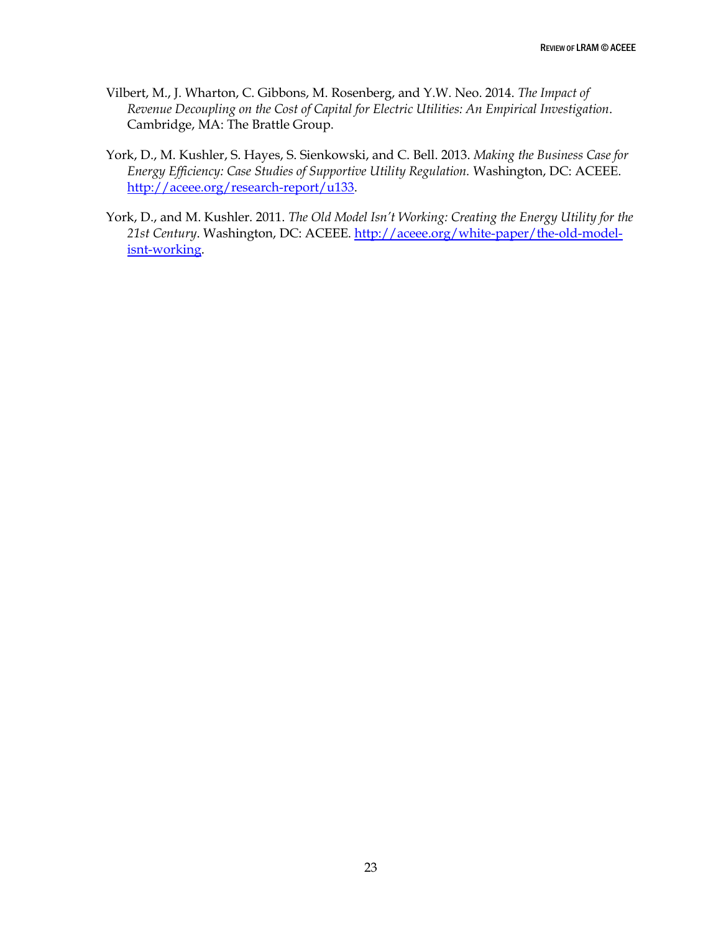- Vilbert, M., J. Wharton, C. Gibbons, M. Rosenberg, and Y.W. Neo. 2014. *The Impact of Revenue Decoupling on the Cost of Capital for Electric Utilities: An Empirical Investigation*. Cambridge, MA: The Brattle Group.
- York, D., M. Kushler, S. Hayes, S. Sienkowski, and C. Bell. 2013. *Making the Business Case for Energy Efficiency: Case Studies of Supportive Utility Regulation.* Washington, DC: ACEEE. [http://aceee.org/research-report/u133.](http://aceee.org/research-report/u133)
- York, D., and M. Kushler. 2011. *The Old Model Isn't Working: Creating the Energy Utility for the 21st Century*. Washington, DC: ACEEE. [http://aceee.org/white-paper/the-old-model](http://aceee.org/white-paper/the-old-model-isnt-working)[isnt-working.](http://aceee.org/white-paper/the-old-model-isnt-working)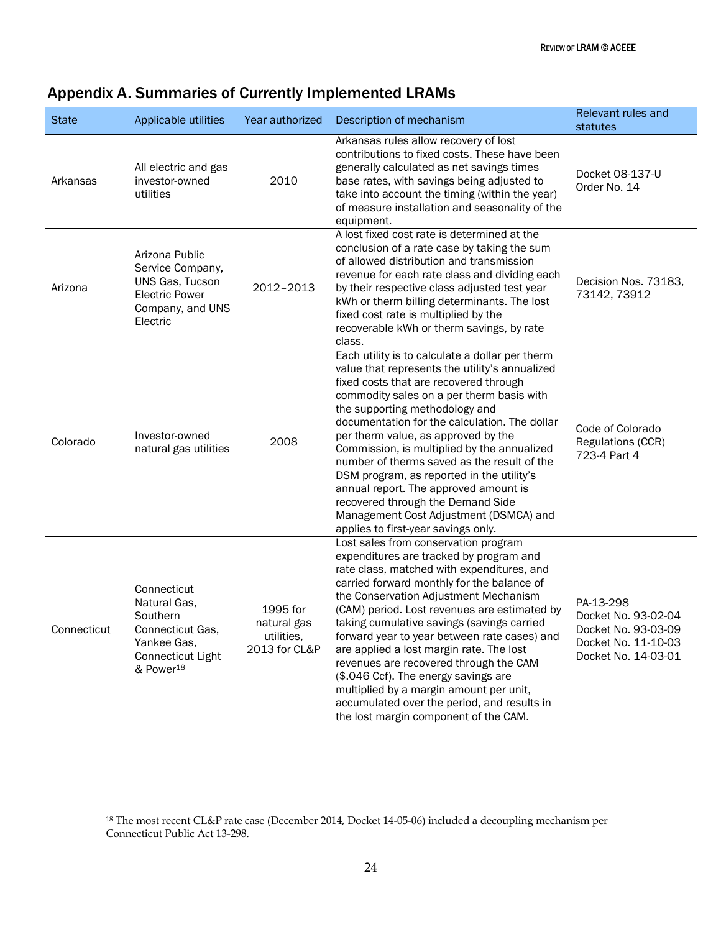| <b>State</b> | Applicable utilities                                                                                                            | Year authorized                                        | Description of mechanism                                                                                                                                                                                                                                                                                                                                                                                                                                                                                                                                                                                                            | Relevant rules and<br>statutes                                                                        |
|--------------|---------------------------------------------------------------------------------------------------------------------------------|--------------------------------------------------------|-------------------------------------------------------------------------------------------------------------------------------------------------------------------------------------------------------------------------------------------------------------------------------------------------------------------------------------------------------------------------------------------------------------------------------------------------------------------------------------------------------------------------------------------------------------------------------------------------------------------------------------|-------------------------------------------------------------------------------------------------------|
| Arkansas     | All electric and gas<br>investor-owned<br>utilities                                                                             | 2010                                                   | Arkansas rules allow recovery of lost<br>contributions to fixed costs. These have been<br>generally calculated as net savings times<br>base rates, with savings being adjusted to<br>take into account the timing (within the year)<br>of measure installation and seasonality of the<br>equipment.                                                                                                                                                                                                                                                                                                                                 | Docket 08-137-U<br>Order No. 14                                                                       |
| Arizona      | Arizona Public<br>Service Company,<br>UNS Gas, Tucson<br><b>Electric Power</b><br>Company, and UNS<br>Electric                  | 2012-2013                                              | A lost fixed cost rate is determined at the<br>conclusion of a rate case by taking the sum<br>of allowed distribution and transmission<br>revenue for each rate class and dividing each<br>by their respective class adjusted test year<br>kWh or therm billing determinants. The lost<br>fixed cost rate is multiplied by the<br>recoverable kWh or therm savings, by rate<br>class.                                                                                                                                                                                                                                               | Decision Nos. 73183,<br>73142, 73912                                                                  |
| Colorado     | Investor-owned<br>natural gas utilities                                                                                         | 2008                                                   | Each utility is to calculate a dollar per therm<br>value that represents the utility's annualized<br>fixed costs that are recovered through<br>commodity sales on a per therm basis with<br>the supporting methodology and<br>documentation for the calculation. The dollar<br>per therm value, as approved by the<br>Commission, is multiplied by the annualized<br>number of therms saved as the result of the<br>DSM program, as reported in the utility's<br>annual report. The approved amount is<br>recovered through the Demand Side<br>Management Cost Adjustment (DSMCA) and<br>applies to first-year savings only.        | Code of Colorado<br>Regulations (CCR)<br>723-4 Part 4                                                 |
| Connecticut  | Connecticut<br>Natural Gas,<br>Southern<br>Connecticut Gas,<br>Yankee Gas,<br><b>Connecticut Light</b><br>& Power <sup>18</sup> | 1995 for<br>natural gas<br>utilities,<br>2013 for CL&P | Lost sales from conservation program<br>expenditures are tracked by program and<br>rate class, matched with expenditures, and<br>carried forward monthly for the balance of<br>the Conservation Adjustment Mechanism<br>(CAM) period. Lost revenues are estimated by<br>taking cumulative savings (savings carried<br>forward year to year between rate cases) and<br>are applied a lost margin rate. The lost<br>revenues are recovered through the CAM<br>(\$.046 Ccf). The energy savings are<br>multiplied by a margin amount per unit,<br>accumulated over the period, and results in<br>the lost margin component of the CAM. | PA-13-298<br>Docket No. 93-02-04<br>Docket No. 93-03-09<br>Docket No. 11-10-03<br>Docket No. 14-03-01 |

# <span id="page-31-0"></span>Appendix A. Summaries of Currently Implemented LRAMs

 $\overline{a}$ 

<sup>18</sup> The most recent CL&P rate case (December 2014, Docket 14-05-06) included a decoupling mechanism per Connecticut Public Act 13-298.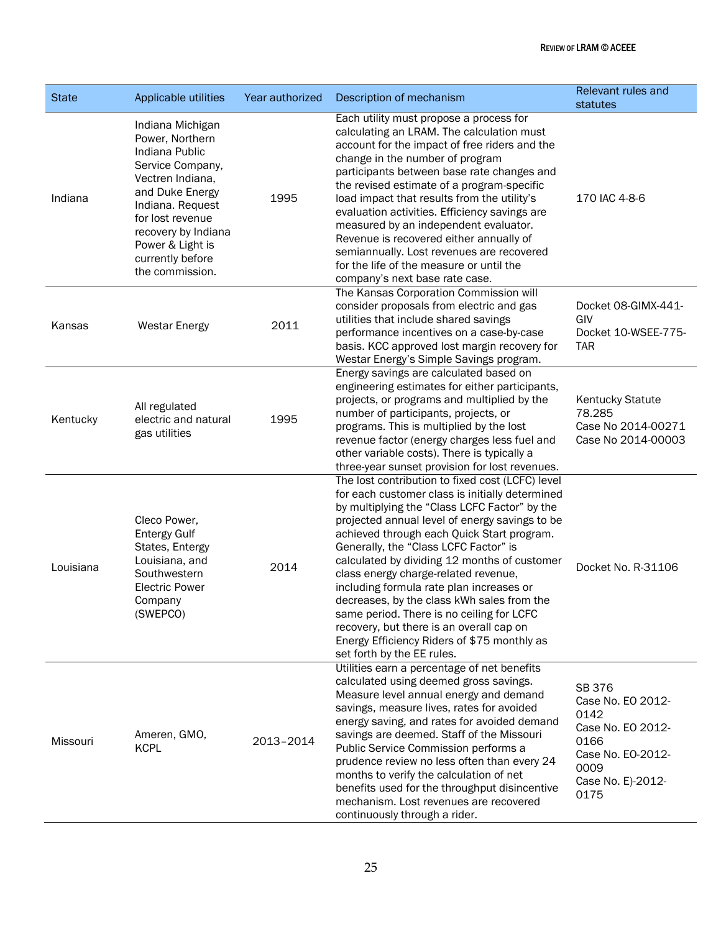| <b>State</b> | Applicable utilities                                                                                                                                                                                                                       | Year authorized | Description of mechanism                                                                                                                                                                                                                                                                                                                                                                                                                                                                                                                                                                                                                              | Relevant rules and<br>statutes                                                                                             |
|--------------|--------------------------------------------------------------------------------------------------------------------------------------------------------------------------------------------------------------------------------------------|-----------------|-------------------------------------------------------------------------------------------------------------------------------------------------------------------------------------------------------------------------------------------------------------------------------------------------------------------------------------------------------------------------------------------------------------------------------------------------------------------------------------------------------------------------------------------------------------------------------------------------------------------------------------------------------|----------------------------------------------------------------------------------------------------------------------------|
| Indiana      | Indiana Michigan<br>Power, Northern<br>Indiana Public<br>Service Company,<br>Vectren Indiana,<br>and Duke Energy<br>Indiana. Request<br>for lost revenue<br>recovery by Indiana<br>Power & Light is<br>currently before<br>the commission. | 1995            | Each utility must propose a process for<br>calculating an LRAM. The calculation must<br>account for the impact of free riders and the<br>change in the number of program<br>participants between base rate changes and<br>the revised estimate of a program-specific<br>load impact that results from the utility's<br>evaluation activities. Efficiency savings are<br>measured by an independent evaluator.<br>Revenue is recovered either annually of<br>semiannually. Lost revenues are recovered<br>for the life of the measure or until the<br>company's next base rate case.                                                                   | 170 IAC 4-8-6                                                                                                              |
| Kansas       | <b>Westar Energy</b>                                                                                                                                                                                                                       | 2011            | The Kansas Corporation Commission will<br>consider proposals from electric and gas<br>utilities that include shared savings<br>performance incentives on a case-by-case<br>basis. KCC approved lost margin recovery for<br>Westar Energy's Simple Savings program.                                                                                                                                                                                                                                                                                                                                                                                    | Docket 08-GIMX-441-<br>GIV<br>Docket 10-WSEE-775-<br><b>TAR</b>                                                            |
| Kentucky     | All regulated<br>electric and natural<br>gas utilities                                                                                                                                                                                     | 1995            | Energy savings are calculated based on<br>engineering estimates for either participants,<br>projects, or programs and multiplied by the<br>number of participants, projects, or<br>programs. This is multiplied by the lost<br>revenue factor (energy charges less fuel and<br>other variable costs). There is typically a<br>three-year sunset provision for lost revenues.                                                                                                                                                                                                                                                                          | <b>Kentucky Statute</b><br>78.285<br>Case No 2014-00271<br>Case No 2014-00003                                              |
| Louisiana    | Cleco Power,<br><b>Entergy Gulf</b><br>States, Entergy<br>Louisiana, and<br>Southwestern<br><b>Electric Power</b><br>Company<br>(SWEPCO)                                                                                                   | 2014            | The lost contribution to fixed cost (LCFC) level<br>for each customer class is initially determined<br>by multiplying the "Class LCFC Factor" by the<br>projected annual level of energy savings to be<br>achieved through each Quick Start program.<br>Generally, the "Class LCFC Factor" is<br>calculated by dividing 12 months of customer<br>class energy charge-related revenue,<br>including formula rate plan increases or<br>decreases, by the class kWh sales from the<br>same period. There is no ceiling for LCFC<br>recovery, but there is an overall cap on<br>Energy Efficiency Riders of \$75 monthly as<br>set forth by the EE rules. | Docket No. R-31106                                                                                                         |
| Missouri     | Ameren, GMO,<br><b>KCPL</b>                                                                                                                                                                                                                | 2013-2014       | Utilities earn a percentage of net benefits<br>calculated using deemed gross savings.<br>Measure level annual energy and demand<br>savings, measure lives, rates for avoided<br>energy saving, and rates for avoided demand<br>savings are deemed. Staff of the Missouri<br>Public Service Commission performs a<br>prudence review no less often than every 24<br>months to verify the calculation of net<br>benefits used for the throughput disincentive<br>mechanism. Lost revenues are recovered<br>continuously through a rider.                                                                                                                | SB 376<br>Case No. EO 2012-<br>0142<br>Case No. EO 2012-<br>0166<br>Case No. EO-2012-<br>0009<br>Case No. E)-2012-<br>0175 |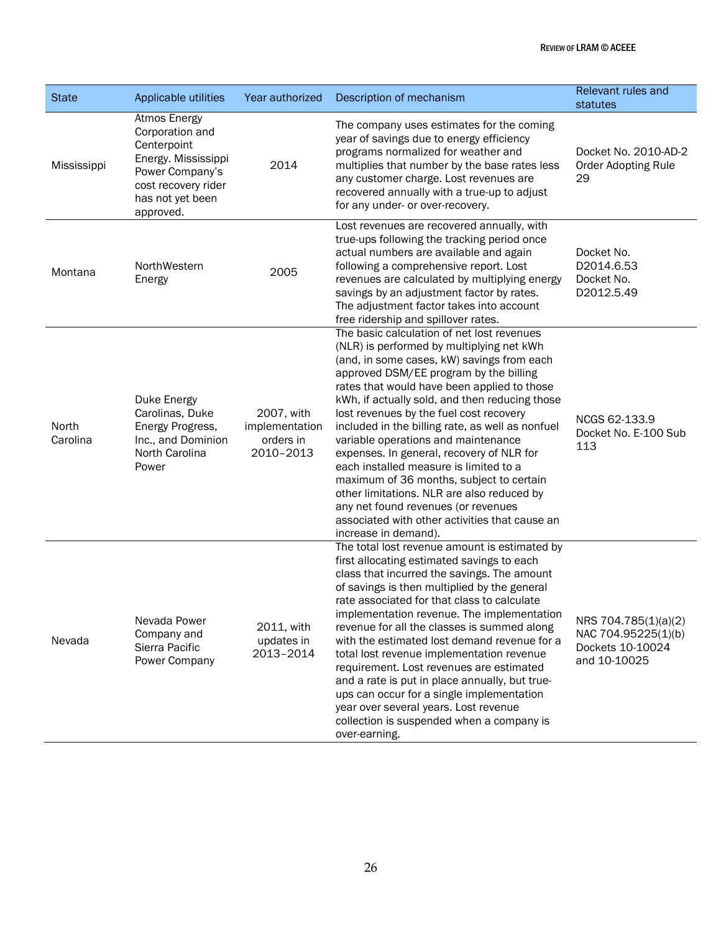| <b>State</b>      | Applicable utilities                                                                                                                                    | Year authorized                                        | Description of mechanism                                                                                                                                                                                                                                                                                                                                                                                                                                                                                                                                                                                                                                                                                                 | Relevant rules and<br>statutes                                                  |
|-------------------|---------------------------------------------------------------------------------------------------------------------------------------------------------|--------------------------------------------------------|--------------------------------------------------------------------------------------------------------------------------------------------------------------------------------------------------------------------------------------------------------------------------------------------------------------------------------------------------------------------------------------------------------------------------------------------------------------------------------------------------------------------------------------------------------------------------------------------------------------------------------------------------------------------------------------------------------------------------|---------------------------------------------------------------------------------|
| Mississippi       | <b>Atmos Energy</b><br>Corporation and<br>Centerpoint<br>Energy. Mississippi<br>Power Company's<br>cost recovery rider<br>has not yet been<br>approved. | 2014                                                   | The company uses estimates for the coming<br>year of savings due to energy efficiency<br>programs normalized for weather and<br>multiplies that number by the base rates less<br>any customer charge. Lost revenues are<br>recovered annually with a true-up to adjust<br>for any under- or over-recovery.                                                                                                                                                                                                                                                                                                                                                                                                               | Docket No. 2010-AD-2<br><b>Order Adopting Rule</b><br>29                        |
| Montana           | NorthWestern<br>Energy                                                                                                                                  | 2005                                                   | Lost revenues are recovered annually, with<br>true-ups following the tracking period once<br>actual numbers are available and again<br>following a comprehensive report. Lost<br>revenues are calculated by multiplying energy<br>savings by an adjustment factor by rates.<br>The adjustment factor takes into account<br>free ridership and spillover rates.                                                                                                                                                                                                                                                                                                                                                           | Docket No.<br>D2014.6.53<br>Docket No.<br>D2012.5.49                            |
| North<br>Carolina | Duke Energy<br>Carolinas, Duke<br>Energy Progress,<br>Inc., and Dominion<br>North Carolina<br>Power                                                     | 2007, with<br>implementation<br>orders in<br>2010-2013 | The basic calculation of net lost revenues<br>(NLR) is performed by multiplying net kWh<br>(and, in some cases, kW) savings from each<br>approved DSM/EE program by the billing<br>rates that would have been applied to those<br>kWh, if actually sold, and then reducing those<br>lost revenues by the fuel cost recovery<br>included in the billing rate, as well as nonfuel<br>variable operations and maintenance<br>expenses. In general, recovery of NLR for<br>each installed measure is limited to a<br>maximum of 36 months, subject to certain<br>other limitations. NLR are also reduced by<br>any net found revenues (or revenues<br>associated with other activities that cause an<br>increase in demand). | NCGS 62-133.9<br>Docket No. E-100 Sub<br>113                                    |
| Nevada            | Nevada Power<br>Company and<br>Sierra Pacific<br>Power Company                                                                                          | 2011, with<br>updates in<br>2013-2014                  | The total lost revenue amount is estimated by<br>first allocating estimated savings to each<br>class that incurred the savings. The amount<br>of savings is then multiplied by the general<br>rate associated for that class to calculate<br>implementation revenue. The implementation<br>revenue for all the classes is summed along<br>with the estimated lost demand revenue for a<br>total lost revenue implementation revenue<br>requirement. Lost revenues are estimated<br>and a rate is put in place annually, but true-<br>ups can occur for a single implementation<br>year over several years. Lost revenue<br>collection is suspended when a company is<br>over-earning.                                    | NRS 704.785(1)(a)(2)<br>NAC 704.95225(1)(b)<br>Dockets 10-10024<br>and 10-10025 |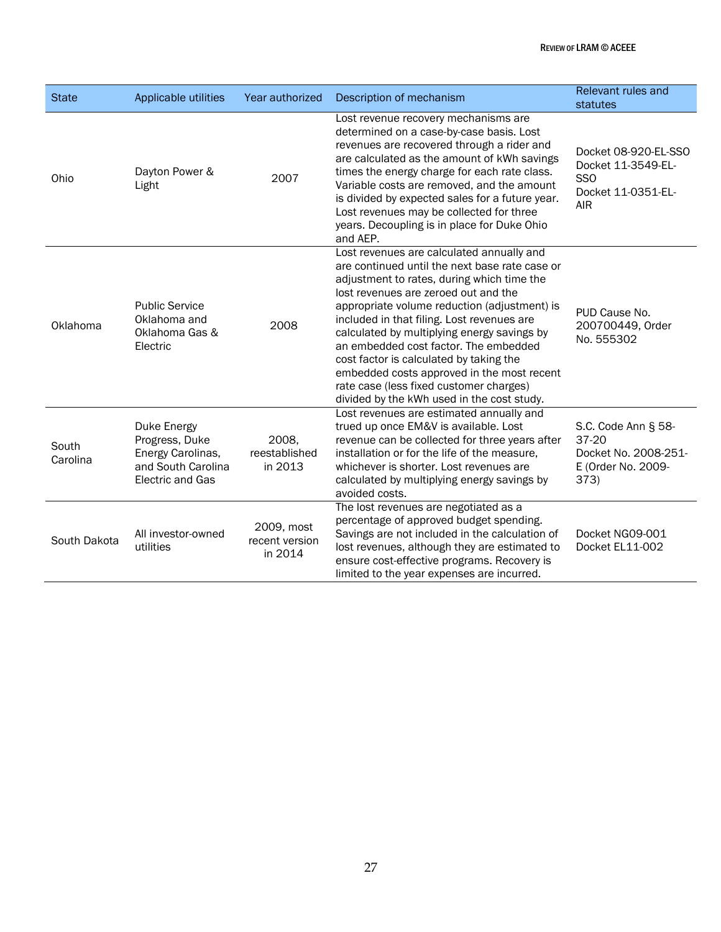| <b>State</b>      | Applicable utilities                                                                                | Year authorized                         | Description of mechanism                                                                                                                                                                                                                                                                                                                                                                                                                                                                                                                                  | Relevant rules and<br>statutes                                                                    |
|-------------------|-----------------------------------------------------------------------------------------------------|-----------------------------------------|-----------------------------------------------------------------------------------------------------------------------------------------------------------------------------------------------------------------------------------------------------------------------------------------------------------------------------------------------------------------------------------------------------------------------------------------------------------------------------------------------------------------------------------------------------------|---------------------------------------------------------------------------------------------------|
| Ohio              | Dayton Power &<br>Light                                                                             | 2007                                    | Lost revenue recovery mechanisms are<br>determined on a case-by-case basis. Lost<br>revenues are recovered through a rider and<br>are calculated as the amount of kWh savings<br>times the energy charge for each rate class.<br>Variable costs are removed, and the amount<br>is divided by expected sales for a future year.<br>Lost revenues may be collected for three<br>years. Decoupling is in place for Duke Ohio<br>and AEP.                                                                                                                     | Docket 08-920-EL-SSO<br>Docket 11-3549-EL-<br>SS <sub>O</sub><br>Docket 11-0351-EL-<br><b>AIR</b> |
| Oklahoma          | <b>Public Service</b><br>Oklahoma and<br>Oklahoma Gas &<br>Electric                                 | 2008                                    | Lost revenues are calculated annually and<br>are continued until the next base rate case or<br>adjustment to rates, during which time the<br>lost revenues are zeroed out and the<br>appropriate volume reduction (adjustment) is<br>included in that filing. Lost revenues are<br>calculated by multiplying energy savings by<br>an embedded cost factor. The embedded<br>cost factor is calculated by taking the<br>embedded costs approved in the most recent<br>rate case (less fixed customer charges)<br>divided by the kWh used in the cost study. | PUD Cause No.<br>200700449, Order<br>No. 555302                                                   |
| South<br>Carolina | Duke Energy<br>Progress, Duke<br>Energy Carolinas,<br>and South Carolina<br><b>Electric and Gas</b> | 2008,<br>reestablished<br>in 2013       | Lost revenues are estimated annually and<br>trued up once EM&V is available. Lost<br>revenue can be collected for three years after<br>installation or for the life of the measure,<br>whichever is shorter. Lost revenues are<br>calculated by multiplying energy savings by<br>avoided costs.                                                                                                                                                                                                                                                           | S.C. Code Ann § 58-<br>$37 - 20$<br>Docket No. 2008-251-<br>E (Order No. 2009-<br>373)            |
| South Dakota      | All investor-owned<br>utilities                                                                     | 2009, most<br>recent version<br>in 2014 | The lost revenues are negotiated as a<br>percentage of approved budget spending.<br>Savings are not included in the calculation of<br>lost revenues, although they are estimated to<br>ensure cost-effective programs. Recovery is<br>limited to the year expenses are incurred.                                                                                                                                                                                                                                                                          | Docket NG09-001<br>Docket EL11-002                                                                |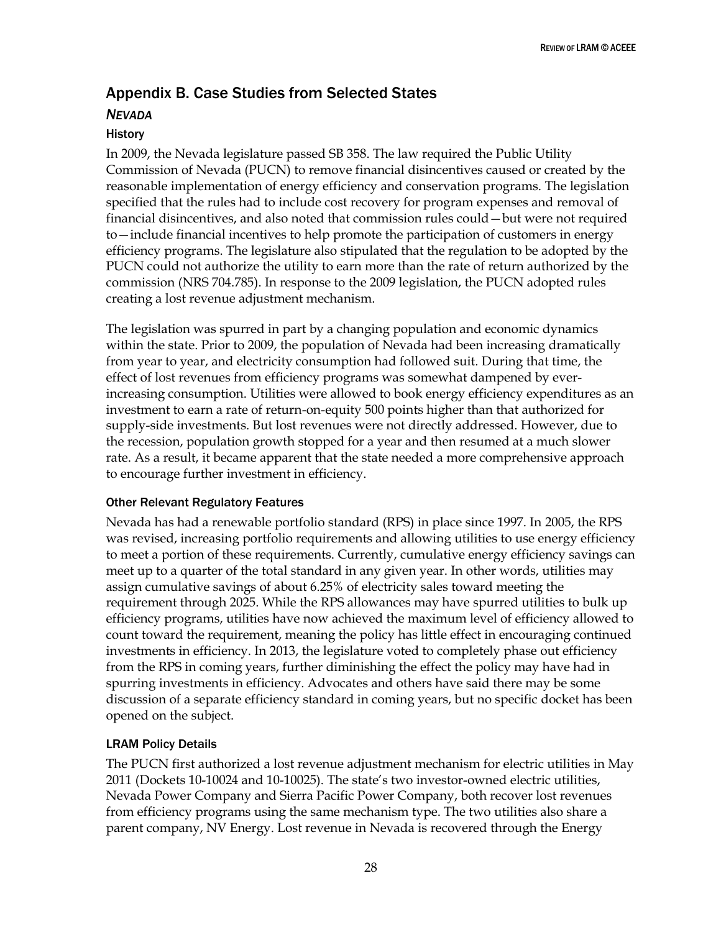# <span id="page-35-0"></span>Appendix B. Case Studies from Selected States

# <span id="page-35-1"></span>*NEVADA*

# **History**

In 2009, the Nevada legislature passed SB 358. The law required the Public Utility Commission of Nevada (PUCN) to remove financial disincentives caused or created by the reasonable implementation of energy efficiency and conservation programs. The legislation specified that the rules had to include cost recovery for program expenses and removal of financial disincentives, and also noted that commission rules could—but were not required to—include financial incentives to help promote the participation of customers in energy efficiency programs. The legislature also stipulated that the regulation to be adopted by the PUCN could not authorize the utility to earn more than the rate of return authorized by the commission (NRS 704.785). In response to the 2009 legislation, the PUCN adopted rules creating a lost revenue adjustment mechanism.

The legislation was spurred in part by a changing population and economic dynamics within the state. Prior to 2009, the population of Nevada had been increasing dramatically from year to year, and electricity consumption had followed suit. During that time, the effect of lost revenues from efficiency programs was somewhat dampened by everincreasing consumption. Utilities were allowed to book energy efficiency expenditures as an investment to earn a rate of return-on-equity 500 points higher than that authorized for supply-side investments. But lost revenues were not directly addressed. However, due to the recession, population growth stopped for a year and then resumed at a much slower rate. As a result, it became apparent that the state needed a more comprehensive approach to encourage further investment in efficiency.

## Other Relevant Regulatory Features

Nevada has had a renewable portfolio standard (RPS) in place since 1997. In 2005, the RPS was revised, increasing portfolio requirements and allowing utilities to use energy efficiency to meet a portion of these requirements. Currently, cumulative energy efficiency savings can meet up to a quarter of the total standard in any given year. In other words, utilities may assign cumulative savings of about 6.25% of electricity sales toward meeting the requirement through 2025. While the RPS allowances may have spurred utilities to bulk up efficiency programs, utilities have now achieved the maximum level of efficiency allowed to count toward the requirement, meaning the policy has little effect in encouraging continued investments in efficiency. In 2013, the legislature voted to completely phase out efficiency from the RPS in coming years, further diminishing the effect the policy may have had in spurring investments in efficiency. Advocates and others have said there may be some discussion of a separate efficiency standard in coming years, but no specific docket has been opened on the subject.

## LRAM Policy Details

The PUCN first authorized a lost revenue adjustment mechanism for electric utilities in May 2011 (Dockets 10-10024 and 10-10025). The state's two investor-owned electric utilities, Nevada Power Company and Sierra Pacific Power Company, both recover lost revenues from efficiency programs using the same mechanism type. The two utilities also share a parent company, NV Energy. Lost revenue in Nevada is recovered through the Energy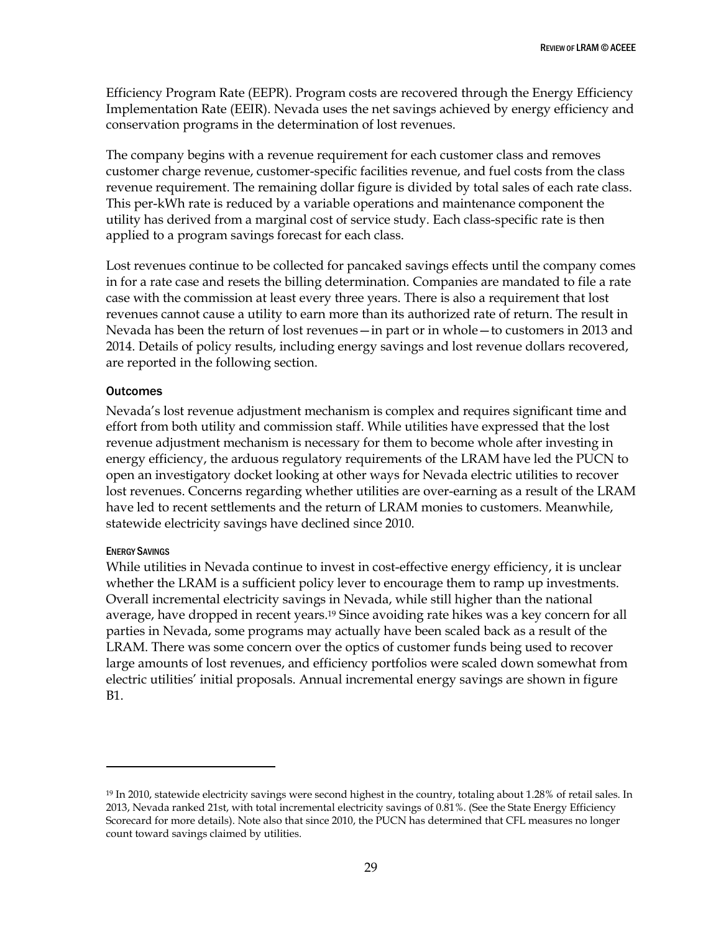Efficiency Program Rate (EEPR). Program costs are recovered through the Energy Efficiency Implementation Rate (EEIR). Nevada uses the net savings achieved by energy efficiency and conservation programs in the determination of lost revenues.

The company begins with a revenue requirement for each customer class and removes customer charge revenue, customer-specific facilities revenue, and fuel costs from the class revenue requirement. The remaining dollar figure is divided by total sales of each rate class. This per-kWh rate is reduced by a variable operations and maintenance component the utility has derived from a marginal cost of service study. Each class-specific rate is then applied to a program savings forecast for each class.

Lost revenues continue to be collected for pancaked savings effects until the company comes in for a rate case and resets the billing determination. Companies are mandated to file a rate case with the commission at least every three years. There is also a requirement that lost revenues cannot cause a utility to earn more than its authorized rate of return. The result in Nevada has been the return of lost revenues—in part or in whole—to customers in 2013 and 2014. Details of policy results, including energy savings and lost revenue dollars recovered, are reported in the following section.

#### Outcomes

Nevada's lost revenue adjustment mechanism is complex and requires significant time and effort from both utility and commission staff. While utilities have expressed that the lost revenue adjustment mechanism is necessary for them to become whole after investing in energy efficiency, the arduous regulatory requirements of the LRAM have led the PUCN to open an investigatory docket looking at other ways for Nevada electric utilities to recover lost revenues. Concerns regarding whether utilities are over-earning as a result of the LRAM have led to recent settlements and the return of LRAM monies to customers. Meanwhile, statewide electricity savings have declined since 2010.

#### ENERGY SAVINGS

 $\ddot{\phantom{a}}$ 

While utilities in Nevada continue to invest in cost-effective energy efficiency, it is unclear whether the LRAM is a sufficient policy lever to encourage them to ramp up investments. Overall incremental electricity savings in Nevada, while still higher than the national average, have dropped in recent years.<sup>19</sup> Since avoiding rate hikes was a key concern for all parties in Nevada, some programs may actually have been scaled back as a result of the LRAM. There was some concern over the optics of customer funds being used to recover large amounts of lost revenues, and efficiency portfolios were scaled down somewhat from electric utilities' initial proposals. Annual incremental energy savings are shown in figure B1.

<sup>19</sup> In 2010, statewide electricity savings were second highest in the country, totaling about 1.28% of retail sales. In 2013, Nevada ranked 21st, with total incremental electricity savings of 0.81%. (See the State Energy Efficiency Scorecard for more details). Note also that since 2010, the PUCN has determined that CFL measures no longer count toward savings claimed by utilities.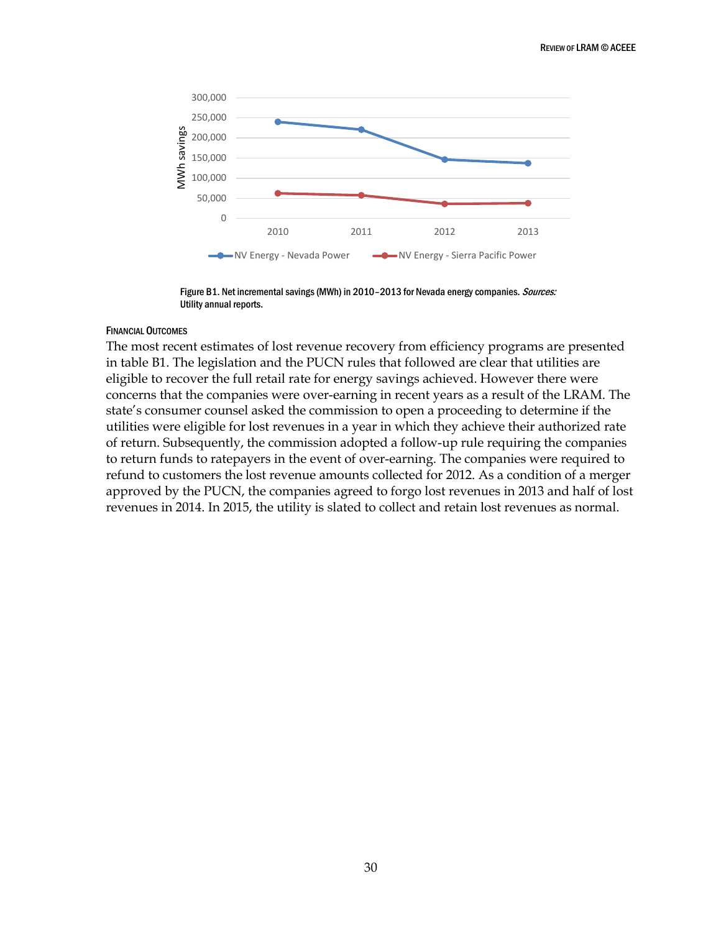

Figure B1. Net incremental savings (MWh) in 2010-2013 for Nevada energy companies. Sources: Utility annual reports.

#### FINANCIAL OUTCOMES

The most recent estimates of lost revenue recovery from efficiency programs are presented in table B1. The legislation and the PUCN rules that followed are clear that utilities are eligible to recover the full retail rate for energy savings achieved. However there were concerns that the companies were over-earning in recent years as a result of the LRAM. The state's consumer counsel asked the commission to open a proceeding to determine if the utilities were eligible for lost revenues in a year in which they achieve their authorized rate of return. Subsequently, the commission adopted a follow-up rule requiring the companies to return funds to ratepayers in the event of over-earning. The companies were required to refund to customers the lost revenue amounts collected for 2012. As a condition of a merger approved by the PUCN, the companies agreed to forgo lost revenues in 2013 and half of lost revenues in 2014. In 2015, the utility is slated to collect and retain lost revenues as normal.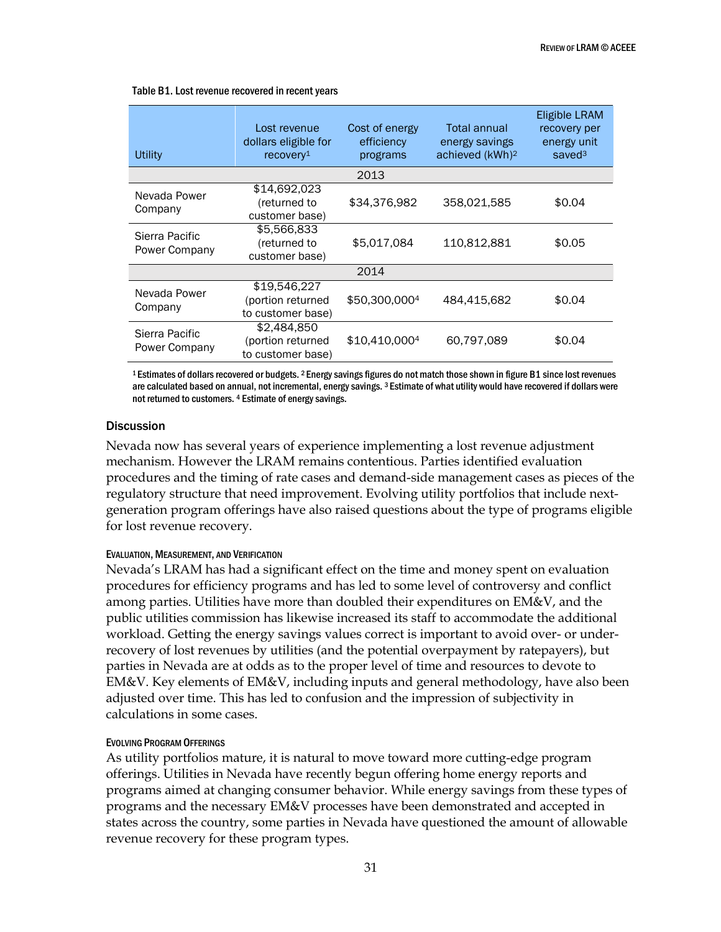| Table B1. Lost revenue recovered in recent years |  |
|--------------------------------------------------|--|
|                                                  |  |

| Utility                         | Lost revenue<br>dollars eligible for<br>recovery <sup>1</sup> | Cost of energy<br>efficiency<br>programs | Total annual<br>energy savings<br>achieved (kWh) <sup>2</sup> | <b>Eligible LRAM</b><br>recovery per<br>energy unit<br>save $d^3$ |
|---------------------------------|---------------------------------------------------------------|------------------------------------------|---------------------------------------------------------------|-------------------------------------------------------------------|
|                                 |                                                               | 2013                                     |                                                               |                                                                   |
| Nevada Power<br>Company         | \$14,692,023<br>(returned to<br>customer base)                | \$34,376,982                             | 358,021,585                                                   | \$0.04                                                            |
| Sierra Pacific<br>Power Company | \$5,566,833<br>(returned to<br>customer base)                 | \$5,017,084                              | 110,812,881                                                   | \$0.05                                                            |
|                                 |                                                               | 2014                                     |                                                               |                                                                   |
| Nevada Power<br>Company         | \$19,546,227<br>(portion returned<br>to customer base)        | \$50,300,0004                            | 484.415.682                                                   | \$0.04                                                            |
| Sierra Pacific<br>Power Company | \$2,484,850<br>(portion returned<br>to customer base)         | \$10.410.0004                            | 60.797.089                                                    | \$0.04                                                            |

 $^1$  Estimates of dollars recovered or budgets.  $^2$  Energy savings figures do not match those shown in figure B1 since lost revenues are calculated based on annual, not incremental, energy savings. <sup>3</sup> Estimate of what utility would have recovered if dollars were not returned to customers. <sup>4</sup> Estimate of energy savings.

#### **Discussion**

Nevada now has several years of experience implementing a lost revenue adjustment mechanism. However the LRAM remains contentious. Parties identified evaluation procedures and the timing of rate cases and demand-side management cases as pieces of the regulatory structure that need improvement. Evolving utility portfolios that include nextgeneration program offerings have also raised questions about the type of programs eligible for lost revenue recovery.

#### EVALUATION, MEASUREMENT, AND VERIFICATION

Nevada's LRAM has had a significant effect on the time and money spent on evaluation procedures for efficiency programs and has led to some level of controversy and conflict among parties. Utilities have more than doubled their expenditures on EM&V, and the public utilities commission has likewise increased its staff to accommodate the additional workload. Getting the energy savings values correct is important to avoid over- or underrecovery of lost revenues by utilities (and the potential overpayment by ratepayers), but parties in Nevada are at odds as to the proper level of time and resources to devote to EM&V. Key elements of EM&V, including inputs and general methodology, have also been adjusted over time. This has led to confusion and the impression of subjectivity in calculations in some cases.

#### EVOLVING PROGRAM OFFERINGS

As utility portfolios mature, it is natural to move toward more cutting-edge program offerings. Utilities in Nevada have recently begun offering home energy reports and programs aimed at changing consumer behavior. While energy savings from these types of programs and the necessary EM&V processes have been demonstrated and accepted in states across the country, some parties in Nevada have questioned the amount of allowable revenue recovery for these program types.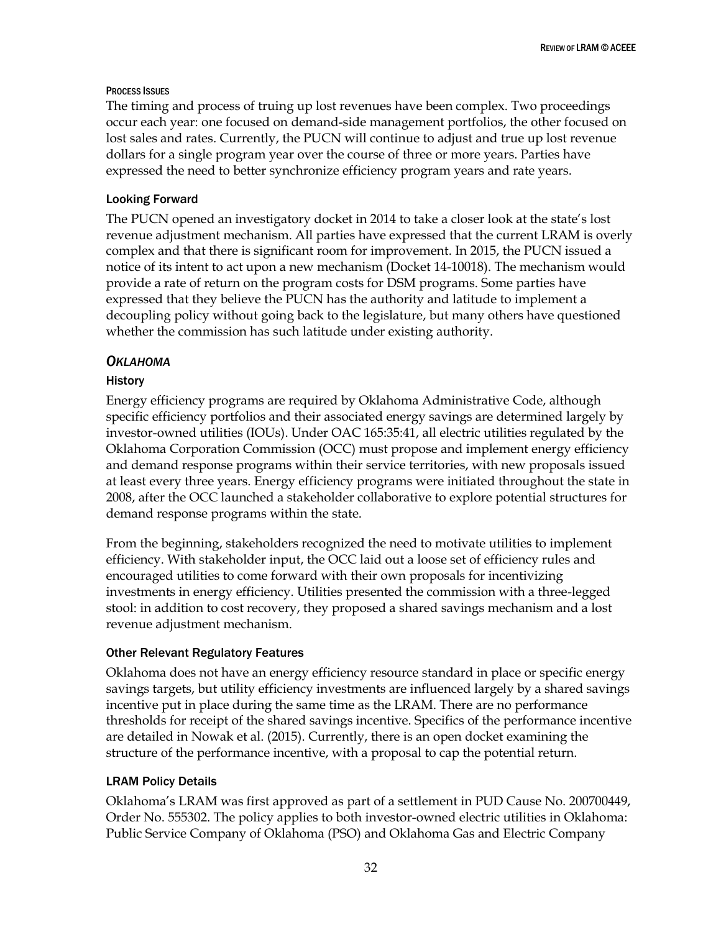#### PROCESS ISSUES

The timing and process of truing up lost revenues have been complex. Two proceedings occur each year: one focused on demand-side management portfolios, the other focused on lost sales and rates. Currently, the PUCN will continue to adjust and true up lost revenue dollars for a single program year over the course of three or more years. Parties have expressed the need to better synchronize efficiency program years and rate years.

## Looking Forward

The PUCN opened an investigatory docket in 2014 to take a closer look at the state's lost revenue adjustment mechanism. All parties have expressed that the current LRAM is overly complex and that there is significant room for improvement. In 2015, the PUCN issued a notice of its intent to act upon a new mechanism (Docket 14-10018). The mechanism would provide a rate of return on the program costs for DSM programs. Some parties have expressed that they believe the PUCN has the authority and latitude to implement a decoupling policy without going back to the legislature, but many others have questioned whether the commission has such latitude under existing authority.

## <span id="page-39-0"></span>*OKLAHOMA*

## History

Energy efficiency programs are required by Oklahoma Administrative Code, although specific efficiency portfolios and their associated energy savings are determined largely by investor-owned utilities (IOUs). Under OAC 165:35:41, all electric utilities regulated by the Oklahoma Corporation Commission (OCC) must propose and implement energy efficiency and demand response programs within their service territories, with new proposals issued at least every three years. Energy efficiency programs were initiated throughout the state in 2008, after the OCC launched a stakeholder collaborative to explore potential structures for demand response programs within the state.

From the beginning, stakeholders recognized the need to motivate utilities to implement efficiency. With stakeholder input, the OCC laid out a loose set of efficiency rules and encouraged utilities to come forward with their own proposals for incentivizing investments in energy efficiency. Utilities presented the commission with a three-legged stool: in addition to cost recovery, they proposed a shared savings mechanism and a lost revenue adjustment mechanism.

#### Other Relevant Regulatory Features

Oklahoma does not have an energy efficiency resource standard in place or specific energy savings targets, but utility efficiency investments are influenced largely by a shared savings incentive put in place during the same time as the LRAM. There are no performance thresholds for receipt of the shared savings incentive. Specifics of the performance incentive are detailed in Nowak et al. (2015). Currently, there is an open docket examining the structure of the performance incentive, with a proposal to cap the potential return.

## LRAM Policy Details

Oklahoma's LRAM was first approved as part of a settlement in PUD Cause No. 200700449, Order No. 555302. The policy applies to both investor-owned electric utilities in Oklahoma: Public Service Company of Oklahoma (PSO) and Oklahoma Gas and Electric Company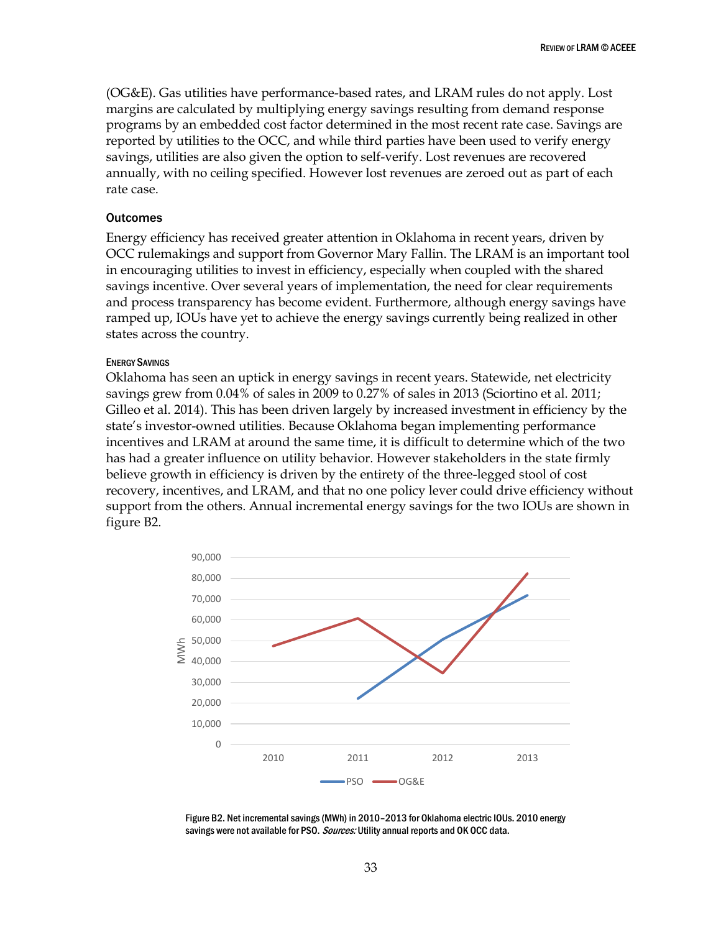(OG&E). Gas utilities have performance-based rates, and LRAM rules do not apply. Lost margins are calculated by multiplying energy savings resulting from demand response programs by an embedded cost factor determined in the most recent rate case. Savings are reported by utilities to the OCC, and while third parties have been used to verify energy savings, utilities are also given the option to self-verify. Lost revenues are recovered annually, with no ceiling specified. However lost revenues are zeroed out as part of each rate case.

#### **Outcomes**

Energy efficiency has received greater attention in Oklahoma in recent years, driven by OCC rulemakings and support from Governor Mary Fallin. The LRAM is an important tool in encouraging utilities to invest in efficiency, especially when coupled with the shared savings incentive. Over several years of implementation, the need for clear requirements and process transparency has become evident. Furthermore, although energy savings have ramped up, IOUs have yet to achieve the energy savings currently being realized in other states across the country.

#### ENERGY SAVINGS

Oklahoma has seen an uptick in energy savings in recent years. Statewide, net electricity savings grew from 0.04% of sales in 2009 to 0.27% of sales in 2013 (Sciortino et al. 2011; Gilleo et al. 2014). This has been driven largely by increased investment in efficiency by the state's investor-owned utilities. Because Oklahoma began implementing performance incentives and LRAM at around the same time, it is difficult to determine which of the two has had a greater influence on utility behavior. However stakeholders in the state firmly believe growth in efficiency is driven by the entirety of the three-legged stool of cost recovery, incentives, and LRAM, and that no one policy lever could drive efficiency without support from the others. Annual incremental energy savings for the two IOUs are shown in figure B2.



Figure B2. Net incremental savings (MWh) in 2010–2013 for Oklahoma electric IOUs. 2010 energy savings were not available for PSO. Sources: Utility annual reports and OK OCC data.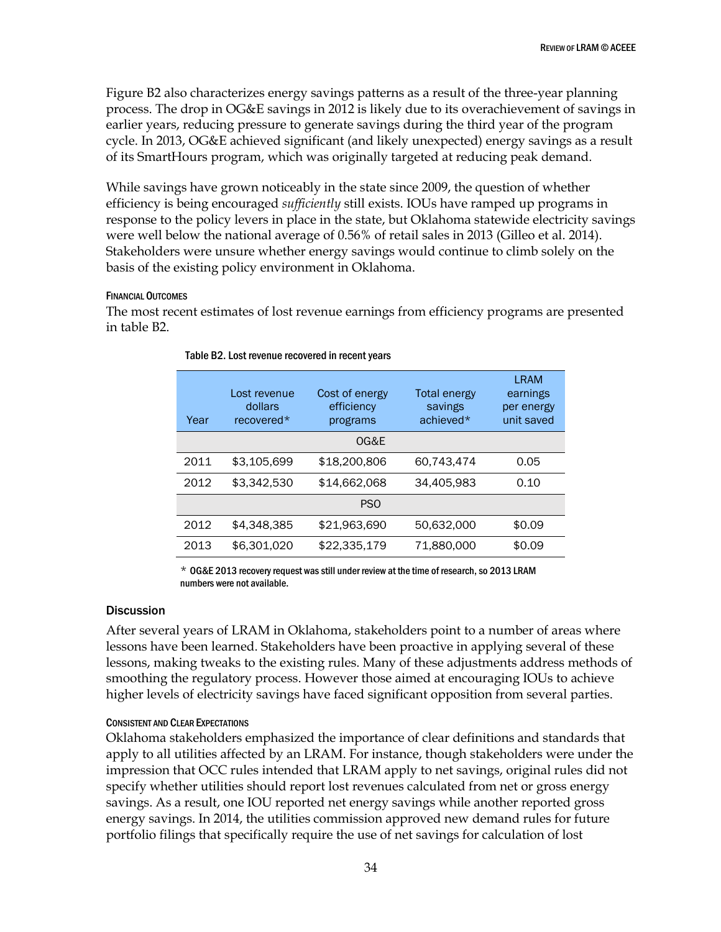Figure B2 also characterizes energy savings patterns as a result of the three-year planning process. The drop in OG&E savings in 2012 is likely due to its overachievement of savings in earlier years, reducing pressure to generate savings during the third year of the program cycle. In 2013, OG&E achieved significant (and likely unexpected) energy savings as a result of its SmartHours program, which was originally targeted at reducing peak demand.

While savings have grown noticeably in the state since 2009, the question of whether efficiency is being encouraged *sufficiently* still exists. IOUs have ramped up programs in response to the policy levers in place in the state, but Oklahoma statewide electricity savings were well below the national average of 0.56% of retail sales in 2013 (Gilleo et al. 2014). Stakeholders were unsure whether energy savings would continue to climb solely on the basis of the existing policy environment in Oklahoma.

#### FINANCIAL OUTCOMES

The most recent estimates of lost revenue earnings from efficiency programs are presented in table B2.

| Year | Lost revenue<br>dollars<br>recovered* | Cost of energy<br>efficiency<br>programs | <b>Total energy</b><br>savings<br>achieved* | LRAM<br>earnings<br>per energy<br>unit saved |
|------|---------------------------------------|------------------------------------------|---------------------------------------------|----------------------------------------------|
|      |                                       | OG&E                                     |                                             |                                              |
| 2011 | \$3,105,699                           | \$18,200,806                             | 60,743,474                                  | 0.05                                         |
| 2012 | \$3,342,530                           | \$14,662,068                             | 34,405,983                                  | 0.10                                         |
|      |                                       | PS <sub>O</sub>                          |                                             |                                              |
| 2012 | \$4,348,385                           | \$21,963,690                             | 50,632,000                                  | \$0.09                                       |
| 2013 | \$6,301,020                           | \$22,335,179                             | 71.880.000                                  | \$0.09                                       |

#### Table B2. Lost revenue recovered in recent years

 $*$  OG&E 2013 recovery request was still under review at the time of research, so 2013 LRAM numbers were not available.

#### **Discussion**

After several years of LRAM in Oklahoma, stakeholders point to a number of areas where lessons have been learned. Stakeholders have been proactive in applying several of these lessons, making tweaks to the existing rules. Many of these adjustments address methods of smoothing the regulatory process. However those aimed at encouraging IOUs to achieve higher levels of electricity savings have faced significant opposition from several parties.

#### CONSISTENT AND CLEAR EXPECTATIONS

Oklahoma stakeholders emphasized the importance of clear definitions and standards that apply to all utilities affected by an LRAM. For instance, though stakeholders were under the impression that OCC rules intended that LRAM apply to net savings, original rules did not specify whether utilities should report lost revenues calculated from net or gross energy savings. As a result, one IOU reported net energy savings while another reported gross energy savings. In 2014, the utilities commission approved new demand rules for future portfolio filings that specifically require the use of net savings for calculation of lost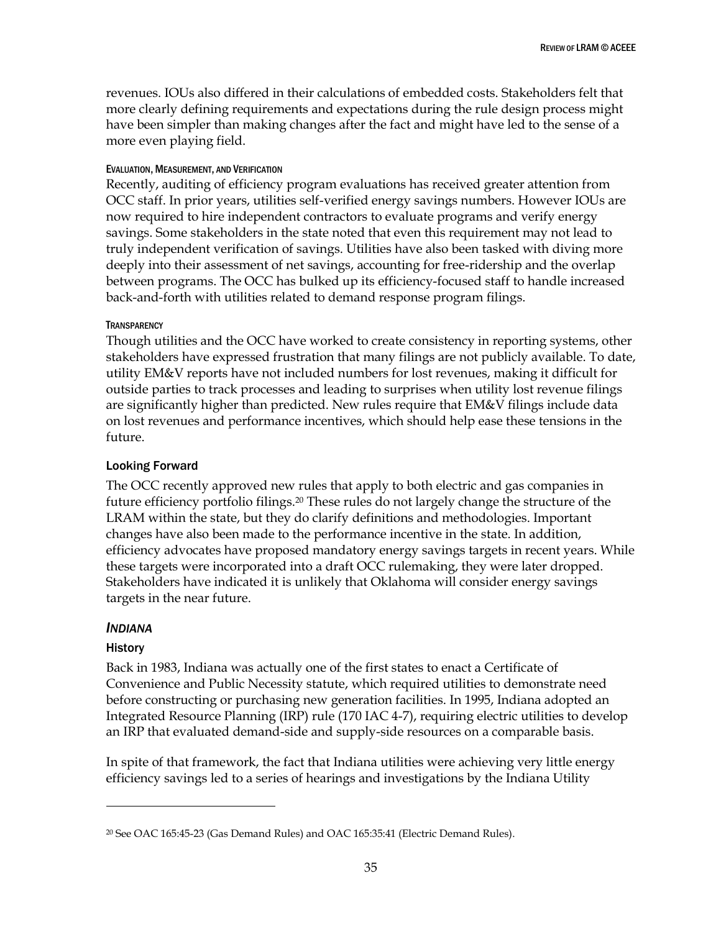revenues. IOUs also differed in their calculations of embedded costs. Stakeholders felt that more clearly defining requirements and expectations during the rule design process might have been simpler than making changes after the fact and might have led to the sense of a more even playing field.

## EVALUATION, MEASUREMENT, AND VERIFICATION

Recently, auditing of efficiency program evaluations has received greater attention from OCC staff. In prior years, utilities self-verified energy savings numbers. However IOUs are now required to hire independent contractors to evaluate programs and verify energy savings. Some stakeholders in the state noted that even this requirement may not lead to truly independent verification of savings. Utilities have also been tasked with diving more deeply into their assessment of net savings, accounting for free-ridership and the overlap between programs. The OCC has bulked up its efficiency-focused staff to handle increased back-and-forth with utilities related to demand response program filings.

## **TRANSPARENCY**

Though utilities and the OCC have worked to create consistency in reporting systems, other stakeholders have expressed frustration that many filings are not publicly available. To date, utility EM&V reports have not included numbers for lost revenues, making it difficult for outside parties to track processes and leading to surprises when utility lost revenue filings are significantly higher than predicted. New rules require that EM&V filings include data on lost revenues and performance incentives, which should help ease these tensions in the future.

## Looking Forward

The OCC recently approved new rules that apply to both electric and gas companies in future efficiency portfolio filings.<sup>20</sup> These rules do not largely change the structure of the LRAM within the state, but they do clarify definitions and methodologies. Important changes have also been made to the performance incentive in the state. In addition, efficiency advocates have proposed mandatory energy savings targets in recent years. While these targets were incorporated into a draft OCC rulemaking, they were later dropped. Stakeholders have indicated it is unlikely that Oklahoma will consider energy savings targets in the near future.

## <span id="page-42-0"></span>*INDIANA*

## History

 $\overline{a}$ 

Back in 1983, Indiana was actually one of the first states to enact a Certificate of Convenience and Public Necessity statute, which required utilities to demonstrate need before constructing or purchasing new generation facilities. In 1995, Indiana adopted an Integrated Resource Planning (IRP) rule (170 IAC 4-7), requiring electric utilities to develop an IRP that evaluated demand-side and supply-side resources on a comparable basis.

In spite of that framework, the fact that Indiana utilities were achieving very little energy efficiency savings led to a series of hearings and investigations by the Indiana Utility

<sup>20</sup> See OAC 165:45-23 (Gas Demand Rules) and OAC 165:35:41 (Electric Demand Rules).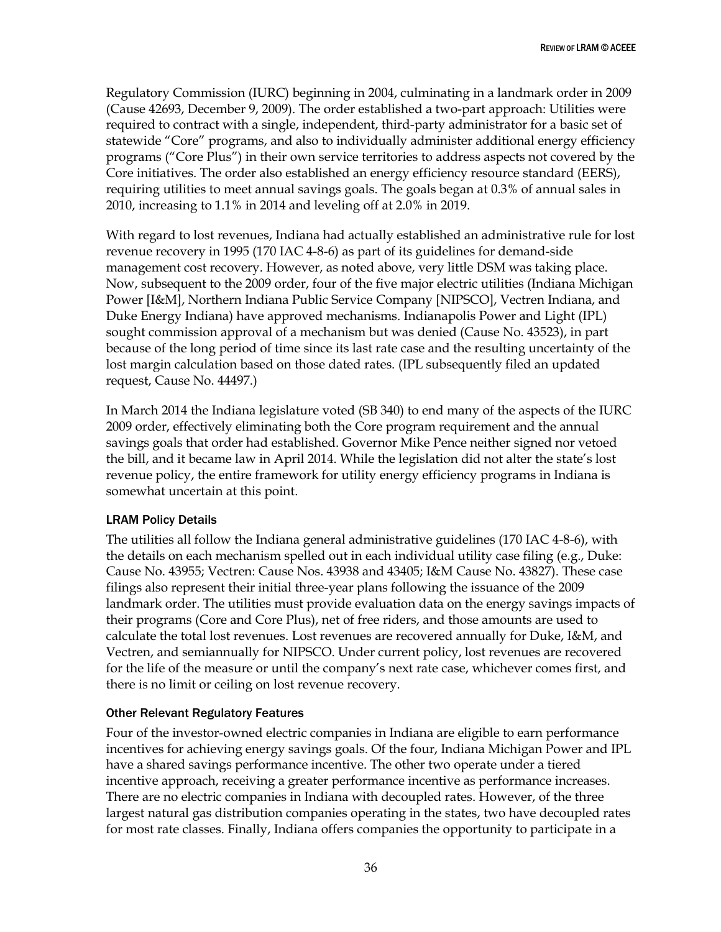Regulatory Commission (IURC) beginning in 2004, culminating in a landmark order in 2009 (Cause 42693, December 9, 2009). The order established a two-part approach: Utilities were required to contract with a single, independent, third-party administrator for a basic set of statewide "Core" programs, and also to individually administer additional energy efficiency programs ("Core Plus") in their own service territories to address aspects not covered by the Core initiatives. The order also established an energy efficiency resource standard (EERS), requiring utilities to meet annual savings goals. The goals began at 0.3% of annual sales in 2010, increasing to 1.1% in 2014 and leveling off at 2.0% in 2019.

With regard to lost revenues, Indiana had actually established an administrative rule for lost revenue recovery in 1995 (170 IAC 4-8-6) as part of its guidelines for demand-side management cost recovery. However, as noted above, very little DSM was taking place. Now, subsequent to the 2009 order, four of the five major electric utilities (Indiana Michigan Power [I&M], Northern Indiana Public Service Company [NIPSCO], Vectren Indiana, and Duke Energy Indiana) have approved mechanisms. Indianapolis Power and Light (IPL) sought commission approval of a mechanism but was denied (Cause No. 43523), in part because of the long period of time since its last rate case and the resulting uncertainty of the lost margin calculation based on those dated rates. (IPL subsequently filed an updated request, Cause No. 44497.)

In March 2014 the Indiana legislature voted (SB 340) to end many of the aspects of the IURC 2009 order, effectively eliminating both the Core program requirement and the annual savings goals that order had established. Governor Mike Pence neither signed nor vetoed the bill, and it became law in April 2014. While the legislation did not alter the state's lost revenue policy, the entire framework for utility energy efficiency programs in Indiana is somewhat uncertain at this point.

#### LRAM Policy Details

The utilities all follow the Indiana general administrative guidelines (170 IAC 4-8-6), with the details on each mechanism spelled out in each individual utility case filing (e.g., Duke: Cause No. 43955; Vectren: Cause Nos. 43938 and 43405; I&M Cause No. 43827). These case filings also represent their initial three-year plans following the issuance of the 2009 landmark order. The utilities must provide evaluation data on the energy savings impacts of their programs (Core and Core Plus), net of free riders, and those amounts are used to calculate the total lost revenues. Lost revenues are recovered annually for Duke, I&M, and Vectren, and semiannually for NIPSCO. Under current policy, lost revenues are recovered for the life of the measure or until the company's next rate case, whichever comes first, and there is no limit or ceiling on lost revenue recovery.

#### Other Relevant Regulatory Features

Four of the investor-owned electric companies in Indiana are eligible to earn performance incentives for achieving energy savings goals. Of the four, Indiana Michigan Power and IPL have a shared savings performance incentive. The other two operate under a tiered incentive approach, receiving a greater performance incentive as performance increases. There are no electric companies in Indiana with decoupled rates. However, of the three largest natural gas distribution companies operating in the states, two have decoupled rates for most rate classes. Finally, Indiana offers companies the opportunity to participate in a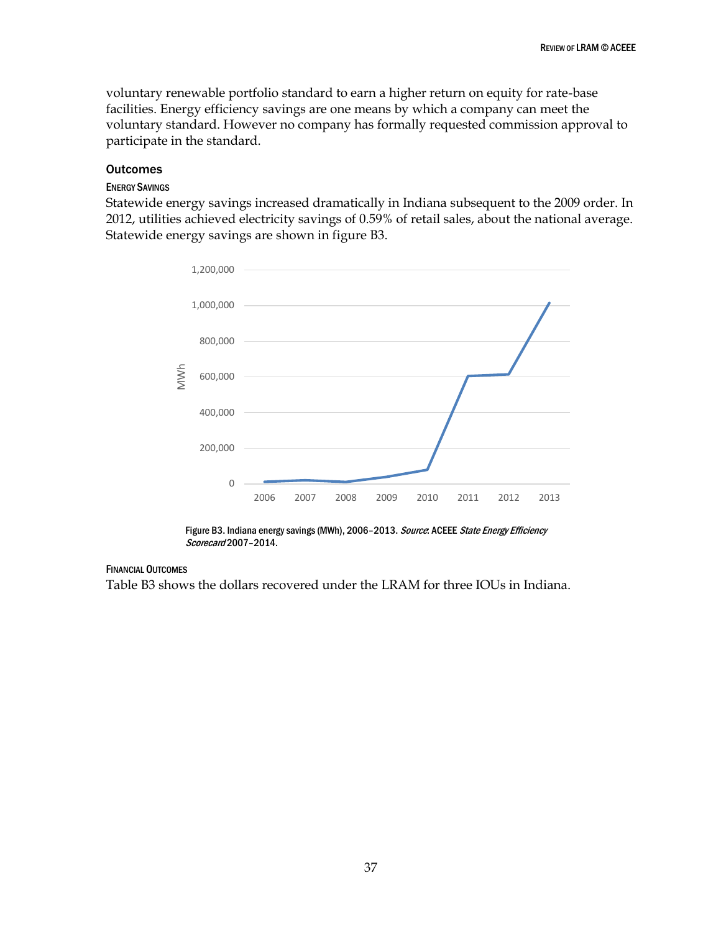voluntary renewable portfolio standard to earn a higher return on equity for rate-base facilities. Energy efficiency savings are one means by which a company can meet the voluntary standard. However no company has formally requested commission approval to participate in the standard.

#### **Outcomes**

## ENERGY SAVINGS

Statewide energy savings increased dramatically in Indiana subsequent to the 2009 order. In 2012, utilities achieved electricity savings of 0.59% of retail sales, about the national average. Statewide energy savings are shown in figure B3.



Figure B3. Indiana energy savings (MWh), 2006-2013. Source: ACEEE State Energy Efficiency Scorecard 2007–2014.

#### FINANCIAL OUTCOMES

Table B3 shows the dollars recovered under the LRAM for three IOUs in Indiana.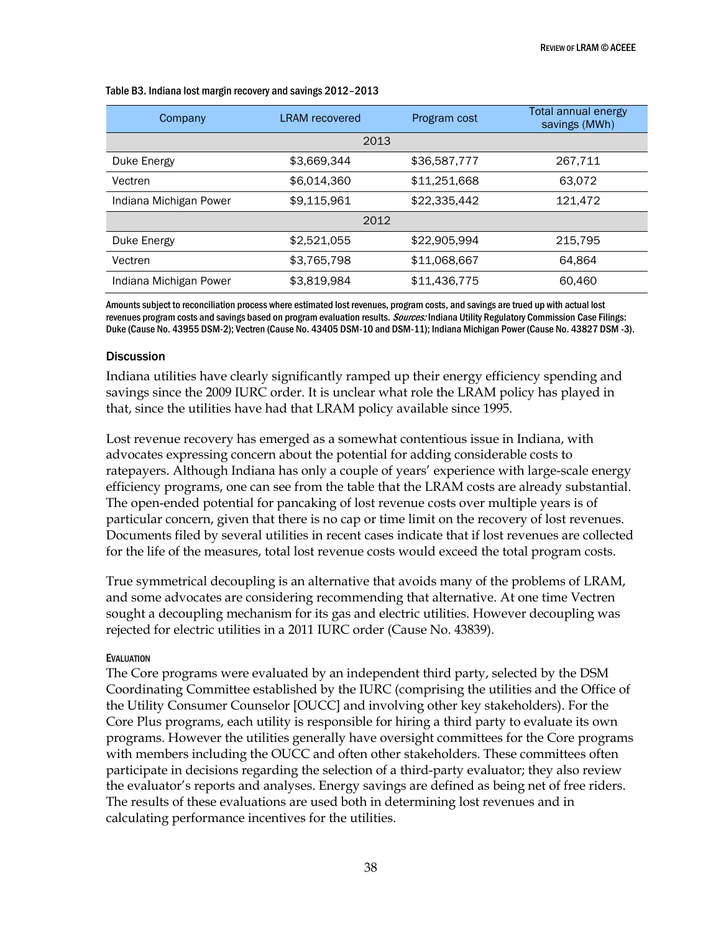| Company                | <b>LRAM</b> recovered | Program cost | Total annual energy<br>savings (MWh) |
|------------------------|-----------------------|--------------|--------------------------------------|
|                        | 2013                  |              |                                      |
| Duke Energy            | \$3,669,344           | \$36,587,777 | 267,711                              |
| Vectren                | \$6,014,360           | \$11,251,668 | 63.072                               |
| Indiana Michigan Power | \$9,115,961           | \$22,335,442 | 121.472                              |
|                        | 2012                  |              |                                      |
| Duke Energy            | \$2,521,055           | \$22,905,994 | 215.795                              |
| Vectren                | \$3,765,798           | \$11,068,667 | 64.864                               |
| Indiana Michigan Power | \$3,819,984           | \$11,436,775 | 60,460                               |

#### Table B3. Indiana lost margin recovery and savings 2012–2013

Amounts subject to reconciliation process where estimated lost revenues, program costs, and savings are trued up with actual lost revenues program costs and savings based on program evaluation results. Sources: Indiana Utility Regulatory Commission Case Filings: Duke (Cause No. 43955 DSM-2); Vectren (Cause No. 43405 DSM-10 and DSM-11); Indiana Michigan Power (Cause No. 43827 DSM -3).

#### **Discussion**

Indiana utilities have clearly significantly ramped up their energy efficiency spending and savings since the 2009 IURC order. It is unclear what role the LRAM policy has played in that, since the utilities have had that LRAM policy available since 1995.

Lost revenue recovery has emerged as a somewhat contentious issue in Indiana, with advocates expressing concern about the potential for adding considerable costs to ratepayers. Although Indiana has only a couple of years' experience with large-scale energy efficiency programs, one can see from the table that the LRAM costs are already substantial. The open-ended potential for pancaking of lost revenue costs over multiple years is of particular concern, given that there is no cap or time limit on the recovery of lost revenues. Documents filed by several utilities in recent cases indicate that if lost revenues are collected for the life of the measures, total lost revenue costs would exceed the total program costs.

True symmetrical decoupling is an alternative that avoids many of the problems of LRAM, and some advocates are considering recommending that alternative. At one time Vectren sought a decoupling mechanism for its gas and electric utilities. However decoupling was rejected for electric utilities in a 2011 IURC order (Cause No. 43839).

#### EVALUATION

The Core programs were evaluated by an independent third party, selected by the DSM Coordinating Committee established by the IURC (comprising the utilities and the Office of the Utility Consumer Counselor [OUCC] and involving other key stakeholders). For the Core Plus programs, each utility is responsible for hiring a third party to evaluate its own programs. However the utilities generally have oversight committees for the Core programs with members including the OUCC and often other stakeholders. These committees often participate in decisions regarding the selection of a third-party evaluator; they also review the evaluator's reports and analyses. Energy savings are defined as being net of free riders. The results of these evaluations are used both in determining lost revenues and in calculating performance incentives for the utilities.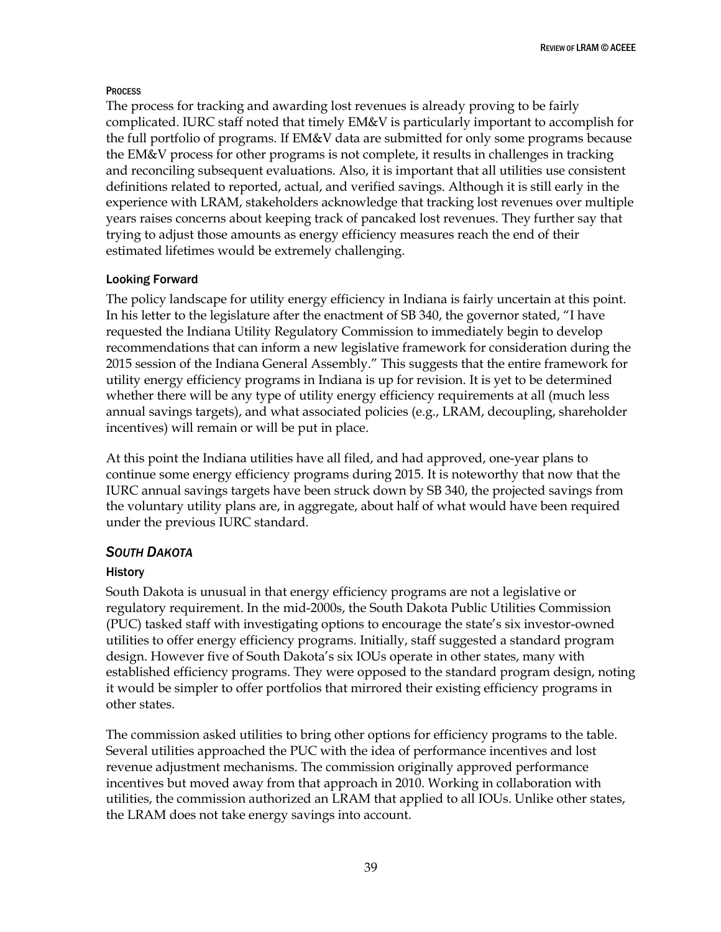#### **PROCESS**

The process for tracking and awarding lost revenues is already proving to be fairly complicated. IURC staff noted that timely EM&V is particularly important to accomplish for the full portfolio of programs. If EM&V data are submitted for only some programs because the EM&V process for other programs is not complete, it results in challenges in tracking and reconciling subsequent evaluations. Also, it is important that all utilities use consistent definitions related to reported, actual, and verified savings. Although it is still early in the experience with LRAM, stakeholders acknowledge that tracking lost revenues over multiple years raises concerns about keeping track of pancaked lost revenues. They further say that trying to adjust those amounts as energy efficiency measures reach the end of their estimated lifetimes would be extremely challenging.

## Looking Forward

The policy landscape for utility energy efficiency in Indiana is fairly uncertain at this point. In his letter to the legislature after the enactment of SB 340, the governor stated, "I have requested the Indiana Utility Regulatory Commission to immediately begin to develop recommendations that can inform a new legislative framework for consideration during the 2015 session of the Indiana General Assembly." This suggests that the entire framework for utility energy efficiency programs in Indiana is up for revision. It is yet to be determined whether there will be any type of utility energy efficiency requirements at all (much less annual savings targets), and what associated policies (e.g., LRAM, decoupling, shareholder incentives) will remain or will be put in place.

At this point the Indiana utilities have all filed, and had approved, one-year plans to continue some energy efficiency programs during 2015. It is noteworthy that now that the IURC annual savings targets have been struck down by SB 340, the projected savings from the voluntary utility plans are, in aggregate, about half of what would have been required under the previous IURC standard.

## <span id="page-46-0"></span>**SOUTH DAKOTA**

## **History**

South Dakota is unusual in that energy efficiency programs are not a legislative or regulatory requirement. In the mid-2000s, the South Dakota Public Utilities Commission (PUC) tasked staff with investigating options to encourage the state's six investor-owned utilities to offer energy efficiency programs. Initially, staff suggested a standard program design. However five of South Dakota's six IOUs operate in other states, many with established efficiency programs. They were opposed to the standard program design, noting it would be simpler to offer portfolios that mirrored their existing efficiency programs in other states.

The commission asked utilities to bring other options for efficiency programs to the table. Several utilities approached the PUC with the idea of performance incentives and lost revenue adjustment mechanisms. The commission originally approved performance incentives but moved away from that approach in 2010. Working in collaboration with utilities, the commission authorized an LRAM that applied to all IOUs. Unlike other states, the LRAM does not take energy savings into account.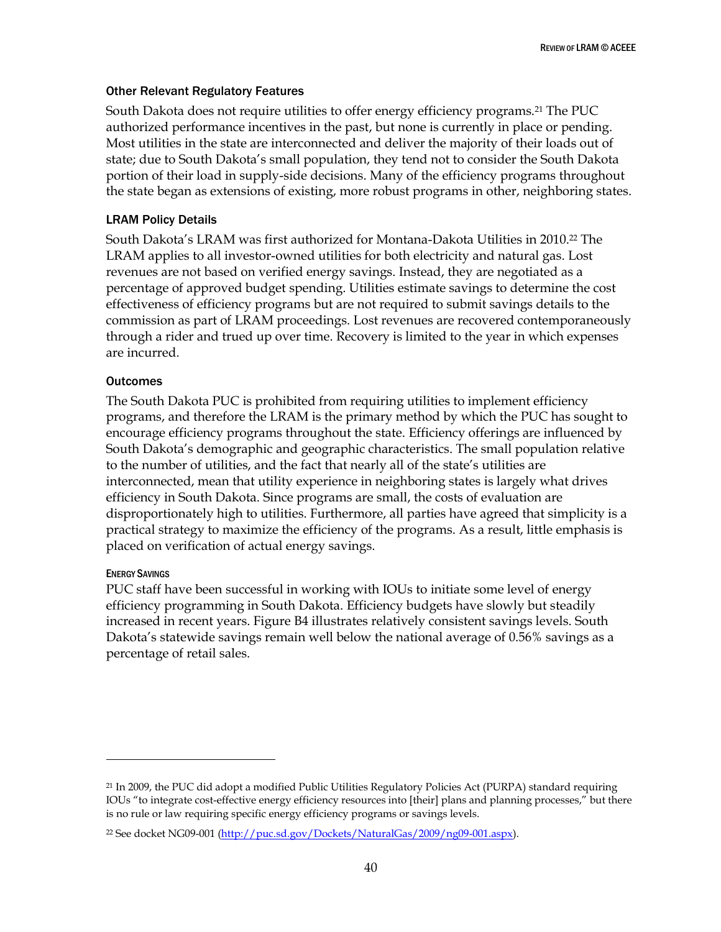## Other Relevant Regulatory Features

South Dakota does not require utilities to offer energy efficiency programs.<sup>21</sup> The PUC authorized performance incentives in the past, but none is currently in place or pending. Most utilities in the state are interconnected and deliver the majority of their loads out of state; due to South Dakota's small population, they tend not to consider the South Dakota portion of their load in supply-side decisions. Many of the efficiency programs throughout the state began as extensions of existing, more robust programs in other, neighboring states.

#### LRAM Policy Details

South Dakota's LRAM was first authorized for Montana-Dakota Utilities in 2010.<sup>22</sup> The LRAM applies to all investor-owned utilities for both electricity and natural gas. Lost revenues are not based on verified energy savings. Instead, they are negotiated as a percentage of approved budget spending. Utilities estimate savings to determine the cost effectiveness of efficiency programs but are not required to submit savings details to the commission as part of LRAM proceedings. Lost revenues are recovered contemporaneously through a rider and trued up over time. Recovery is limited to the year in which expenses are incurred.

#### Outcomes

The South Dakota PUC is prohibited from requiring utilities to implement efficiency programs, and therefore the LRAM is the primary method by which the PUC has sought to encourage efficiency programs throughout the state. Efficiency offerings are influenced by South Dakota's demographic and geographic characteristics. The small population relative to the number of utilities, and the fact that nearly all of the state's utilities are interconnected, mean that utility experience in neighboring states is largely what drives efficiency in South Dakota. Since programs are small, the costs of evaluation are disproportionately high to utilities. Furthermore, all parties have agreed that simplicity is a practical strategy to maximize the efficiency of the programs. As a result, little emphasis is placed on verification of actual energy savings.

#### ENERGY SAVINGS

 $\ddot{\phantom{a}}$ 

PUC staff have been successful in working with IOUs to initiate some level of energy efficiency programming in South Dakota. Efficiency budgets have slowly but steadily increased in recent years. Figure B4 illustrates relatively consistent savings levels. South Dakota's statewide savings remain well below the national average of 0.56% savings as a percentage of retail sales.

<sup>21</sup> In 2009, the PUC did adopt a modified Public Utilities Regulatory Policies Act (PURPA) standard requiring IOUs "to integrate cost-effective energy efficiency resources into [their] plans and planning processes," but there is no rule or law requiring specific energy efficiency programs or savings levels.

<sup>&</sup>lt;sup>22</sup> See docket NG09-001 [\(http://puc.sd.gov/Dockets/NaturalGas/2009/ng09-001.aspx\)](http://puc.sd.gov/Dockets/NaturalGas/2009/ng09-001.aspx).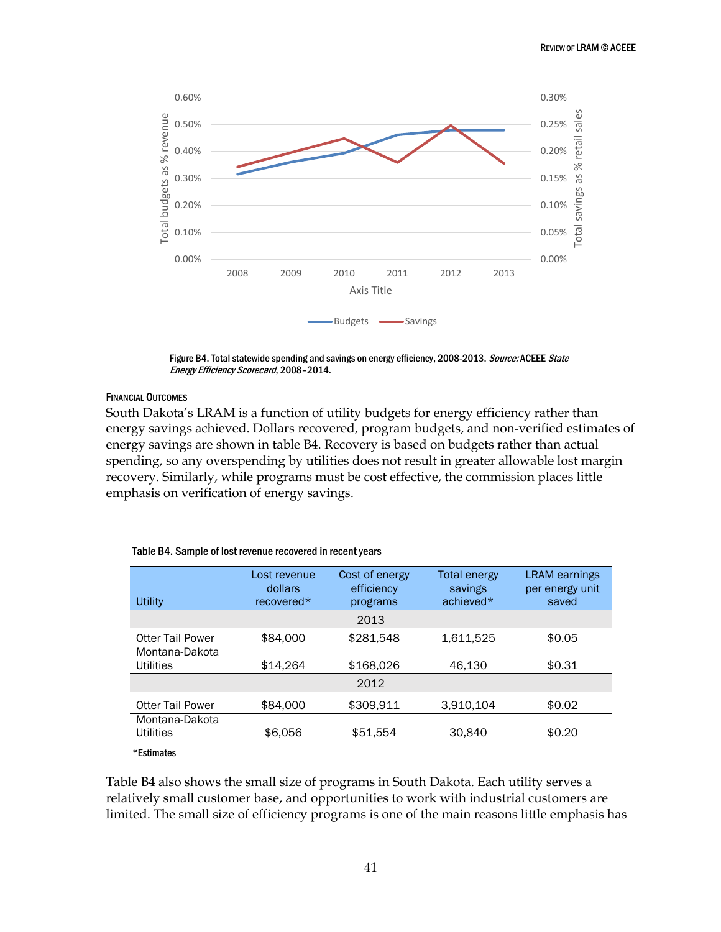

Figure B4. Total statewide spending and savings on energy efficiency, 2008-2013. Source: ACEEE State Energy Efficiency Scorecard, 2008–2014.

#### FINANCIAL OUTCOMES

South Dakota's LRAM is a function of utility budgets for energy efficiency rather than energy savings achieved. Dollars recovered, program budgets, and non-verified estimates of energy savings are shown in table B4. Recovery is based on budgets rather than actual spending, so any overspending by utilities does not result in greater allowable lost margin recovery. Similarly, while programs must be cost effective, the commission places little emphasis on verification of energy savings.

| <b>Utility</b>                     | Lost revenue<br>dollars<br>recovered* | Cost of energy<br>efficiency<br>programs | <b>Total energy</b><br>savings<br>achieved* | <b>LRAM</b> earnings<br>per energy unit<br>saved |
|------------------------------------|---------------------------------------|------------------------------------------|---------------------------------------------|--------------------------------------------------|
|                                    |                                       | 2013                                     |                                             |                                                  |
| <b>Otter Tail Power</b>            | \$84,000                              | \$281,548                                | 1,611,525                                   | \$0.05                                           |
| Montana-Dakota<br><b>Utilities</b> | \$14,264                              | \$168,026                                | 46,130                                      | \$0.31                                           |
|                                    |                                       | 2012                                     |                                             |                                                  |
| <b>Otter Tail Power</b>            | \$84,000                              | \$309,911                                | 3,910,104                                   | \$0.02                                           |
| Montana-Dakota<br><b>Utilities</b> | \$6,056                               | \$51,554                                 | 30,840                                      | \$0.20                                           |
|                                    |                                       |                                          |                                             |                                                  |

#### Table B4. Sample of lost revenue recovered in recent years

\*Estimates

Table B4 also shows the small size of programs in South Dakota. Each utility serves a relatively small customer base, and opportunities to work with industrial customers are limited. The small size of efficiency programs is one of the main reasons little emphasis has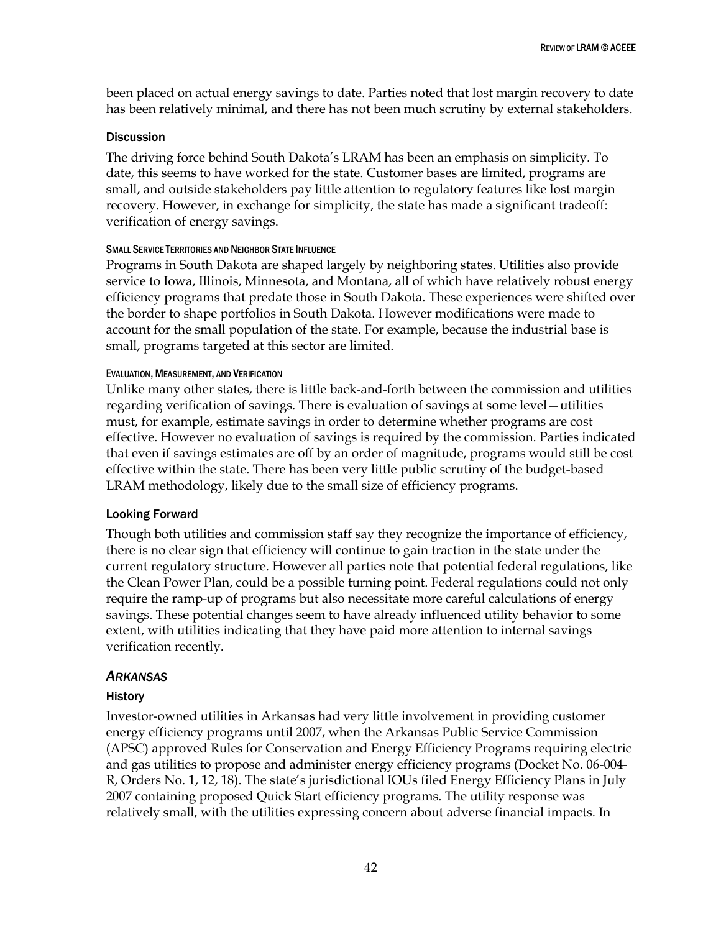been placed on actual energy savings to date. Parties noted that lost margin recovery to date has been relatively minimal, and there has not been much scrutiny by external stakeholders.

#### **Discussion**

The driving force behind South Dakota's LRAM has been an emphasis on simplicity. To date, this seems to have worked for the state. Customer bases are limited, programs are small, and outside stakeholders pay little attention to regulatory features like lost margin recovery. However, in exchange for simplicity, the state has made a significant tradeoff: verification of energy savings.

#### SMALL SERVICE TERRITORIES AND NEIGHBOR STATE INFLUENCE

Programs in South Dakota are shaped largely by neighboring states. Utilities also provide service to Iowa, Illinois, Minnesota, and Montana, all of which have relatively robust energy efficiency programs that predate those in South Dakota. These experiences were shifted over the border to shape portfolios in South Dakota. However modifications were made to account for the small population of the state. For example, because the industrial base is small, programs targeted at this sector are limited.

#### EVALUATION, MEASUREMENT, AND VERIFICATION

Unlike many other states, there is little back-and-forth between the commission and utilities regarding verification of savings. There is evaluation of savings at some level—utilities must, for example, estimate savings in order to determine whether programs are cost effective. However no evaluation of savings is required by the commission. Parties indicated that even if savings estimates are off by an order of magnitude, programs would still be cost effective within the state. There has been very little public scrutiny of the budget-based LRAM methodology, likely due to the small size of efficiency programs.

## Looking Forward

Though both utilities and commission staff say they recognize the importance of efficiency, there is no clear sign that efficiency will continue to gain traction in the state under the current regulatory structure. However all parties note that potential federal regulations, like the Clean Power Plan, could be a possible turning point. Federal regulations could not only require the ramp-up of programs but also necessitate more careful calculations of energy savings. These potential changes seem to have already influenced utility behavior to some extent, with utilities indicating that they have paid more attention to internal savings verification recently.

## <span id="page-49-0"></span>*ARKANSAS*

## History

Investor-owned utilities in Arkansas had very little involvement in providing customer energy efficiency programs until 2007, when the Arkansas Public Service Commission (APSC) approved Rules for Conservation and Energy Efficiency Programs requiring electric and gas utilities to propose and administer energy efficiency programs (Docket No. 06-004- R, Orders No. 1, 12, 18). The state's jurisdictional IOUs filed Energy Efficiency Plans in July 2007 containing proposed Quick Start efficiency programs. The utility response was relatively small, with the utilities expressing concern about adverse financial impacts. In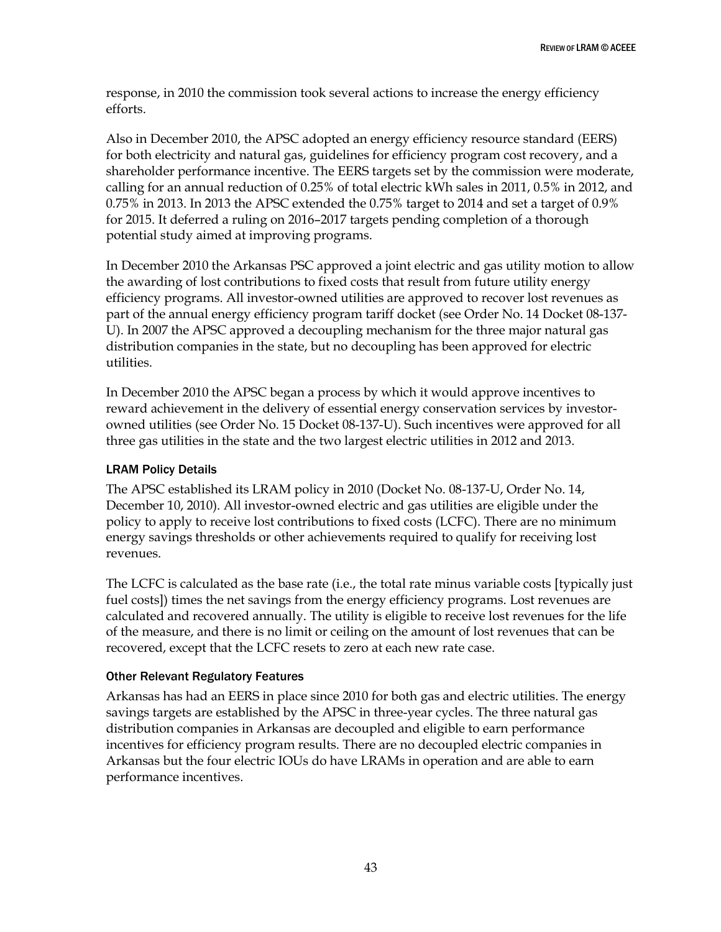response, in 2010 the commission took several actions to increase the energy efficiency efforts.

Also in December 2010, the APSC adopted an energy efficiency resource standard (EERS) for both electricity and natural gas, guidelines for efficiency program cost recovery, and a shareholder performance incentive. The EERS targets set by the commission were moderate, calling for an annual reduction of 0.25% of total electric kWh sales in 2011, 0.5% in 2012, and 0.75% in 2013. In 2013 the APSC extended the 0.75% target to 2014 and set a target of 0.9% for 2015. It deferred a ruling on 2016–2017 targets pending completion of a thorough potential study aimed at improving programs.

In December 2010 the Arkansas PSC approved a joint electric and gas utility motion to allow the awarding of lost contributions to fixed costs that result from future utility energy efficiency programs. All investor-owned utilities are approved to recover lost revenues as part of the annual energy efficiency program tariff docket (see Order No. 14 Docket 08-137- U). In 2007 the APSC approved a decoupling mechanism for the three major natural gas distribution companies in the state, but no decoupling has been approved for electric utilities.

In December 2010 the APSC began a process by which it would approve incentives to reward achievement in the delivery of essential energy conservation services by investorowned utilities (see Order No. 15 Docket 08-137-U). Such incentives were approved for all three gas utilities in the state and the two largest electric utilities in 2012 and 2013.

## LRAM Policy Details

The APSC established its LRAM policy in 2010 (Docket No. 08-137-U, Order No. 14, December 10, 2010). All investor-owned electric and gas utilities are eligible under the policy to apply to receive lost contributions to fixed costs (LCFC). There are no minimum energy savings thresholds or other achievements required to qualify for receiving lost revenues.

The LCFC is calculated as the base rate (i.e., the total rate minus variable costs [typically just fuel costs]) times the net savings from the energy efficiency programs. Lost revenues are calculated and recovered annually. The utility is eligible to receive lost revenues for the life of the measure, and there is no limit or ceiling on the amount of lost revenues that can be recovered, except that the LCFC resets to zero at each new rate case.

## Other Relevant Regulatory Features

Arkansas has had an EERS in place since 2010 for both gas and electric utilities. The energy savings targets are established by the APSC in three-year cycles. The three natural gas distribution companies in Arkansas are decoupled and eligible to earn performance incentives for efficiency program results. There are no decoupled electric companies in Arkansas but the four electric IOUs do have LRAMs in operation and are able to earn performance incentives.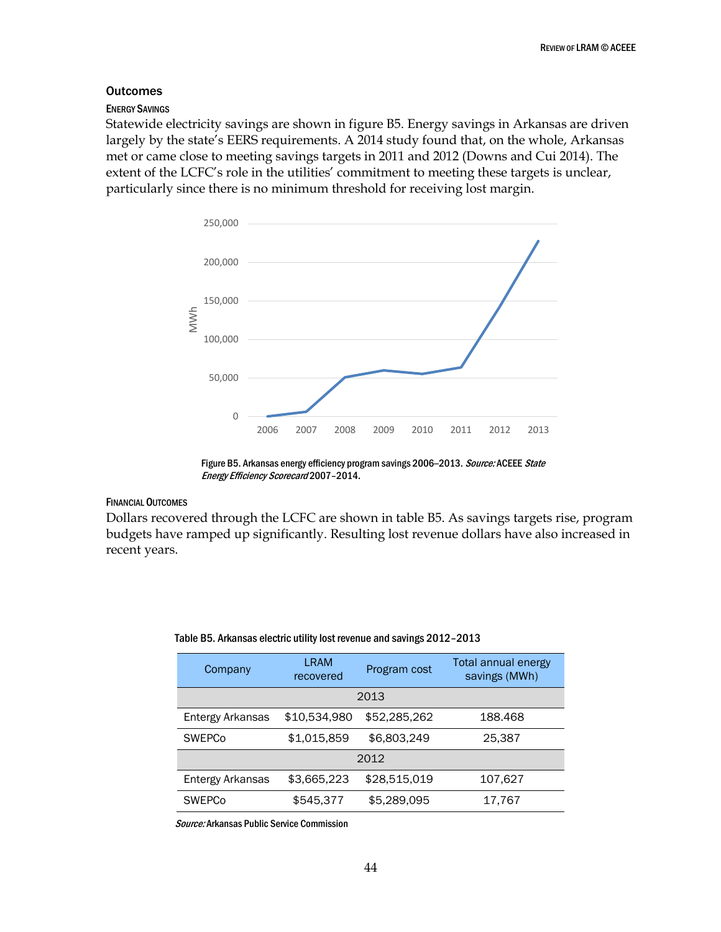## **Outcomes**

#### ENERGY SAVINGS

Statewide electricity savings are shown in figure B5. Energy savings in Arkansas are driven largely by the state's EERS requirements. A 2014 study found that, on the whole, Arkansas met or came close to meeting savings targets in 2011 and 2012 (Downs and Cui 2014). The extent of the LCFC's role in the utilities' commitment to meeting these targets is unclear, particularly since there is no minimum threshold for receiving lost margin.



Figure B5. Arkansas energy efficiency program savings 2006–2013. Source: ACEEE State Energy Efficiency Scorecard 2007–2014.

#### FINANCIAL OUTCOMES

Dollars recovered through the LCFC are shown in table B5. As savings targets rise, program budgets have ramped up significantly. Resulting lost revenue dollars have also increased in recent years.

| Company          | LRAM<br>recovered | Program cost | Total annual energy<br>savings (MWh) |
|------------------|-------------------|--------------|--------------------------------------|
|                  |                   | 2013         |                                      |
| Entergy Arkansas | \$10,534,980      | \$52,285,262 | 188.468                              |
| <b>SWEPCo</b>    | \$1,015,859       | \$6,803,249  | 25,387                               |
|                  |                   | 2012         |                                      |
| Entergy Arkansas | \$3,665,223       | \$28,515,019 | 107,627                              |
| <b>SWEPCo</b>    | \$545,377         | \$5,289,095  | 17,767                               |

#### Table B5. Arkansas electric utility lost revenue and savings 2012–2013

Source: Arkansas Public Service Commission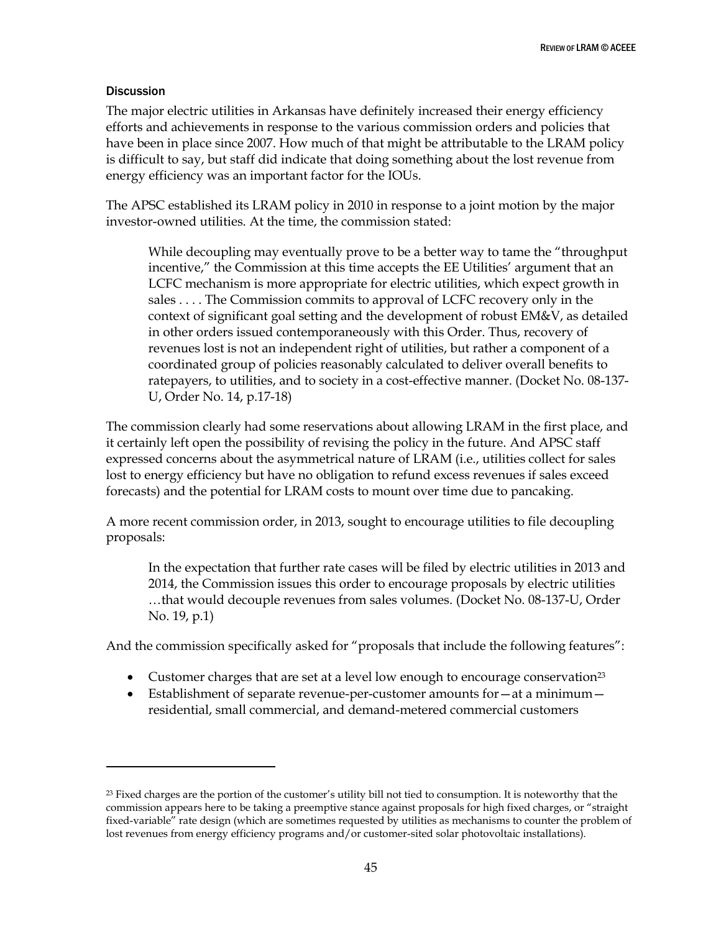#### **Discussion**

 $\ddot{\phantom{a}}$ 

The major electric utilities in Arkansas have definitely increased their energy efficiency efforts and achievements in response to the various commission orders and policies that have been in place since 2007. How much of that might be attributable to the LRAM policy is difficult to say, but staff did indicate that doing something about the lost revenue from energy efficiency was an important factor for the IOUs.

The APSC established its LRAM policy in 2010 in response to a joint motion by the major investor-owned utilities. At the time, the commission stated:

While decoupling may eventually prove to be a better way to tame the "throughput incentive," the Commission at this time accepts the EE Utilities' argument that an LCFC mechanism is more appropriate for electric utilities, which expect growth in sales . . . . The Commission commits to approval of LCFC recovery only in the context of significant goal setting and the development of robust EM&V, as detailed in other orders issued contemporaneously with this Order. Thus, recovery of revenues lost is not an independent right of utilities, but rather a component of a coordinated group of policies reasonably calculated to deliver overall benefits to ratepayers, to utilities, and to society in a cost-effective manner. (Docket No. 08-137- U, Order No. 14, p.17-18)

The commission clearly had some reservations about allowing LRAM in the first place, and it certainly left open the possibility of revising the policy in the future. And APSC staff expressed concerns about the asymmetrical nature of LRAM (i.e., utilities collect for sales lost to energy efficiency but have no obligation to refund excess revenues if sales exceed forecasts) and the potential for LRAM costs to mount over time due to pancaking.

A more recent commission order, in 2013, sought to encourage utilities to file decoupling proposals:

In the expectation that further rate cases will be filed by electric utilities in 2013 and 2014, the Commission issues this order to encourage proposals by electric utilities …that would decouple revenues from sales volumes. (Docket No. 08-137-U, Order No. 19, p.1)

And the commission specifically asked for "proposals that include the following features":

- Customer charges that are set at a level low enough to encourage conservation<sup>23</sup>
- Establishment of separate revenue-per-customer amounts for—at a minimum residential, small commercial, and demand-metered commercial customers

<sup>&</sup>lt;sup>23</sup> Fixed charges are the portion of the customer's utility bill not tied to consumption. It is noteworthy that the commission appears here to be taking a preemptive stance against proposals for high fixed charges, or "straight fixed-variable" rate design (which are sometimes requested by utilities as mechanisms to counter the problem of lost revenues from energy efficiency programs and/or customer-sited solar photovoltaic installations).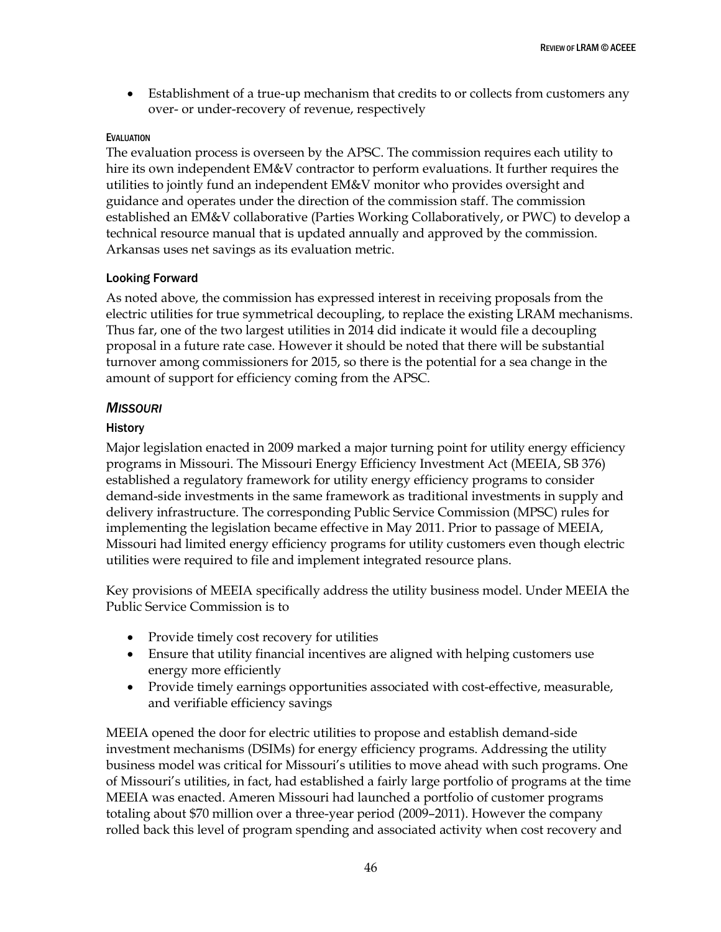Establishment of a true-up mechanism that credits to or collects from customers any over- or under-recovery of revenue, respectively

#### **EVALUATION**

The evaluation process is overseen by the APSC. The commission requires each utility to hire its own independent EM&V contractor to perform evaluations. It further requires the utilities to jointly fund an independent EM&V monitor who provides oversight and guidance and operates under the direction of the commission staff. The commission established an EM&V collaborative (Parties Working Collaboratively, or PWC) to develop a technical resource manual that is updated annually and approved by the commission. Arkansas uses net savings as its evaluation metric.

## Looking Forward

As noted above, the commission has expressed interest in receiving proposals from the electric utilities for true symmetrical decoupling, to replace the existing LRAM mechanisms. Thus far, one of the two largest utilities in 2014 did indicate it would file a decoupling proposal in a future rate case. However it should be noted that there will be substantial turnover among commissioners for 2015, so there is the potential for a sea change in the amount of support for efficiency coming from the APSC.

## <span id="page-53-0"></span>*MISSOURI*

## **History**

Major legislation enacted in 2009 marked a major turning point for utility energy efficiency programs in Missouri. The Missouri Energy Efficiency Investment Act (MEEIA, SB 376) established a regulatory framework for utility energy efficiency programs to consider demand-side investments in the same framework as traditional investments in supply and delivery infrastructure. The corresponding Public Service Commission (MPSC) rules for implementing the legislation became effective in May 2011. Prior to passage of MEEIA, Missouri had limited energy efficiency programs for utility customers even though electric utilities were required to file and implement integrated resource plans.

Key provisions of MEEIA specifically address the utility business model. Under MEEIA the Public Service Commission is to

- Provide timely cost recovery for utilities
- Ensure that utility financial incentives are aligned with helping customers use energy more efficiently
- Provide timely earnings opportunities associated with cost-effective, measurable, and verifiable efficiency savings

MEEIA opened the door for electric utilities to propose and establish demand-side investment mechanisms (DSIMs) for energy efficiency programs. Addressing the utility business model was critical for Missouri's utilities to move ahead with such programs. One of Missouri's utilities, in fact, had established a fairly large portfolio of programs at the time MEEIA was enacted. Ameren Missouri had launched a portfolio of customer programs totaling about \$70 million over a three-year period (2009–2011). However the company rolled back this level of program spending and associated activity when cost recovery and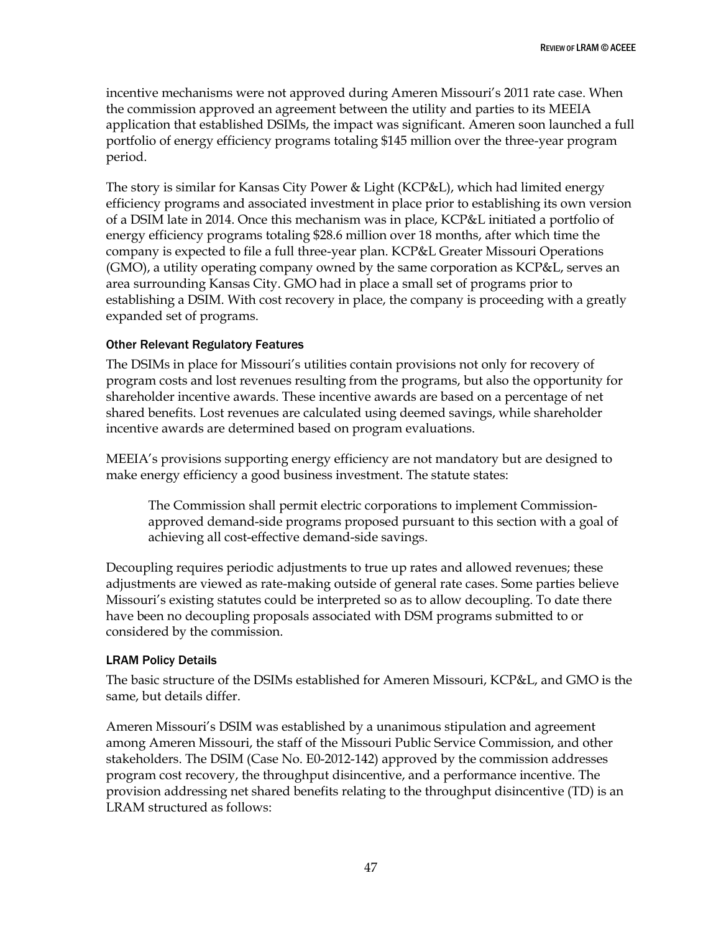incentive mechanisms were not approved during Ameren Missouri's 2011 rate case. When the commission approved an agreement between the utility and parties to its MEEIA application that established DSIMs, the impact was significant. Ameren soon launched a full portfolio of energy efficiency programs totaling \$145 million over the three-year program period.

The story is similar for Kansas City Power & Light (KCP&L), which had limited energy efficiency programs and associated investment in place prior to establishing its own version of a DSIM late in 2014. Once this mechanism was in place, KCP&L initiated a portfolio of energy efficiency programs totaling \$28.6 million over 18 months, after which time the company is expected to file a full three-year plan. KCP&L Greater Missouri Operations (GMO), a utility operating company owned by the same corporation as KCP&L, serves an area surrounding Kansas City. GMO had in place a small set of programs prior to establishing a DSIM. With cost recovery in place, the company is proceeding with a greatly expanded set of programs.

## Other Relevant Regulatory Features

The DSIMs in place for Missouri's utilities contain provisions not only for recovery of program costs and lost revenues resulting from the programs, but also the opportunity for shareholder incentive awards. These incentive awards are based on a percentage of net shared benefits. Lost revenues are calculated using deemed savings, while shareholder incentive awards are determined based on program evaluations.

MEEIA's provisions supporting energy efficiency are not mandatory but are designed to make energy efficiency a good business investment. The statute states:

The Commission shall permit electric corporations to implement Commissionapproved demand-side programs proposed pursuant to this section with a goal of achieving all cost-effective demand-side savings.

Decoupling requires periodic adjustments to true up rates and allowed revenues; these adjustments are viewed as rate-making outside of general rate cases. Some parties believe Missouri's existing statutes could be interpreted so as to allow decoupling. To date there have been no decoupling proposals associated with DSM programs submitted to or considered by the commission.

## LRAM Policy Details

The basic structure of the DSIMs established for Ameren Missouri, KCP&L, and GMO is the same, but details differ.

Ameren Missouri's DSIM was established by a unanimous stipulation and agreement among Ameren Missouri, the staff of the Missouri Public Service Commission, and other stakeholders. The DSIM (Case No. E0-2012-142) approved by the commission addresses program cost recovery, the throughput disincentive, and a performance incentive. The provision addressing net shared benefits relating to the throughput disincentive (TD) is an LRAM structured as follows: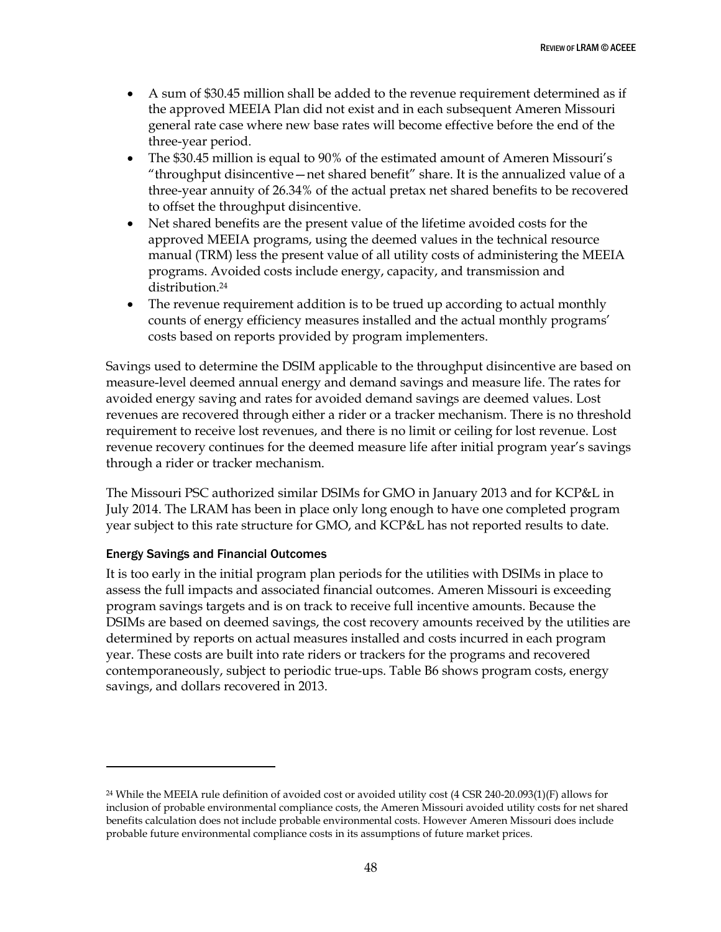- A sum of \$30.45 million shall be added to the revenue requirement determined as if the approved MEEIA Plan did not exist and in each subsequent Ameren Missouri general rate case where new base rates will become effective before the end of the three-year period.
- The \$30.45 million is equal to 90% of the estimated amount of Ameren Missouri's "throughput disincentive—net shared benefit" share. It is the annualized value of a three-year annuity of 26.34% of the actual pretax net shared benefits to be recovered to offset the throughput disincentive.
- Net shared benefits are the present value of the lifetime avoided costs for the approved MEEIA programs, using the deemed values in the technical resource manual (TRM) less the present value of all utility costs of administering the MEEIA programs. Avoided costs include energy, capacity, and transmission and distribution. 24
- The revenue requirement addition is to be trued up according to actual monthly counts of energy efficiency measures installed and the actual monthly programs' costs based on reports provided by program implementers.

Savings used to determine the DSIM applicable to the throughput disincentive are based on measure-level deemed annual energy and demand savings and measure life. The rates for avoided energy saving and rates for avoided demand savings are deemed values. Lost revenues are recovered through either a rider or a tracker mechanism. There is no threshold requirement to receive lost revenues, and there is no limit or ceiling for lost revenue. Lost revenue recovery continues for the deemed measure life after initial program year's savings through a rider or tracker mechanism.

The Missouri PSC authorized similar DSIMs for GMO in January 2013 and for KCP&L in July 2014. The LRAM has been in place only long enough to have one completed program year subject to this rate structure for GMO, and KCP&L has not reported results to date.

#### Energy Savings and Financial Outcomes

 $\ddot{\phantom{a}}$ 

It is too early in the initial program plan periods for the utilities with DSIMs in place to assess the full impacts and associated financial outcomes. Ameren Missouri is exceeding program savings targets and is on track to receive full incentive amounts. Because the DSIMs are based on deemed savings, the cost recovery amounts received by the utilities are determined by reports on actual measures installed and costs incurred in each program year. These costs are built into rate riders or trackers for the programs and recovered contemporaneously, subject to periodic true-ups. Table B6 shows program costs, energy savings, and dollars recovered in 2013.

<sup>24</sup> While the MEEIA rule definition of avoided cost or avoided utility cost (4 CSR 240-20.093(1)(F) allows for inclusion of probable environmental compliance costs, the Ameren Missouri avoided utility costs for net shared benefits calculation does not include probable environmental costs. However Ameren Missouri does include probable future environmental compliance costs in its assumptions of future market prices.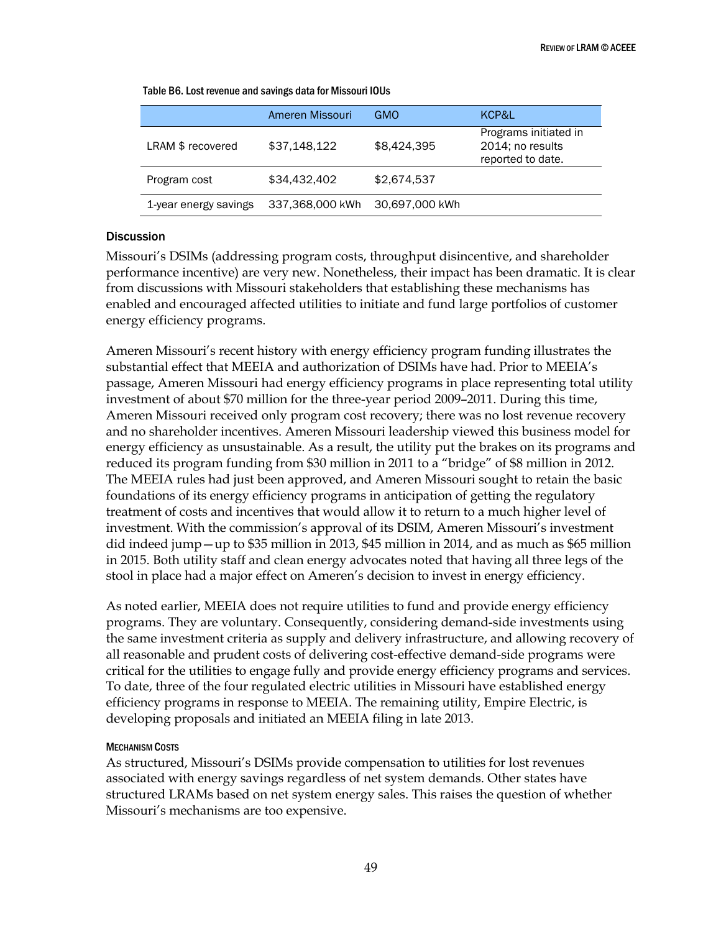|                       | Ameren Missouri | GMO            | KCP&L                                                          |
|-----------------------|-----------------|----------------|----------------------------------------------------------------|
| LRAM \$ recovered     | \$37,148,122    | \$8,424,395    | Programs initiated in<br>2014; no results<br>reported to date. |
| Program cost          | \$34,432,402    | \$2,674,537    |                                                                |
| 1-year energy savings | 337,368,000 kWh | 30,697,000 kWh |                                                                |

Table B6. Lost revenue and savings data for Missouri IOUs

#### **Discussion**

Missouri's DSIMs (addressing program costs, throughput disincentive, and shareholder performance incentive) are very new. Nonetheless, their impact has been dramatic. It is clear from discussions with Missouri stakeholders that establishing these mechanisms has enabled and encouraged affected utilities to initiate and fund large portfolios of customer energy efficiency programs.

Ameren Missouri's recent history with energy efficiency program funding illustrates the substantial effect that MEEIA and authorization of DSIMs have had. Prior to MEEIA's passage, Ameren Missouri had energy efficiency programs in place representing total utility investment of about \$70 million for the three-year period 2009–2011. During this time, Ameren Missouri received only program cost recovery; there was no lost revenue recovery and no shareholder incentives. Ameren Missouri leadership viewed this business model for energy efficiency as unsustainable. As a result, the utility put the brakes on its programs and reduced its program funding from \$30 million in 2011 to a "bridge" of \$8 million in 2012. The MEEIA rules had just been approved, and Ameren Missouri sought to retain the basic foundations of its energy efficiency programs in anticipation of getting the regulatory treatment of costs and incentives that would allow it to return to a much higher level of investment. With the commission's approval of its DSIM, Ameren Missouri's investment did indeed jump—up to \$35 million in 2013, \$45 million in 2014, and as much as \$65 million in 2015. Both utility staff and clean energy advocates noted that having all three legs of the stool in place had a major effect on Ameren's decision to invest in energy efficiency.

As noted earlier, MEEIA does not require utilities to fund and provide energy efficiency programs. They are voluntary. Consequently, considering demand-side investments using the same investment criteria as supply and delivery infrastructure, and allowing recovery of all reasonable and prudent costs of delivering cost-effective demand-side programs were critical for the utilities to engage fully and provide energy efficiency programs and services. To date, three of the four regulated electric utilities in Missouri have established energy efficiency programs in response to MEEIA. The remaining utility, Empire Electric, is developing proposals and initiated an MEEIA filing in late 2013.

#### MECHANISM COSTS

As structured, Missouri's DSIMs provide compensation to utilities for lost revenues associated with energy savings regardless of net system demands. Other states have structured LRAMs based on net system energy sales. This raises the question of whether Missouri's mechanisms are too expensive.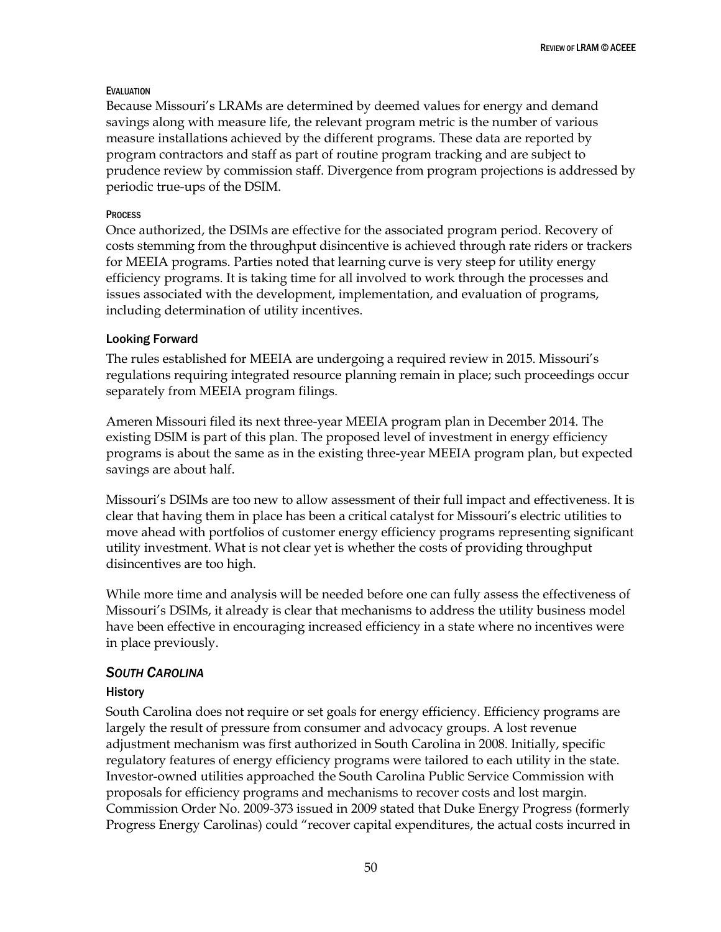## EVALUATION

Because Missouri's LRAMs are determined by deemed values for energy and demand savings along with measure life, the relevant program metric is the number of various measure installations achieved by the different programs. These data are reported by program contractors and staff as part of routine program tracking and are subject to prudence review by commission staff. Divergence from program projections is addressed by periodic true-ups of the DSIM.

#### **PROCESS**

Once authorized, the DSIMs are effective for the associated program period. Recovery of costs stemming from the throughput disincentive is achieved through rate riders or trackers for MEEIA programs. Parties noted that learning curve is very steep for utility energy efficiency programs. It is taking time for all involved to work through the processes and issues associated with the development, implementation, and evaluation of programs, including determination of utility incentives.

## Looking Forward

The rules established for MEEIA are undergoing a required review in 2015. Missouri's regulations requiring integrated resource planning remain in place; such proceedings occur separately from MEEIA program filings.

Ameren Missouri filed its next three-year MEEIA program plan in December 2014. The existing DSIM is part of this plan. The proposed level of investment in energy efficiency programs is about the same as in the existing three-year MEEIA program plan, but expected savings are about half.

Missouri's DSIMs are too new to allow assessment of their full impact and effectiveness. It is clear that having them in place has been a critical catalyst for Missouri's electric utilities to move ahead with portfolios of customer energy efficiency programs representing significant utility investment. What is not clear yet is whether the costs of providing throughput disincentives are too high.

While more time and analysis will be needed before one can fully assess the effectiveness of Missouri's DSIMs, it already is clear that mechanisms to address the utility business model have been effective in encouraging increased efficiency in a state where no incentives were in place previously.

## <span id="page-57-0"></span>*SOUTH CAROLINA*

## **History**

South Carolina does not require or set goals for energy efficiency. Efficiency programs are largely the result of pressure from consumer and advocacy groups. A lost revenue adjustment mechanism was first authorized in South Carolina in 2008. Initially, specific regulatory features of energy efficiency programs were tailored to each utility in the state. Investor-owned utilities approached the South Carolina Public Service Commission with proposals for efficiency programs and mechanisms to recover costs and lost margin. Commission Order No. 2009-373 issued in 2009 stated that Duke Energy Progress (formerly Progress Energy Carolinas) could "recover capital expenditures, the actual costs incurred in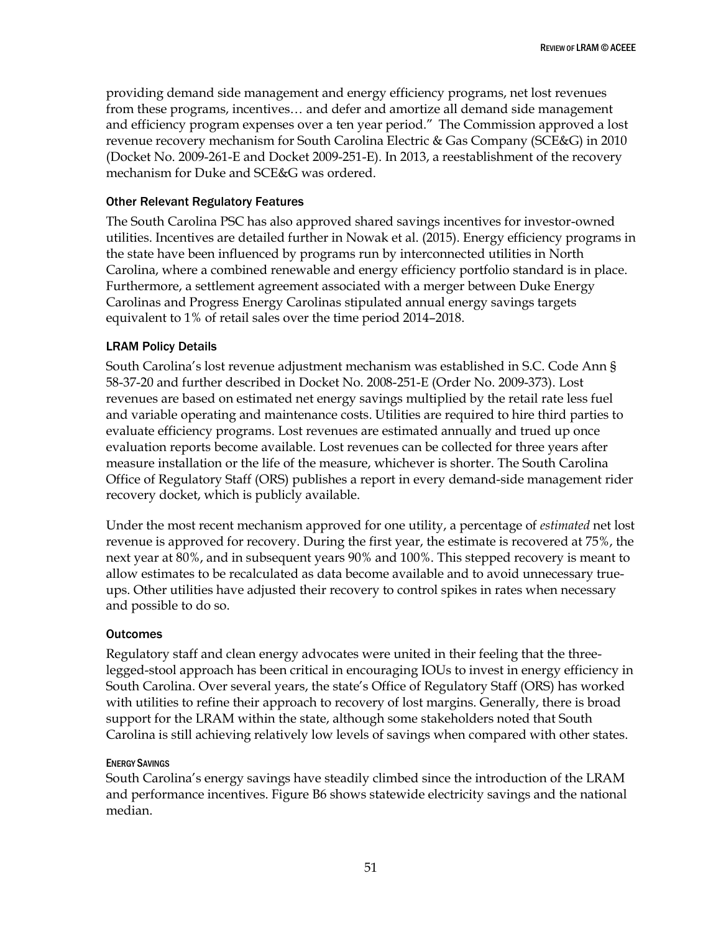providing demand side management and energy efficiency programs, net lost revenues from these programs, incentives… and defer and amortize all demand side management and efficiency program expenses over a ten year period." The Commission approved a lost revenue recovery mechanism for South Carolina Electric & Gas Company (SCE&G) in 2010 (Docket No. 2009-261-E and Docket 2009-251-E). In 2013, a reestablishment of the recovery mechanism for Duke and SCE&G was ordered.

#### Other Relevant Regulatory Features

The South Carolina PSC has also approved shared savings incentives for investor-owned utilities. Incentives are detailed further in Nowak et al. (2015). Energy efficiency programs in the state have been influenced by programs run by interconnected utilities in North Carolina, where a combined renewable and energy efficiency portfolio standard is in place. Furthermore, a settlement agreement associated with a merger between Duke Energy Carolinas and Progress Energy Carolinas stipulated annual energy savings targets equivalent to 1% of retail sales over the time period 2014–2018.

#### LRAM Policy Details

South Carolina's lost revenue adjustment mechanism was established in S.C. Code Ann § 58-37-20 and further described in Docket No. 2008-251-E (Order No. 2009-373). Lost revenues are based on estimated net energy savings multiplied by the retail rate less fuel and variable operating and maintenance costs. Utilities are required to hire third parties to evaluate efficiency programs. Lost revenues are estimated annually and trued up once evaluation reports become available. Lost revenues can be collected for three years after measure installation or the life of the measure, whichever is shorter. The South Carolina Office of Regulatory Staff (ORS) publishes a report in every demand-side management rider recovery docket, which is publicly available.

Under the most recent mechanism approved for one utility, a percentage of *estimated* net lost revenue is approved for recovery. During the first year, the estimate is recovered at 75%, the next year at 80%, and in subsequent years 90% and 100%. This stepped recovery is meant to allow estimates to be recalculated as data become available and to avoid unnecessary trueups. Other utilities have adjusted their recovery to control spikes in rates when necessary and possible to do so.

#### **Outcomes**

Regulatory staff and clean energy advocates were united in their feeling that the threelegged-stool approach has been critical in encouraging IOUs to invest in energy efficiency in South Carolina. Over several years, the state's Office of Regulatory Staff (ORS) has worked with utilities to refine their approach to recovery of lost margins. Generally, there is broad support for the LRAM within the state, although some stakeholders noted that South Carolina is still achieving relatively low levels of savings when compared with other states.

#### ENERGY SAVINGS

South Carolina's energy savings have steadily climbed since the introduction of the LRAM and performance incentives. Figure B6 shows statewide electricity savings and the national median.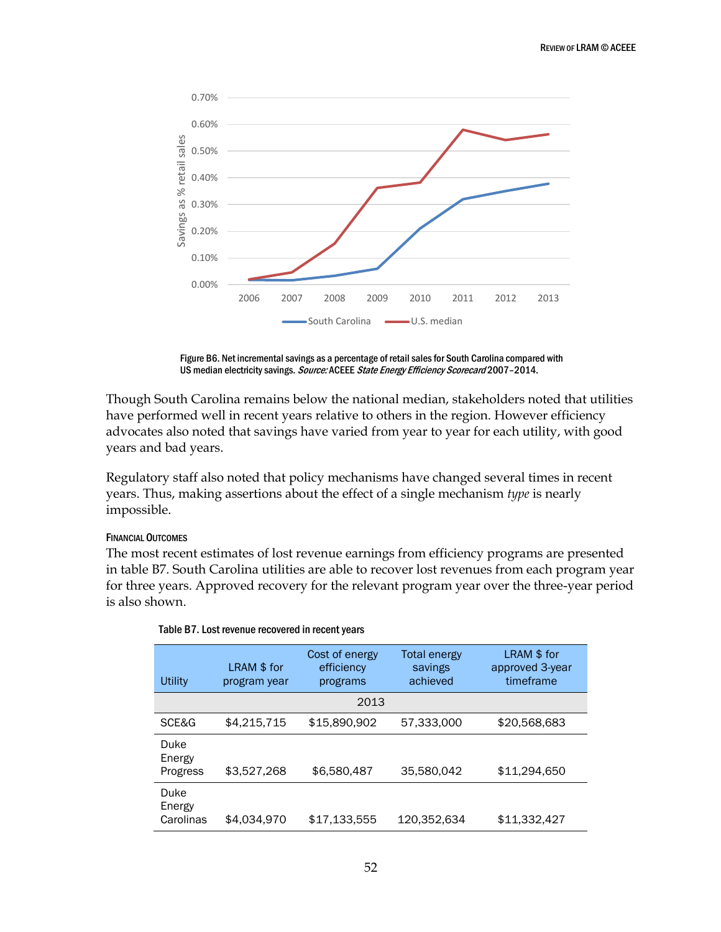

Figure B6. Net incremental savings as a percentage of retail sales for South Carolina compared with US median electricity savings. Source: ACEEE State Energy Efficiency Scorecard 2007-2014.

Though South Carolina remains below the national median, stakeholders noted that utilities have performed well in recent years relative to others in the region. However efficiency advocates also noted that savings have varied from year to year for each utility, with good years and bad years.

Regulatory staff also noted that policy mechanisms have changed several times in recent years. Thus, making assertions about the effect of a single mechanism *type* is nearly impossible.

#### FINANCIAL OUTCOMES

The most recent estimates of lost revenue earnings from efficiency programs are presented in table B7. South Carolina utilities are able to recover lost revenues from each program year for three years. Approved recovery for the relevant program year over the three-year period is also shown.

| Utility                     | LRAM \$ for<br>program year | Cost of energy<br>efficiency<br>programs | Total energy<br>savings<br>achieved | LRAM \$ for<br>approved 3-year<br>timeframe |
|-----------------------------|-----------------------------|------------------------------------------|-------------------------------------|---------------------------------------------|
| 2013                        |                             |                                          |                                     |                                             |
| SCE&G                       | \$4,215,715                 | \$15,890,902                             | 57,333,000                          | \$20,568,683                                |
| Duke<br>Energy<br>Progress  | \$3,527,268                 | \$6,580,487                              | 35,580,042                          | \$11,294,650                                |
| Duke<br>Energy<br>Carolinas | \$4.034.970                 | \$17,133,555                             | 120,352,634                         | \$11,332,427                                |

#### Table B7. Lost revenue recovered in recent years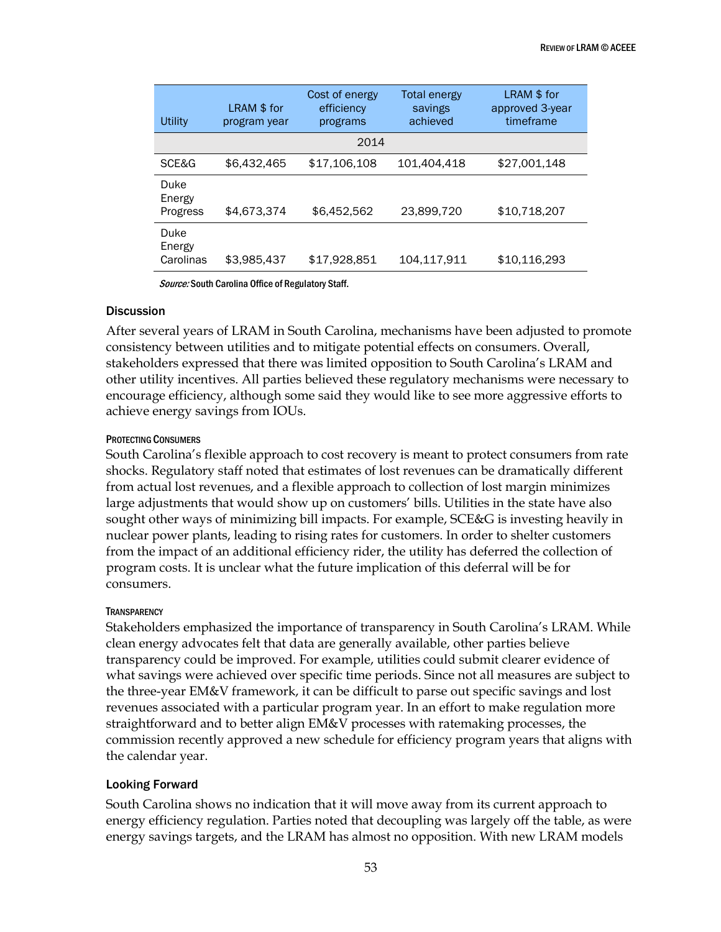| Utility                     | LRAM \$ for<br>program year | Cost of energy<br>efficiency<br>programs | Total energy<br>savings<br>achieved | LRAM \$ for<br>approved 3-year<br>timeframe |
|-----------------------------|-----------------------------|------------------------------------------|-------------------------------------|---------------------------------------------|
|                             |                             | 2014                                     |                                     |                                             |
| SCE&G                       | \$6,432,465                 | \$17,106,108                             | 101,404,418                         | \$27,001,148                                |
| Duke<br>Energy<br>Progress  | \$4,673,374                 | \$6,452,562                              | 23,899,720                          | \$10,718,207                                |
| Duke<br>Energy<br>Carolinas | \$3,985,437                 | \$17,928,851                             | 104,117,911                         | \$10,116,293                                |

Source: South Carolina Office of Regulatory Staff.

#### **Discussion**

After several years of LRAM in South Carolina, mechanisms have been adjusted to promote consistency between utilities and to mitigate potential effects on consumers. Overall, stakeholders expressed that there was limited opposition to South Carolina's LRAM and other utility incentives. All parties believed these regulatory mechanisms were necessary to encourage efficiency, although some said they would like to see more aggressive efforts to achieve energy savings from IOUs.

#### PROTECTING CONSUMERS

South Carolina's flexible approach to cost recovery is meant to protect consumers from rate shocks. Regulatory staff noted that estimates of lost revenues can be dramatically different from actual lost revenues, and a flexible approach to collection of lost margin minimizes large adjustments that would show up on customers' bills. Utilities in the state have also sought other ways of minimizing bill impacts. For example, SCE&G is investing heavily in nuclear power plants, leading to rising rates for customers. In order to shelter customers from the impact of an additional efficiency rider, the utility has deferred the collection of program costs. It is unclear what the future implication of this deferral will be for consumers.

#### **TRANSPARENCY**

Stakeholders emphasized the importance of transparency in South Carolina's LRAM. While clean energy advocates felt that data are generally available, other parties believe transparency could be improved. For example, utilities could submit clearer evidence of what savings were achieved over specific time periods. Since not all measures are subject to the three-year EM&V framework, it can be difficult to parse out specific savings and lost revenues associated with a particular program year. In an effort to make regulation more straightforward and to better align EM&V processes with ratemaking processes, the commission recently approved a new schedule for efficiency program years that aligns with the calendar year.

#### Looking Forward

South Carolina shows no indication that it will move away from its current approach to energy efficiency regulation. Parties noted that decoupling was largely off the table, as were energy savings targets, and the LRAM has almost no opposition. With new LRAM models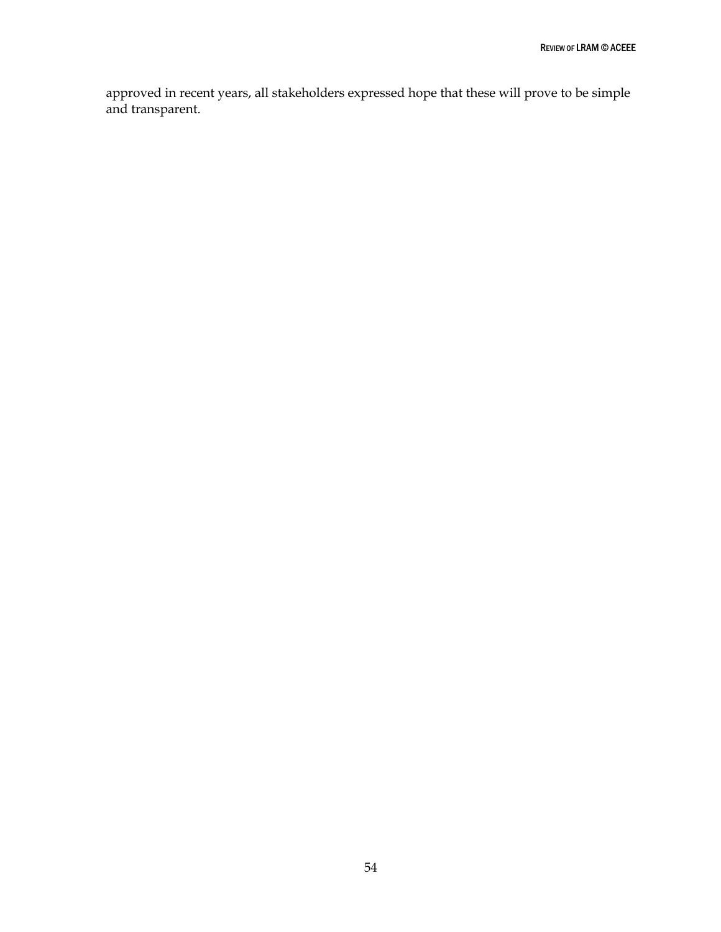approved in recent years, all stakeholders expressed hope that these will prove to be simple and transparent.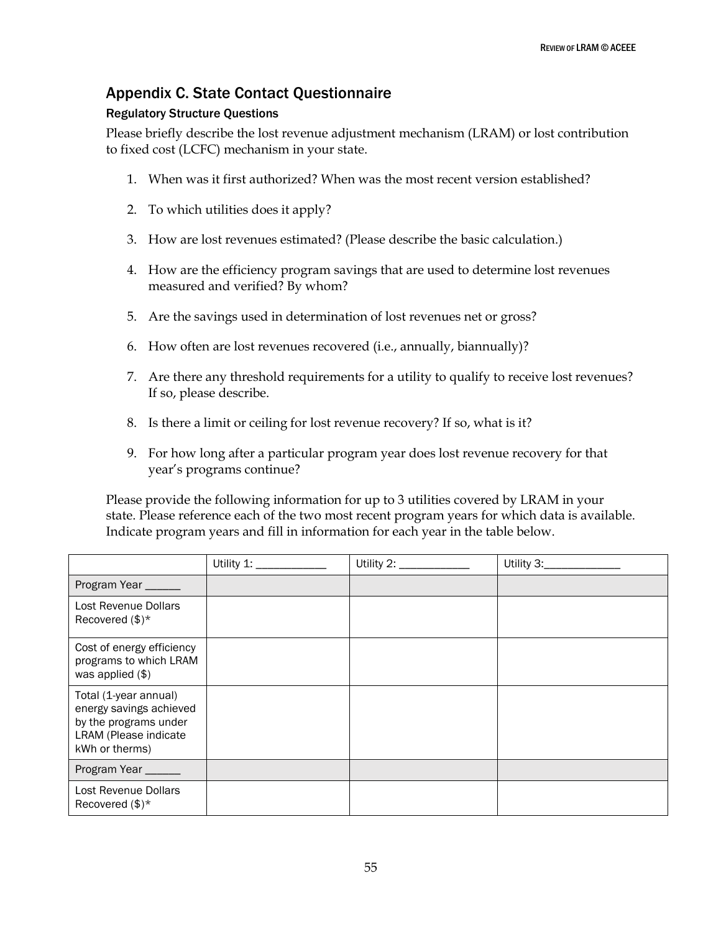# <span id="page-62-0"></span>Appendix C. State Contact Questionnaire

# Regulatory Structure Questions

Please briefly describe the lost revenue adjustment mechanism (LRAM) or lost contribution to fixed cost (LCFC) mechanism in your state.

- 1. When was it first authorized? When was the most recent version established?
- 2. To which utilities does it apply?
- 3. How are lost revenues estimated? (Please describe the basic calculation.)
- 4. How are the efficiency program savings that are used to determine lost revenues measured and verified? By whom?
- 5. Are the savings used in determination of lost revenues net or gross?
- 6. How often are lost revenues recovered (i.e., annually, biannually)?
- 7. Are there any threshold requirements for a utility to qualify to receive lost revenues? If so, please describe.
- 8. Is there a limit or ceiling for lost revenue recovery? If so, what is it?
- 9. For how long after a particular program year does lost revenue recovery for that year's programs continue?

Please provide the following information for up to 3 utilities covered by LRAM in your state. Please reference each of the two most recent program years for which data is available. Indicate program years and fill in information for each year in the table below.

| Program Year ______                                                                                                  |  |  |
|----------------------------------------------------------------------------------------------------------------------|--|--|
| Lost Revenue Dollars<br>Recovered $(\$)^*$                                                                           |  |  |
| Cost of energy efficiency<br>programs to which LRAM<br>was applied (\$)                                              |  |  |
| Total (1-year annual)<br>energy savings achieved<br>by the programs under<br>LRAM (Please indicate<br>kWh or therms) |  |  |
| Program Year ______                                                                                                  |  |  |
| Lost Revenue Dollars<br>Recovered $(\$)^*$                                                                           |  |  |